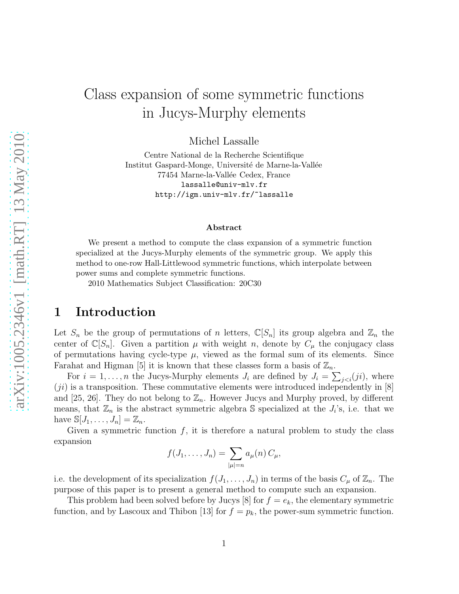# Class expansion of some symmetric functions in Jucys-Murphy elements

Michel Lassalle

Centre National de la Recherche Scientifique Institut Gaspard-Monge, Université de Marne-la-Vallée 77454 Marne-la-Vallée Cedex, France lassalle@univ-mlv.fr http://igm.univ-mlv.fr/~lassalle

#### Abstract

We present a method to compute the class expansion of a symmetric function specialized at the Jucys-Murphy elements of the symmetric group. We apply this method to one-row Hall-Littlewood symmetric functions, which interpolate between power sums and complete symmetric functions.

2010 Mathematics Subject Classification: 20C30

# 1 Introduction

Let  $S_n$  be the group of permutations of n letters,  $\mathbb{C}[S_n]$  its group algebra and  $\mathbb{Z}_n$  the center of  $\mathbb{C}[S_n]$ . Given a partition  $\mu$  with weight n, denote by  $C_{\mu}$  the conjugacy class of permutations having cycle-type  $\mu$ , viewed as the formal sum of its elements. Since Farahat and Higman [5] it is known that these classes form a basis of  $\mathbb{Z}_n$ .

For  $i = 1, \ldots, n$  the Jucys-Murphy elements  $J_i$  are defined by  $J_i = \sum_{j < i} (ji)$ , where  $(ji)$  is a transposition. These commutative elements were introduced independently in [8] and [25, 26]. They do not belong to  $\mathbb{Z}_n$ . However Jucys and Murphy proved, by different means, that  $\mathbb{Z}_n$  is the abstract symmetric algebra S specialized at the  $J_i$ 's, i.e. that we have  $\mathbb{S}[J_1,\ldots,J_n]=\mathbb{Z}_n$ .

Given a symmetric function  $f$ , it is therefore a natural problem to study the class expansion

$$
f(J_1,\ldots,J_n)=\sum_{|\mu|=n}a_{\mu}(n)\,C_{\mu},
$$

i.e. the development of its specialization  $f(J_1, \ldots, J_n)$  in terms of the basis  $C_\mu$  of  $\mathbb{Z}_n$ . The purpose of this paper is to present a general method to compute such an expansion.

This problem had been solved before by Jucys [8] for  $f = e_k$ , the elementary symmetric function, and by Lascoux and Thibon [13] for  $f = p_k$ , the power-sum symmetric function.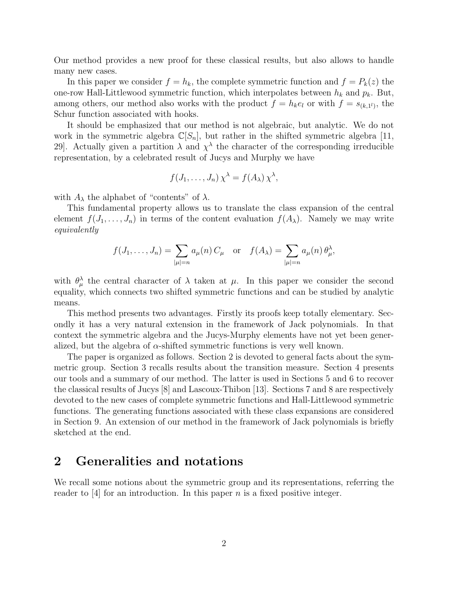Our method provides a new proof for these classical results, but also allows to handle many new cases.

In this paper we consider  $f = h_k$ , the complete symmetric function and  $f = P_k(z)$  the one-row Hall-Littlewood symmetric function, which interpolates between  $h_k$  and  $p_k$ . But, among others, our method also works with the product  $f = h_k e_l$  or with  $f = s_{(k,1^l)}$ , the Schur function associated with hooks.

It should be emphasized that our method is not algebraic, but analytic. We do not work in the symmetric algebra  $\mathbb{C}[S_n]$ , but rather in the shifted symmetric algebra [11, 29. Actually given a partition  $\lambda$  and  $\chi^{\lambda}$  the character of the corresponding irreducible representation, by a celebrated result of Jucys and Murphy we have

$$
f(J_1,\ldots,J_n)\chi^{\lambda} = f(A_{\lambda})\chi^{\lambda},
$$

with  $A_{\lambda}$  the alphabet of "contents" of  $\lambda$ .

This fundamental property allows us to translate the class expansion of the central element  $f(J_1, \ldots, J_n)$  in terms of the content evaluation  $f(A_\lambda)$ . Namely we may write equivalently

$$
f(J_1,\ldots,J_n)=\sum_{|\mu|=n}a_{\mu}(n)\,C_{\mu}\quad\text{or}\quad f(A_{\lambda})=\sum_{|\mu|=n}a_{\mu}(n)\,\theta_{\mu}^{\lambda},
$$

with  $\theta_{\mu}^{\lambda}$  the central character of  $\lambda$  taken at  $\mu$ . In this paper we consider the second equality, which connects two shifted symmetric functions and can be studied by analytic means.

This method presents two advantages. Firstly its proofs keep totally elementary. Secondly it has a very natural extension in the framework of Jack polynomials. In that context the symmetric algebra and the Jucys-Murphy elements have not yet been generalized, but the algebra of  $\alpha$ -shifted symmetric functions is very well known.

The paper is organized as follows. Section 2 is devoted to general facts about the symmetric group. Section 3 recalls results about the transition measure. Section 4 presents our tools and a summary of our method. The latter is used in Sections 5 and 6 to recover the classical results of Jucys [8] and Lascoux-Thibon [13]. Sections 7 and 8 are respectively devoted to the new cases of complete symmetric functions and Hall-Littlewood symmetric functions. The generating functions associated with these class expansions are considered in Section 9. An extension of our method in the framework of Jack polynomials is briefly sketched at the end.

### 2 Generalities and notations

We recall some notions about the symmetric group and its representations, referring the reader to  $[4]$  for an introduction. In this paper n is a fixed positive integer.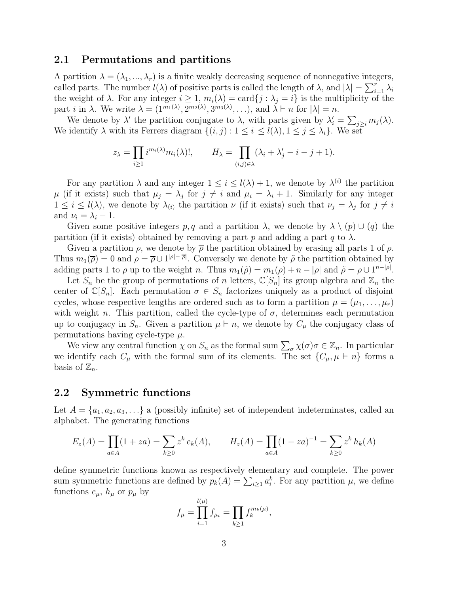#### 2.1 Permutations and partitions

A partition  $\lambda = (\lambda_1, ..., \lambda_r)$  is a finite weakly decreasing sequence of nonnegative integers, called parts. The number  $l(\lambda)$  of positive parts is called the length of  $\lambda$ , and  $|\lambda| = \sum_{i=1}^{r} \lambda_i$ the weight of  $\lambda$ . For any integer  $i \geq 1$ ,  $m_i(\lambda) = \text{card}\{j : \lambda_j = i\}$  is the multiplicity of the part *i* in  $\lambda$ . We write  $\lambda = (1^{m_1(\lambda)}, 2^{m_2(\lambda)}, 3^{m_3(\lambda)}, \ldots)$ , and  $\lambda \vdash n$  for  $|\lambda| = n$ .

We denote by  $\lambda'$  the partition conjugate to  $\lambda$ , with parts given by  $\lambda'_i = \sum_{j \geq i} m_j(\lambda)$ . We identify  $\lambda$  with its Ferrers diagram  $\{(i, j) : 1 \le i \le l(\lambda), 1 \le j \le \lambda_i\}$ . We set

$$
z_{\lambda} = \prod_{i \geq 1} i^{m_i(\lambda)} m_i(\lambda)!, \qquad H_{\lambda} = \prod_{(i,j) \in \lambda} (\lambda_i + \lambda'_j - i - j + 1).
$$

For any partition  $\lambda$  and any integer  $1 \leq i \leq l(\lambda) + 1$ , we denote by  $\lambda^{(i)}$  the partition  $\mu$  (if it exists) such that  $\mu_j = \lambda_j$  for  $j \neq i$  and  $\mu_i = \lambda_i + 1$ . Similarly for any integer  $1 \leq i \leq l(\lambda)$ , we denote by  $\lambda_{(i)}$  the partition  $\nu$  (if it exists) such that  $\nu_j = \lambda_j$  for  $j \neq i$ and  $\nu_i = \lambda_i - 1$ .

Given some positive integers p, q and a partition  $\lambda$ , we denote by  $\lambda \setminus (p) \cup (q)$  the partition (if it exists) obtained by removing a part p and adding a part q to  $\lambda$ .

Given a partition  $\rho$ , we denote by  $\bar{\rho}$  the partition obtained by erasing all parts 1 of  $\rho$ . Thus  $m_1(\overline{\rho}) = 0$  and  $\rho = \overline{\rho} \cup 1^{|\rho| - |\overline{\rho}|}$ . Conversely we denote by  $\tilde{\rho}$  the partition obtained by adding parts 1 to  $\rho$  up to the weight n. Thus  $m_1(\tilde{\rho}) = m_1(\rho) + n - |\rho|$  and  $\tilde{\rho} = \rho \cup 1^{n-|\rho|}$ .

Let  $S_n$  be the group of permutations of n letters,  $\mathbb{C}[S_n]$  its group algebra and  $\mathbb{Z}_n$  the center of  $\mathbb{C}[S_n]$ . Each permutation  $\sigma \in S_n$  factorizes uniquely as a product of disjoint cycles, whose respective lengths are ordered such as to form a partition  $\mu = (\mu_1, \ldots, \mu_r)$ with weight n. This partition, called the cycle-type of  $\sigma$ , determines each permutation up to conjugacy in  $S_n$ . Given a partition  $\mu \vdash n$ , we denote by  $C_\mu$  the conjugacy class of permutations having cycle-type  $\mu$ .

We view any central function  $\chi$  on  $S_n$  as the formal sum  $\sum_{\sigma} \chi(\sigma) \sigma \in \mathbb{Z}_n$ . In particular we identify each  $C_{\mu}$  with the formal sum of its elements. The set  $\{C_{\mu}, \mu \vdash n\}$  forms a basis of  $\mathbb{Z}_n$ .

#### 2.2 Symmetric functions

Let  $A = \{a_1, a_2, a_3, \ldots\}$  a (possibly infinite) set of independent indeterminates, called an alphabet. The generating functions

$$
E_z(A) = \prod_{a \in A} (1 + za) = \sum_{k \ge 0} z^k e_k(A), \qquad H_z(A) = \prod_{a \in A} (1 - za)^{-1} = \sum_{k \ge 0} z^k h_k(A)
$$

define symmetric functions known as respectively elementary and complete. The power sum symmetric functions are defined by  $p_k(A) = \sum_{i \geq 1} a_i^k$ . For any partition  $\mu$ , we define functions  $e_{\mu}$ ,  $h_{\mu}$  or  $p_{\mu}$  by

$$
f_{\mu} = \prod_{i=1}^{l(\mu)} f_{\mu_i} = \prod_{k \ge 1} f_k^{m_k(\mu)},
$$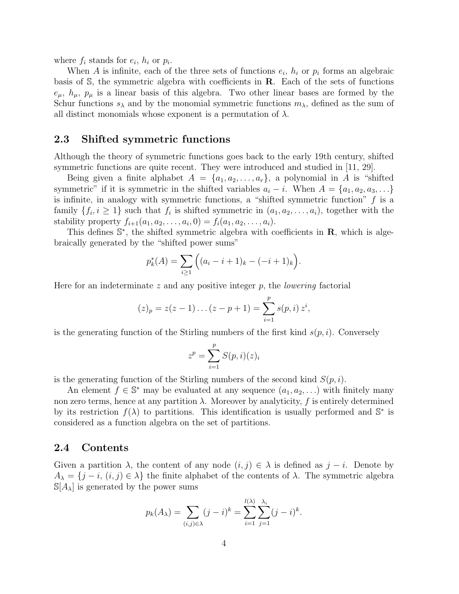where  $f_i$  stands for  $e_i$ ,  $h_i$  or  $p_i$ .

When A is infinite, each of the three sets of functions  $e_i$ ,  $h_i$  or  $p_i$  forms an algebraic basis of  $\mathbb{S}$ , the symmetric algebra with coefficients in  $\mathbb{R}$ . Each of the sets of functions  $e_{\mu}$ ,  $h_{\mu}$ ,  $p_{\mu}$  is a linear basis of this algebra. Two other linear bases are formed by the Schur functions  $s_\lambda$  and by the monomial symmetric functions  $m_\lambda$ , defined as the sum of all distinct monomials whose exponent is a permutation of  $\lambda$ .

#### 2.3 Shifted symmetric functions

Although the theory of symmetric functions goes back to the early 19th century, shifted symmetric functions are quite recent. They were introduced and studied in [11, 29].

Being given a finite alphabet  $A = \{a_1, a_2, \ldots, a_r\}$ , a polynomial in A is "shifted symmetric" if it is symmetric in the shifted variables  $a_i - i$ . When  $A = \{a_1, a_2, a_3, \ldots\}$ is infinite, in analogy with symmetric functions, a "shifted symmetric function"  $f$  is a family  $\{f_i, i \geq 1\}$  such that  $f_i$  is shifted symmetric in  $(a_1, a_2, \ldots, a_i)$ , together with the stability property  $f_{i+1}(a_1, a_2, \ldots, a_i, 0) = f_i(a_1, a_2, \ldots, a_i)$ .

This defines  $\mathbb{S}^*$ , the shifted symmetric algebra with coefficients in  $\mathbf{R}$ , which is algebraically generated by the "shifted power sums"

$$
p_k^*(A) = \sum_{i \ge 1} \Big( (a_i - i + 1)_k - (-i + 1)_k \Big).
$$

Here for an indeterminate  $z$  and any positive integer  $p$ , the *lowering* factorial

$$
(z)_p = z(z-1)\dots(z-p+1) = \sum_{i=1}^p s(p,i) z^i,
$$

is the generating function of the Stirling numbers of the first kind  $s(p, i)$ . Conversely

$$
z^p = \sum_{i=1}^p S(p,i)(z)_i
$$

is the generating function of the Stirling numbers of the second kind  $S(p, i)$ .

An element  $f \in \mathbb{S}^*$  may be evaluated at any sequence  $(a_1, a_2, \ldots)$  with finitely many non zero terms, hence at any partition  $\lambda$ . Moreover by analyticity, f is entirely determined by its restriction  $f(\lambda)$  to partitions. This identification is usually performed and  $\mathbb{S}^*$  is considered as a function algebra on the set of partitions.

#### 2.4 Contents

Given a partition  $\lambda$ , the content of any node  $(i, j) \in \lambda$  is defined as  $j - i$ . Denote by  $A_{\lambda} = \{j - i, (i, j) \in \lambda\}$  the finite alphabet of the contents of  $\lambda$ . The symmetric algebra  $\mathbb{S}[A_{\lambda}]$  is generated by the power sums

$$
p_k(A_{\lambda}) = \sum_{(i,j)\in\lambda} (j-i)^k = \sum_{i=1}^{l(\lambda)} \sum_{j=1}^{\lambda_i} (j-i)^k.
$$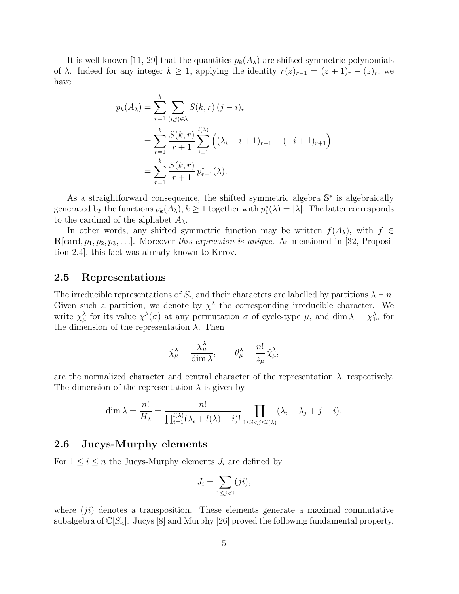It is well known [11, 29] that the quantities  $p_k(A_\lambda)$  are shifted symmetric polynomials of  $\lambda$ . Indeed for any integer  $k \geq 1$ , applying the identity  $r(z)_{r-1} = (z+1)_r - (z)_r$ , we have

$$
p_k(A_\lambda) = \sum_{r=1}^k \sum_{(i,j)\in\lambda} S(k,r) (j-i)_r
$$
  
= 
$$
\sum_{r=1}^k \frac{S(k,r)}{r+1} \sum_{i=1}^{l(\lambda)} \left( (\lambda_i - i + 1)_{r+1} - (-i+1)_{r+1} \right)
$$
  
= 
$$
\sum_{r=1}^k \frac{S(k,r)}{r+1} p_{r+1}^*(\lambda).
$$

As a straightforward consequence, the shifted symmetric algebra  $\mathbb{S}^*$  is algebraically generated by the functions  $p_k(A_\lambda), k \geq 1$  together with  $p_1^*(\lambda) = |\lambda|$ . The latter corresponds to the cardinal of the alphabet  $A_{\lambda}$ .

In other words, any shifted symmetric function may be written  $f(A_\lambda)$ , with  $f \in$  ${\bf R}[card, p_1, p_2, p_3, \ldots]$ . Moreover this expression is unique. As mentioned in [32, Proposition 2.4], this fact was already known to Kerov.

### 2.5 Representations

The irreducible representations of  $S_n$  and their characters are labelled by partitions  $\lambda \vdash n$ . Given such a partition, we denote by  $\chi^{\lambda}$  the corresponding irreducible character. We write  $\chi^{\lambda}_{\mu}$  for its value  $\chi^{\lambda}(\sigma)$  at any permutation  $\sigma$  of cycle-type  $\mu$ , and dim  $\lambda = \chi^{\lambda}_{1^n}$  for the dimension of the representation  $\lambda$ . Then

$$
\hat{\chi}^{\lambda}_{\mu} = \frac{\chi^{\lambda}_{\mu}}{\dim \lambda}, \qquad \theta^{\lambda}_{\mu} = \frac{n!}{z_{\mu}} \hat{\chi}^{\lambda}_{\mu},
$$

are the normalized character and central character of the representation  $\lambda$ , respectively. The dimension of the representation  $\lambda$  is given by

$$
\dim \lambda = \frac{n!}{H_{\lambda}} = \frac{n!}{\prod_{i=1}^{l(\lambda)} (\lambda_i + l(\lambda) - i)!} \prod_{1 \leq i < j \leq l(\lambda)} (\lambda_i - \lambda_j + j - i).
$$

#### 2.6 Jucys-Murphy elements

For  $1 \leq i \leq n$  the Jucys-Murphy elements  $J_i$  are defined by

$$
J_i = \sum_{1 \le j < i} (ji),
$$

where  $(i)$  denotes a transposition. These elements generate a maximal commutative subalgebra of  $\mathbb{C}[S_n]$ . Jucys [8] and Murphy [26] proved the following fundamental property.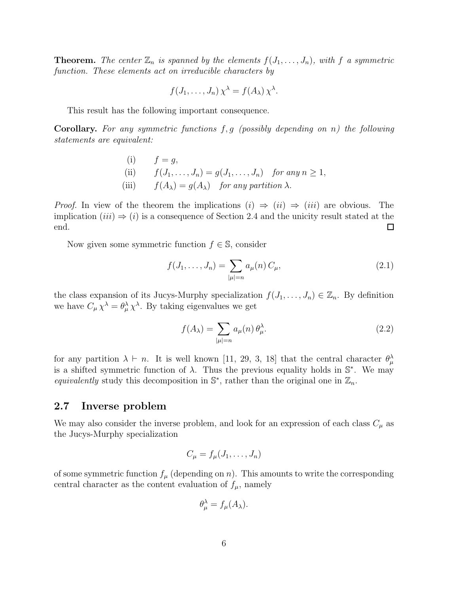**Theorem.** The center  $\mathbb{Z}_n$  is spanned by the elements  $f(J_1, \ldots, J_n)$ , with f a symmetric function. These elements act on irreducible characters by

$$
f(J_1,\ldots,J_n)\,\chi^\lambda = f(A_\lambda)\,\chi^\lambda.
$$

This result has the following important consequence.

**Corollary.** For any symmetric functions  $f, g$  (possibly depending on n) the following statements are equivalent:

\n- (i) 
$$
f = g
$$
,
\n- (ii)  $f(J_1, \ldots, J_n) = g(J_1, \ldots, J_n)$  for any  $n \geq 1$ ,
\n- (iii)  $f(A_\lambda) = g(A_\lambda)$  for any partition  $\lambda$ .
\n

*Proof.* In view of the theorem the implications  $(i) \Rightarrow (ii) \Rightarrow (iii)$  are obvious. The implication  $(iii) \Rightarrow (i)$  is a consequence of Section 2.4 and the unicity result stated at the end. □

Now given some symmetric function  $f \in \mathbb{S}$ , consider

$$
f(J_1, \dots, J_n) = \sum_{|\mu|=n} a_{\mu}(n) C_{\mu},
$$
\n(2.1)

the class expansion of its Jucys-Murphy specialization  $f(J_1, \ldots, J_n) \in \mathbb{Z}_n$ . By definition we have  $C_{\mu} \chi^{\lambda} = \theta_{\mu}^{\lambda} \chi^{\lambda}$ . By taking eigenvalues we get

$$
f(A_{\lambda}) = \sum_{|\mu|=n} a_{\mu}(n) \,\theta_{\mu}^{\lambda}.
$$
 (2.2)

for any partition  $\lambda \vdash n$ . It is well known [11, 29, 3, 18] that the central character  $\theta_{\mu}^{\lambda}$ is a shifted symmetric function of  $\lambda$ . Thus the previous equality holds in  $\mathbb{S}^*$ . We may equivalently study this decomposition in  $\mathbb{S}^*$ , rather than the original one in  $\mathbb{Z}_n$ .

### 2.7 Inverse problem

We may also consider the inverse problem, and look for an expression of each class  $C_{\mu}$  as the Jucys-Murphy specialization

$$
C_{\mu} = f_{\mu}(J_1, \ldots, J_n)
$$

of some symmetric function  $f_{\mu}$  (depending on n). This amounts to write the corresponding central character as the content evaluation of  $f_{\mu}$ , namely

$$
\theta_{\mu}^{\lambda} = f_{\mu}(A_{\lambda}).
$$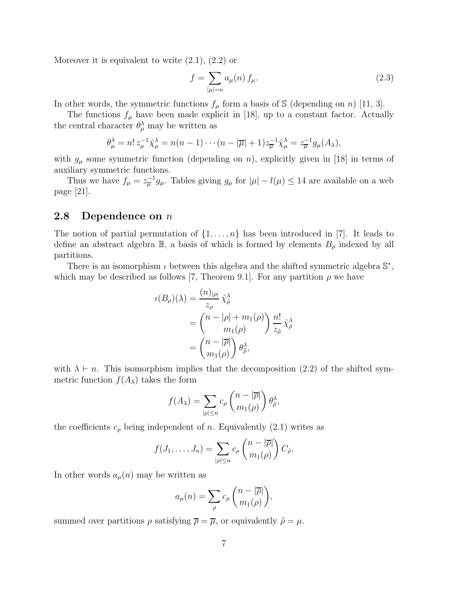Moreover it is equivalent to write (2.1), (2.2) or

$$
f = \sum_{|\mu|=n} a_{\mu}(n) f_{\mu}.
$$
 (2.3)

In other words, the symmetric functions  $f_{\mu}$  form a basis of S (depending on n) [11, 3].

The functions  $f_{\mu}$  have been made explicit in [18], up to a constant factor. Actually the central character  $\theta_{\mu}^{\lambda}$  may be written as

$$
\theta_{\mu}^{\lambda} = n! z_{\mu}^{-1} \hat{\chi}_{\mu}^{\lambda} = n(n-1) \cdots (n-|\overline{\mu}|+1) z_{\overline{\mu}}^{-1} \hat{\chi}_{\mu}^{\lambda} = z_{\overline{\mu}}^{-1} g_{\mu}(A_{\lambda}),
$$

with  $g_{\mu}$  some symmetric function (depending on n), explicitly given in [18] in terms of auxiliary symmetric functions.

Thus we have  $f_{\mu} = z_{\overline{\mu}}^{-1} g_{\mu}$ . Tables giving  $g_{\mu}$  for  $|\mu| - l(\mu) \leq 14$  are available on a web page [21].

### **2.8** Dependence on  $n$

The notion of partial permutation of  $\{1, \ldots, n\}$  has been introduced in [7]. It leads to define an abstract algebra  $\mathbb{B}$ , a basis of which is formed by elements  $B_{\rho}$  indexed by all partitions.

There is an isomorphism  $\iota$  between this algebra and the shifted symmetric algebra  $\mathbb{S}^*$ , which may be described as follows [7, Theorem 9.1]. For any partition  $\rho$  we have

$$
\iota(B_{\rho})(\lambda) = \frac{(n)_{|\rho|}}{z_{\rho}} \hat{\chi}_{\tilde{\rho}}^{\lambda}
$$
  
= 
$$
\begin{pmatrix} n - |\rho| + m_1(\rho) \\ m_1(\rho) \end{pmatrix} \frac{n!}{z_{\tilde{\rho}}} \hat{\chi}_{\tilde{\rho}}^{\lambda}
$$
  
= 
$$
\begin{pmatrix} n - |\overline{\rho}| \\ m_1(\rho) \end{pmatrix} \theta_{\tilde{\rho}}^{\lambda},
$$

with  $\lambda \vdash n$ . This isomorphism implies that the decomposition (2.2) of the shifted symmetric function  $f(A_\lambda)$  takes the form

$$
f(A_{\lambda}) = \sum_{|\rho| \le n} c_{\rho} \binom{n - |\overline{\rho}|}{m_1(\rho)} \theta_{\tilde{\rho}}^{\lambda},
$$

the coefficients  $c_{\rho}$  being independent of n. Equivalently (2.1) writes as

$$
f(J_1,\ldots,J_n)=\sum_{|\rho|\leq n}c_\rho\binom{n-|\overline{\rho}|}{m_1(\rho)}C_{\tilde{\rho}}.
$$

In other words  $a_{\mu}(n)$  may be written as

$$
a_{\mu}(n) = \sum_{\rho} c_{\rho} \binom{n - |\overline{\rho}|}{m_1(\rho)},
$$

summed over partitions  $\rho$  satisfying  $\overline{\rho} = \overline{\mu}$ , or equivalently  $\tilde{\rho} = \mu$ .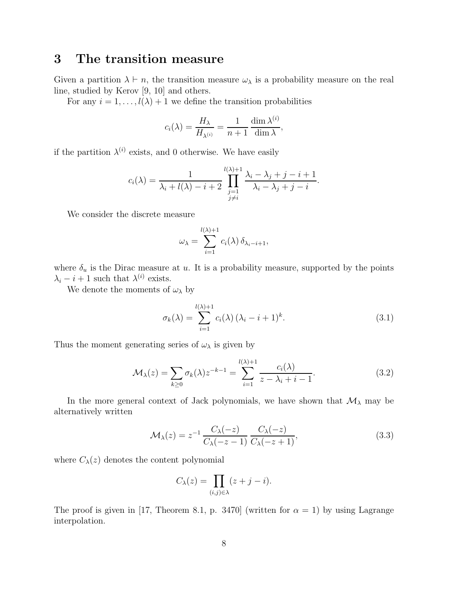# 3 The transition measure

Given a partition  $\lambda \vdash n$ , the transition measure  $\omega_{\lambda}$  is a probability measure on the real line, studied by Kerov [9, 10] and others.

For any  $i = 1, \ldots, l(\lambda) + 1$  we define the transition probabilities

$$
c_i(\lambda) = \frac{H_{\lambda}}{H_{\lambda^{(i)}}} = \frac{1}{n+1} \frac{\dim \lambda^{(i)}}{\dim \lambda},
$$

if the partition  $\lambda^{(i)}$  exists, and 0 otherwise. We have easily

$$
c_i(\lambda) = \frac{1}{\lambda_i + l(\lambda) - i + 2} \prod_{\substack{j=1 \ j \neq i}}^{l(\lambda)+1} \frac{\lambda_i - \lambda_j + j - i + 1}{\lambda_i - \lambda_j + j - i}.
$$

We consider the discrete measure

$$
\omega_{\lambda} = \sum_{i=1}^{l(\lambda)+1} c_i(\lambda) \, \delta_{\lambda_i - i + 1},
$$

where  $\delta_u$  is the Dirac measure at u. It is a probability measure, supported by the points  $\lambda_i - i + 1$  such that  $\lambda^{(i)}$  exists.

We denote the moments of  $\omega_{\lambda}$  by

$$
\sigma_k(\lambda) = \sum_{i=1}^{l(\lambda)+1} c_i(\lambda) (\lambda_i - i + 1)^k.
$$
\n(3.1)

Thus the moment generating series of  $\omega_{\lambda}$  is given by

$$
\mathcal{M}_{\lambda}(z) = \sum_{k \ge 0} \sigma_k(\lambda) z^{-k-1} = \sum_{i=1}^{l(\lambda)+1} \frac{c_i(\lambda)}{z - \lambda_i + i - 1}.
$$
\n(3.2)

In the more general context of Jack polynomials, we have shown that  $\mathcal{M}_{\lambda}$  may be alternatively written

$$
\mathcal{M}_{\lambda}(z) = z^{-1} \frac{C_{\lambda}(-z)}{C_{\lambda}(-z-1)} \frac{C_{\lambda}(-z)}{C_{\lambda}(-z+1)},
$$
\n(3.3)

where  $C_{\lambda}(z)$  denotes the content polynomial

$$
C_{\lambda}(z) = \prod_{(i,j)\in\lambda} (z+j-i).
$$

The proof is given in [17, Theorem 8.1, p. 3470] (written for  $\alpha = 1$ ) by using Lagrange interpolation.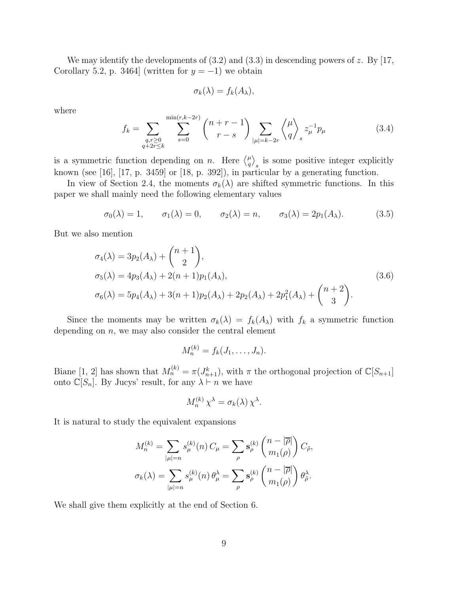We may identify the developments of  $(3.2)$  and  $(3.3)$  in descending powers of z. By [17, Corollary 5.2, p. 3464] (written for  $y = -1$ ) we obtain

$$
\sigma_k(\lambda) = f_k(A_\lambda),
$$

where

$$
f_k = \sum_{\substack{q,r \ge 0 \\ q+2r \le k}} \sum_{s=0}^{\min(r,k-2r)} \binom{n+r-1}{r-s} \sum_{|\mu|=k-2r} \binom{\mu}{q}_s z_{\mu}^{-1} p_{\mu}
$$
(3.4)

is a symmetric function depending on *n*. Here  $\binom{\mu}{a}$  $_{q}^{\mu} \rangle$ s is some positive integer explicitly known (see [16], [17, p. 3459] or [18, p. 392]), in particular by a generating function.

In view of Section 2.4, the moments  $\sigma_k(\lambda)$  are shifted symmetric functions. In this paper we shall mainly need the following elementary values

$$
\sigma_0(\lambda) = 1, \qquad \sigma_1(\lambda) = 0, \qquad \sigma_2(\lambda) = n, \qquad \sigma_3(\lambda) = 2p_1(A_{\lambda}). \tag{3.5}
$$

But we also mention

$$
\sigma_4(\lambda) = 3p_2(A_{\lambda}) + {n+1 \choose 2},
$$
  
\n
$$
\sigma_5(\lambda) = 4p_3(A_{\lambda}) + 2(n+1)p_1(A_{\lambda}),
$$
  
\n
$$
\sigma_6(\lambda) = 5p_4(A_{\lambda}) + 3(n+1)p_2(A_{\lambda}) + 2p_2(A_{\lambda}) + 2p_1^2(A_{\lambda}) + {n+2 \choose 3}.
$$
\n(3.6)

Since the moments may be written  $\sigma_k(\lambda) = f_k(A_\lambda)$  with  $f_k$  a symmetric function depending on  $n$ , we may also consider the central element

$$
M_n^{(k)} = f_k(J_1,\ldots,J_n).
$$

Biane [1, 2] has shown that  $M_n^{(k)} = \pi(J_{n+1}^k)$ , with  $\pi$  the orthogonal projection of  $\mathbb{C}[S_{n+1}]$ onto  $\mathbb{C}[S_n]$ . By Jucys' result, for any  $\lambda \vdash n$  we have

$$
M_n^{(k)} \chi^{\lambda} = \sigma_k(\lambda) \chi^{\lambda}.
$$

It is natural to study the equivalent expansions

$$
M_n^{(k)} = \sum_{|\mu|=n} s_{\mu}^{(k)}(n) C_{\mu} = \sum_{\rho} s_{\rho}^{(k)} \binom{n-|\overline{\rho}|}{m_1(\rho)} C_{\tilde{\rho}},
$$
  

$$
\sigma_k(\lambda) = \sum_{|\mu|=n} s_{\mu}^{(k)}(n) \theta_{\mu}^{\lambda} = \sum_{\rho} s_{\rho}^{(k)} \binom{n-|\overline{\rho}|}{m_1(\rho)} \theta_{\tilde{\rho}}^{\lambda}.
$$

We shall give them explicitly at the end of Section 6.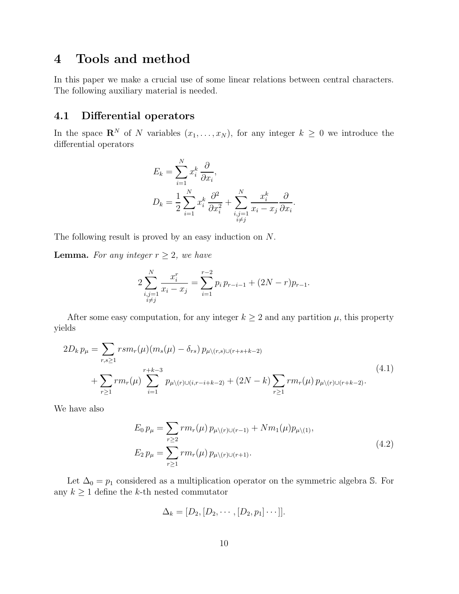# 4 Tools and method

In this paper we make a crucial use of some linear relations between central characters. The following auxiliary material is needed.

### 4.1 Differential operators

In the space  $\mathbf{R}^N$  of N variables  $(x_1, \ldots, x_N)$ , for any integer  $k \geq 0$  we introduce the differential operators

$$
E_k = \sum_{i=1}^N x_i^k \frac{\partial}{\partial x_i},
$$
  

$$
D_k = \frac{1}{2} \sum_{i=1}^N x_i^k \frac{\partial^2}{\partial x_i^2} + \sum_{\substack{i,j=1 \ i \neq j}}^N \frac{x_i^k}{x_i - x_j} \frac{\partial}{\partial x_i}.
$$

The following result is proved by an easy induction on N.

**Lemma.** For any integer  $r \geq 2$ , we have

$$
2\sum_{\substack{i,j=1 \ i \neq j}}^{N} \frac{x_i^r}{x_i - x_j} = \sum_{i=1}^{r-2} p_i p_{r-i-1} + (2N - r) p_{r-1}.
$$

After some easy computation, for any integer  $k \geq 2$  and any partition  $\mu$ , this property yields

$$
2D_k p_{\mu} = \sum_{r,s\geq 1} r s m_r(\mu) (m_s(\mu) - \delta_{rs}) p_{\mu \setminus (r,s) \cup (r+s+k-2)} + \sum_{r\geq 1} r m_r(\mu) \sum_{i=1}^{r+k-3} p_{\mu \setminus (r) \cup (i,r-i+k-2)} + (2N-k) \sum_{r\geq 1} r m_r(\mu) p_{\mu \setminus (r) \cup (r+k-2)}.
$$
\n(4.1)

We have also

$$
E_0 p_\mu = \sum_{r \ge 2} r m_r(\mu) p_{\mu \setminus (r) \cup (r-1)} + N m_1(\mu) p_{\mu \setminus (1)},
$$
  
\n
$$
E_2 p_\mu = \sum_{r \ge 1} r m_r(\mu) p_{\mu \setminus (r) \cup (r+1)}.
$$
\n(4.2)

Let  $\Delta_0 = p_1$  considered as a multiplication operator on the symmetric algebra S. For any  $k \geq 1$  define the k-th nested commutator

$$
\Delta_k=[D_2,[D_2,\cdots,[D_2,p_1]\cdots]].
$$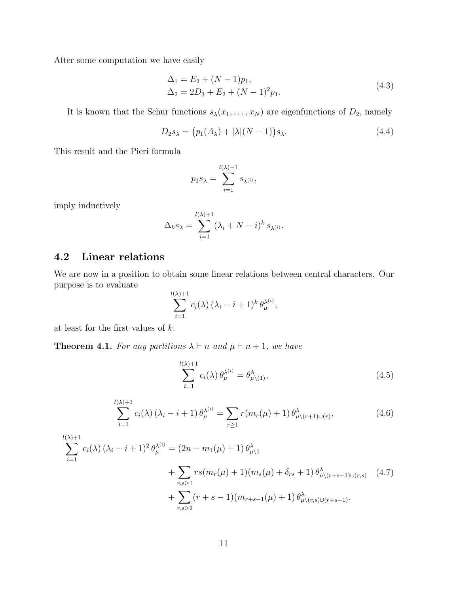After some computation we have easily

$$
\Delta_1 = E_2 + (N - 1)p_1,\n\Delta_2 = 2D_3 + E_2 + (N - 1)^2 p_1.
$$
\n(4.3)

It is known that the Schur functions  $s_{\lambda}(x_1, \ldots, x_N)$  are eigenfunctions of  $D_2$ , namely

$$
D_2 s_\lambda = (p_1(A_\lambda) + |\lambda|(N-1)) s_\lambda.
$$
\n(4.4)

This result and the Pieri formula

$$
p_1 s_\lambda = \sum_{i=1}^{l(\lambda)+1} s_{\lambda^{(i)}},
$$

imply inductively

$$
\Delta_k s_\lambda = \sum_{i=1}^{l(\lambda)+1} (\lambda_i + N - i)^k s_{\lambda^{(i)}}.
$$

### 4.2 Linear relations

We are now in a position to obtain some linear relations between central characters. Our purpose is to evaluate

$$
\sum_{i=1}^{l(\lambda)+1} c_i(\lambda) (\lambda_i - i + 1)^k \theta_{\mu}^{\lambda^{(i)}},
$$

at least for the first values of k.

**Theorem 4.1.** For any partitions  $\lambda \vdash n$  and  $\mu \vdash n+1$ , we have

$$
\sum_{i=1}^{l(\lambda)+1} c_i(\lambda) \theta_{\mu}^{\lambda^{(i)}} = \theta_{\mu \setminus (1)}^{\lambda}, \qquad (4.5)
$$

$$
\sum_{i=1}^{l(\lambda)+1} c_i(\lambda) (\lambda_i - i + 1) \theta_{\mu}^{\lambda^{(i)}} = \sum_{r \ge 1} r(m_r(\mu) + 1) \theta_{\mu \setminus (r+1) \cup (r)}^{\lambda}, \qquad (4.6)
$$

$$
\sum_{i=1}^{l(\lambda)+1} c_i(\lambda) (\lambda_i - i + 1)^2 \theta_{\mu}^{\lambda^{(i)}} = (2n - m_1(\mu) + 1) \theta_{\mu \lambda 1}^{\lambda} + \sum_{r,s \ge 1} r s(m_r(\mu) + 1)(m_s(\mu) + \delta_{rs} + 1) \theta_{\mu \lambda(r+s+1) \cup (r,s)}^{\lambda} \qquad (4.7)
$$
  
+ 
$$
\sum_{r,s \ge 2} (r+s-1)(m_{r+s-1}(\mu) + 1) \theta_{\mu \lambda(r,s) \cup (r+s-1)}^{\lambda}.
$$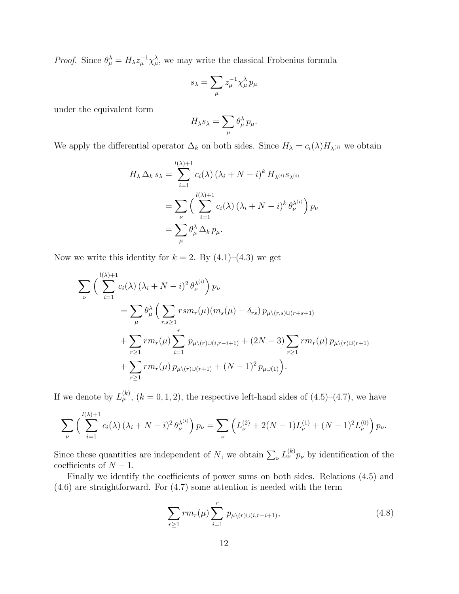*Proof.* Since  $\theta_{\mu}^{\lambda} = H_{\lambda} z_{\mu}^{-1} \chi_{\mu}^{\lambda}$ , we may write the classical Frobenius formula

$$
s_{\lambda} = \sum_{\mu} z_{\mu}^{-1} \chi_{\mu}^{\lambda} p_{\mu}
$$

under the equivalent form

$$
H_{\lambda} s_{\lambda} = \sum_{\mu} \theta_{\mu}^{\lambda} p_{\mu}.
$$

We apply the differential operator  $\Delta_k$  on both sides. Since  $H_\lambda = c_i(\lambda)H_{\lambda^{(i)}}$  we obtain

$$
H_{\lambda} \Delta_k s_{\lambda} = \sum_{i=1}^{l(\lambda)+1} c_i(\lambda) (\lambda_i + N - i)^k H_{\lambda^{(i)}} s_{\lambda^{(i)}}
$$
  
= 
$$
\sum_{\nu} \left( \sum_{i=1}^{l(\lambda)+1} c_i(\lambda) (\lambda_i + N - i)^k \theta_{\nu}^{\lambda^{(i)}} \right) p_{\nu}
$$
  
= 
$$
\sum_{\mu} \theta_{\mu}^{\lambda} \Delta_k p_{\mu}.
$$

Now we write this identity for  $k = 2$ . By  $(4.1)$ – $(4.3)$  we get

$$
\sum_{\nu} \left( \sum_{i=1}^{l(\lambda)+1} c_i(\lambda) (\lambda_i + N - i)^2 \theta_{\nu}^{\lambda^{(i)}} \right) p_{\nu}
$$
  
= 
$$
\sum_{\mu} \theta_{\mu}^{\lambda} \left( \sum_{r,s \ge 1} r s m_r(\mu) (m_s(\mu) - \delta_{rs}) p_{\mu \setminus (r,s) \cup (r+s+1)} + \sum_{r \ge 1} r m_r(\mu) \sum_{i=1}^r p_{\mu \setminus (r) \cup (i,r-i+1)} + (2N - 3) \sum_{r \ge 1} r m_r(\mu) p_{\mu \setminus (r) \cup (r+1)} + \sum_{r \ge 1} r m_r(\mu) p_{\mu \setminus (r) \cup (r+1)} + (N - 1)^2 p_{\mu \cup (1)} \right).
$$

If we denote by  $L_{\mu}^{(k)}$ ,  $(k = 0, 1, 2)$ , the respective left-hand sides of  $(4.5)$ – $(4.7)$ , we have

$$
\sum_{\nu} \left( \sum_{i=1}^{l(\lambda)+1} c_i(\lambda) \left( \lambda_i + N - i \right)^2 \theta_{\nu}^{\lambda^{(i)}} \right) p_{\nu} = \sum_{\nu} \left( L_{\nu}^{(2)} + 2(N-1) L_{\nu}^{(1)} + (N-1)^2 L_{\nu}^{(0)} \right) p_{\nu}.
$$

Since these quantities are independent of N, we obtain  $\sum_{\nu} L_{\nu}^{(k)} p_{\nu}$  by identification of the coefficients of  $N - 1$ .

Finally we identify the coefficients of power sums on both sides. Relations (4.5) and (4.6) are straightforward. For (4.7) some attention is needed with the term

$$
\sum_{r\geq 1} rm_r(\mu) \sum_{i=1}^r p_{\mu \setminus (r) \cup (i, r-i+1)},
$$
\n(4.8)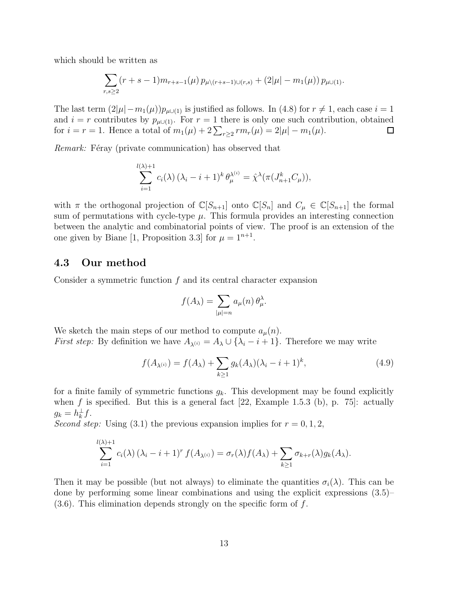which should be written as

$$
\sum_{r,s\geq 2} (r+s-1)m_{r+s-1}(\mu) p_{\mu\setminus (r+s-1)\cup (r,s)} + (2|\mu|-m_1(\mu)) p_{\mu\cup (1)}.
$$

The last term  $(2|\mu|-m_1(\mu))p_{\mu\cup(1)}$  is justified as follows. In (4.8) for  $r\neq 1$ , each case  $i=1$ and  $i = r$  contributes by  $p_{\mu\cup(1)}$ . For  $r = 1$  there is only one such contribution, obtained for  $i = r = 1$ . Hence a total of  $m_1(\mu) + 2\sum_{r \geq 2} r m_r(\mu) = 2|\mu| - m_1(\mu)$ .  $\Box$ 

Remark: Féray (private communication) has observed that

$$
\sum_{i=1}^{l(\lambda)+1} c_i(\lambda) (\lambda_i - i + 1)^k \theta_{\mu}^{\lambda^{(i)}} = \hat{\chi}^{\lambda}(\pi(J_{n+1}^k C_{\mu})),
$$

with  $\pi$  the orthogonal projection of  $\mathbb{C}[S_{n+1}]$  onto  $\mathbb{C}[S_n]$  and  $C_\mu \in \mathbb{C}[S_{n+1}]$  the formal sum of permutations with cycle-type  $\mu$ . This formula provides an interesting connection between the analytic and combinatorial points of view. The proof is an extension of the one given by Biane [1, Proposition 3.3] for  $\mu = 1^{n+1}$ .

#### 4.3 Our method

Consider a symmetric function  $f$  and its central character expansion

$$
f(A_{\lambda}) = \sum_{|\mu|=n} a_{\mu}(n) \theta_{\mu}^{\lambda}.
$$

We sketch the main steps of our method to compute  $a_\mu(n)$ . *First step:* By definition we have  $A_{\lambda^{(i)}} = A_{\lambda} \cup \{\lambda_i - i + 1\}$ . Therefore we may write

$$
f(A_{\lambda^{(i)}}) = f(A_{\lambda}) + \sum_{k \ge 1} g_k(A_{\lambda})(\lambda_i - i + 1)^k,
$$
\n(4.9)

for a finite family of symmetric functions  $g_k$ . This development may be found explicitly when f is specified. But this is a general fact  $[22, \text{Example 1.5.3 (b)}, p. 75]$ : actually  $g_k = h_k^{\perp} f.$ 

Second step: Using (3.1) the previous expansion implies for  $r = 0, 1, 2$ ,

$$
\sum_{i=1}^{l(\lambda)+1} c_i(\lambda) (\lambda_i - i + 1)^r f(A_{\lambda^{(i)}}) = \sigma_r(\lambda) f(A_{\lambda}) + \sum_{k \ge 1} \sigma_{k+r}(\lambda) g_k(A_{\lambda}).
$$

Then it may be possible (but not always) to eliminate the quantities  $\sigma_i(\lambda)$ . This can be done by performing some linear combinations and using the explicit expressions (3.5)–  $(3.6)$ . This elimination depends strongly on the specific form of f.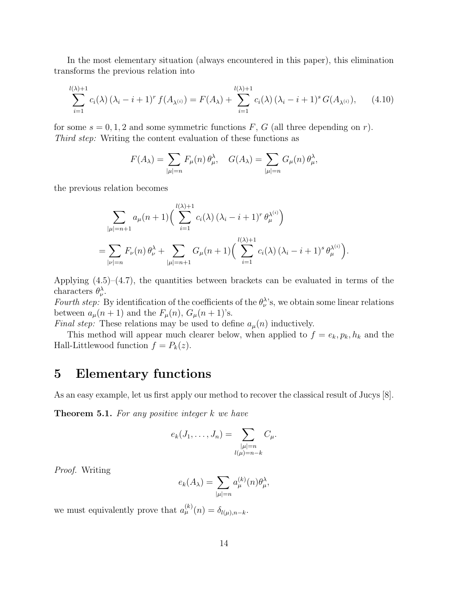In the most elementary situation (always encountered in this paper), this elimination transforms the previous relation into

$$
\sum_{i=1}^{l(\lambda)+1} c_i(\lambda) (\lambda_i - i + 1)^r f(A_{\lambda^{(i)}}) = F(A_{\lambda}) + \sum_{i=1}^{l(\lambda)+1} c_i(\lambda) (\lambda_i - i + 1)^s G(A_{\lambda^{(i)}}), \quad (4.10)
$$

for some  $s = 0, 1, 2$  and some symmetric functions F, G (all three depending on r). Third step: Writing the content evaluation of these functions as

$$
F(A_{\lambda}) = \sum_{|\mu|=n} F_{\mu}(n) \theta_{\mu}^{\lambda}, \quad G(A_{\lambda}) = \sum_{|\mu|=n} G_{\mu}(n) \theta_{\mu}^{\lambda},
$$

the previous relation becomes

$$
\sum_{|\mu|=n+1} a_{\mu}(n+1) \Big( \sum_{i=1}^{l(\lambda)+1} c_i(\lambda) (\lambda_i - i + 1)^r \theta_{\mu}^{\lambda^{(i)}} \Big)
$$
  
= 
$$
\sum_{|\nu|=n} F_{\nu}(n) \theta_{\nu}^{\lambda} + \sum_{|\mu|=n+1} G_{\mu}(n+1) \Big( \sum_{i=1}^{l(\lambda)+1} c_i(\lambda) (\lambda_i - i + 1)^s \theta_{\mu}^{\lambda^{(i)}} \Big).
$$

Applying  $(4.5)$ – $(4.7)$ , the quantities between brackets can be evaluated in terms of the characters  $\theta_{\nu}^{\lambda}$ .

Fourth step: By identification of the coefficients of the  $\theta_{\nu}^{\lambda}$ 's, we obtain some linear relations between  $a_\mu(n+1)$  and the  $F_\mu(n)$ ,  $G_\mu(n+1)$ 's.

*Final step:* These relations may be used to define  $a_\mu(n)$  inductively.

This method will appear much clearer below, when applied to  $f = e_k, p_k, h_k$  and the Hall-Littlewood function  $f = P_k(z)$ .

# 5 Elementary functions

As an easy example, let us first apply our method to recover the classical result of Jucys [8].

**Theorem 5.1.** For any positive integer  $k$  we have

$$
e_k(J_1,\ldots,J_n)=\sum_{\substack{|\mu|=n\\l(\mu)=n-k}}C_{\mu}.
$$

Proof. Writing

$$
e_k(A_\lambda) = \sum_{|\mu|=n} a_{\mu}^{(k)}(n) \theta_{\mu}^{\lambda},
$$

we must equivalently prove that  $a_{\mu}^{(k)}(n) = \delta_{l(\mu),n-k}$ .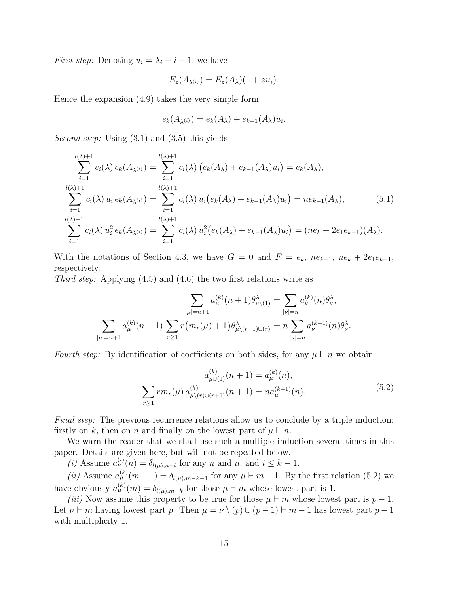*First step:* Denoting  $u_i = \lambda_i - i + 1$ , we have

$$
E_z(A_{\lambda^{(i)}}) = E_z(A_{\lambda})(1 + zu_i).
$$

Hence the expansion (4.9) takes the very simple form

$$
e_k(A_{\lambda^{(i)}}) = e_k(A_{\lambda}) + e_{k-1}(A_{\lambda})u_i.
$$

Second step: Using  $(3.1)$  and  $(3.5)$  this yields

$$
\sum_{i=1}^{l(\lambda)+1} c_i(\lambda) e_k(A_{\lambda^{(i)}}) = \sum_{i=1}^{l(\lambda)+1} c_i(\lambda) (e_k(A_{\lambda}) + e_{k-1}(A_{\lambda})u_i) = e_k(A_{\lambda}),
$$
  
\n
$$
\sum_{i=1}^{l(\lambda)+1} c_i(\lambda) u_i e_k(A_{\lambda^{(i)}}) = \sum_{i=1}^{l(\lambda)+1} c_i(\lambda) u_i (e_k(A_{\lambda}) + e_{k-1}(A_{\lambda})u_i) = n e_{k-1}(A_{\lambda}),
$$
  
\n
$$
\sum_{i=1}^{l(\lambda)+1} c_i(\lambda) u_i^2 e_k(A_{\lambda^{(i)}}) = \sum_{i=1}^{l(\lambda)+1} c_i(\lambda) u_i^2 (e_k(A_{\lambda}) + e_{k-1}(A_{\lambda})u_i) = (n e_k + 2e_1 e_{k-1})(A_{\lambda}).
$$
  
\n(5.1)

With the notations of Section 4.3, we have  $G = 0$  and  $F = e_k$ ,  $ne_{k-1}$ ,  $ne_k + 2e_1e_{k-1}$ , respectively.

Third step: Applying (4.5) and (4.6) the two first relations write as

$$
\sum_{|\mu|=n+1} a_{\mu}^{(k)}(n+1) \theta_{\mu \backslash (1)}^{\lambda} = \sum_{|\nu|=n} a_{\nu}^{(k)}(n) \theta_{\nu}^{\lambda},
$$

$$
\sum_{|\mu|=n+1} a_{\mu}^{(k)}(n+1) \sum_{r \ge 1} r(m_r(\mu) + 1) \theta_{\mu \backslash (r+1) \cup (r)}^{\lambda} = n \sum_{|\nu|=n} a_{\nu}^{(k-1)}(n) \theta_{\nu}^{\lambda}.
$$

Fourth step: By identification of coefficients on both sides, for any  $\mu \vdash n$  we obtain

$$
a_{\mu\cup(1)}^{(k)}(n+1) = a_{\mu}^{(k)}(n),
$$
  

$$
\sum_{r\geq 1} rm_r(\mu) a_{\mu\setminus(r)\cup(r+1)}^{(k)}(n+1) = na_{\mu}^{(k-1)}(n).
$$
 (5.2)

Final step: The previous recurrence relations allow us to conclude by a triple induction: firstly on k, then on n and finally on the lowest part of  $\mu \vdash n$ .

We warn the reader that we shall use such a multiple induction several times in this paper. Details are given here, but will not be repeated below.

(i) Assume  $a_{\mu}^{(i)}(n) = \delta_{l(\mu),n-i}$  for any n and  $\mu$ , and  $i \leq k-1$ .

(ii) Assume  $a_{\mu}^{(k)}(m-1) = \delta_{l(\mu),m-k-1}$  for any  $\mu \vdash m-1$ . By the first relation (5.2) we have obviously  $a_{\mu}^{(k)}(m) = \delta_{l(\mu),m-k}$  for those  $\mu \vdash m$  whose lowest part is 1.

(iii) Now assume this property to be true for those  $\mu \vdash m$  whose lowest part is  $p-1$ . Let  $\nu \vdash m$  having lowest part p. Then  $\mu = \nu \setminus (p) \cup (p-1) \vdash m-1$  has lowest part  $p-1$ with multiplicity 1.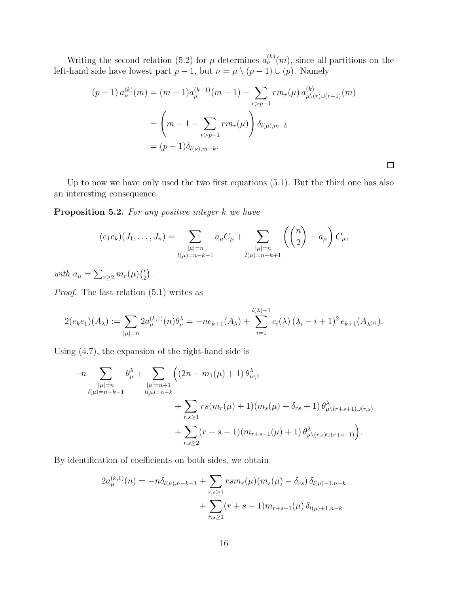Writing the second relation (5.2) for  $\mu$  determines  $a_{\nu}^{(k)}(m)$ , since all partitions on the left-hand side have lowest part  $p-1$ , but  $\nu = \mu \setminus (p-1) \cup (p)$ . Namely

$$
(p-1) a_{\nu}^{(k)}(m) = (m-1)a_{\mu}^{(k-1)}(m-1) - \sum_{r>p-1} r m_r(\mu) a_{\mu \setminus (r) \cup (r+1)}^{(k)}(m)
$$
  
= 
$$
\left(m-1 - \sum_{r>p-1} r m_r(\mu)\right) \delta_{l(\mu),m-k}
$$
  
= 
$$
(p-1)\delta_{l(\nu),m-k}.
$$

 $\Box$ 

Up to now we have only used the two first equations (5.1). But the third one has also an interesting consequence.

Proposition 5.2. For any positive integer k we have

$$
(e_1e_k)(J_1,\ldots,J_n) = \sum_{\substack{|\mu|=n\\ l(\mu)=n-k-1}} a_{\mu}C_{\mu} + \sum_{\substack{|\mu|=n\\ l(\mu)=n-k+1}} \left( \binom{n}{2} - a_{\mu} \right) C_{\mu},
$$

with  $a_{\mu} = \sum_{r\geq 2} m_r(\mu) \binom{r}{2}$  $\binom{r}{2}$ .

Proof. The last relation (5.1) writes as

$$
2(e_k e_1)(A_\lambda) := \sum_{|\mu|=n} 2a_{\mu}^{(k,1)}(n)\theta_{\mu}^{\lambda} = -ne_{k+1}(A_\lambda) + \sum_{i=1}^{l(\lambda)+1} c_i(\lambda) (\lambda_i - i + 1)^2 e_{k+1}(A_{\lambda^{(i)}}).
$$

Using (4.7), the expansion of the right-hand side is

$$
-n \sum_{\substack{|\mu|=n \\ l(\mu)=n-k-1}} \theta_{\mu}^{\lambda} + \sum_{\substack{|\mu|=n+1 \\ l(\mu)=n-k}} \left( (2n - m_1(\mu) + 1) \, \theta_{\mu \setminus 1}^{\lambda} + \sum_{r,s \ge 1} rs(m_r(\mu) + 1)(m_s(\mu) + \delta_{rs} + 1) \, \theta_{\mu \setminus (r+s+1) \cup (r,s)}^{\lambda} + \sum_{r,s \ge 1} (r+s-1)(m_{r+s-1}(\mu) + 1) \, \theta_{\mu \setminus (r,s) \cup (r+s-1)}^{\lambda} \right).
$$

By identification of coefficients on both sides, we obtain

$$
2a_{\mu}^{(k,1)}(n) = -n\delta_{l(\mu),n-k-1} + \sum_{r,s\geq 1} rsm_r(\mu)(m_s(\mu) - \delta_{rs}) \delta_{l(\mu)-1,n-k} + \sum_{r,s\geq 1} (r+s-1)m_{r+s-1}(\mu) \delta_{l(\mu)+1,n-k}.
$$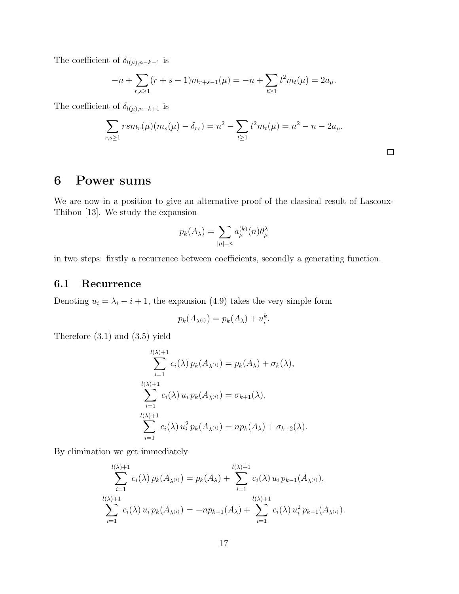The coefficient of  $\delta_{l(\mu),n-k-1}$  is

$$
-n + \sum_{r,s \ge 1} (r+s-1)m_{r+s-1}(\mu) = -n + \sum_{t \ge 1} t^2 m_t(\mu) = 2a_{\mu}.
$$

The coefficient of  $\delta_{l(\mu),n-k+1}$  is

$$
\sum_{r,s\geq 1} rsm_r(\mu)(m_s(\mu)-\delta_{rs})=n^2-\sum_{t\geq 1}t^2m_t(\mu)=n^2-n-2a_\mu.
$$

# 6 Power sums

We are now in a position to give an alternative proof of the classical result of Lascoux-Thibon [13]. We study the expansion

$$
p_k(A_\lambda) = \sum_{|\mu|=n} a_{\mu}^{(k)}(n) \theta_{\mu}^{\lambda}
$$

in two steps: firstly a recurrence between coefficients, secondly a generating function.

### 6.1 Recurrence

Denoting  $u_i = \lambda_i - i + 1$ , the expansion (4.9) takes the very simple form

$$
p_k(A_{\lambda^{(i)}}) = p_k(A_{\lambda}) + u_i^k.
$$

Therefore (3.1) and (3.5) yield

$$
\sum_{i=1}^{l(\lambda)+1} c_i(\lambda) p_k(A_{\lambda^{(i)}}) = p_k(A_{\lambda}) + \sigma_k(\lambda),
$$
  

$$
\sum_{i=1}^{l(\lambda)+1} c_i(\lambda) u_i p_k(A_{\lambda^{(i)}}) = \sigma_{k+1}(\lambda),
$$
  

$$
\sum_{i=1}^{l(\lambda)+1} c_i(\lambda) u_i^2 p_k(A_{\lambda^{(i)}}) = np_k(A_{\lambda}) + \sigma_{k+2}(\lambda).
$$

By elimination we get immediately

$$
\sum_{i=1}^{l(\lambda)+1} c_i(\lambda) p_k(A_{\lambda^{(i)}}) = p_k(A_{\lambda}) + \sum_{i=1}^{l(\lambda)+1} c_i(\lambda) u_i p_{k-1}(A_{\lambda^{(i)}}),
$$
  

$$
\sum_{i=1}^{l(\lambda)+1} c_i(\lambda) u_i p_k(A_{\lambda^{(i)}}) = -np_{k-1}(A_{\lambda}) + \sum_{i=1}^{l(\lambda)+1} c_i(\lambda) u_i^2 p_{k-1}(A_{\lambda^{(i)}}).
$$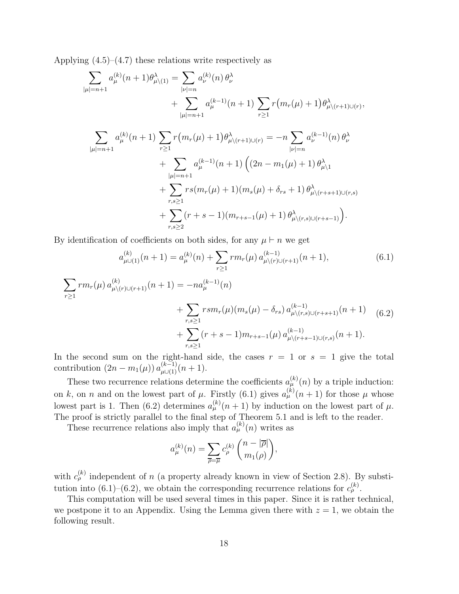Applying  $(4.5)$ – $(4.7)$  these relations write respectively as

$$
\sum_{|\mu|=n+1} a_{\mu}^{(k)}(n+1)\theta_{\mu\backslash(1)}^{\lambda} = \sum_{|\nu|=n} a_{\nu}^{(k)}(n)\theta_{\nu}^{\lambda}
$$
  
+ 
$$
\sum_{|\mu|=n+1} a_{\mu}^{(k-1)}(n+1)\sum_{r\geq 1} r(m_{r}(\mu)+1)\theta_{\mu\backslash(r+1)\cup(r)}^{\lambda},
$$
  

$$
\sum_{|\mu|=n+1} a_{\mu}^{(k)}(n+1)\sum_{r\geq 1} r(m_{r}(\mu)+1)\theta_{\mu\backslash(r+1)\cup(r)}^{\lambda} = -n\sum_{|\nu|=n} a_{\nu}^{(k-1)}(n)\theta_{\nu}^{\lambda}
$$
  
+ 
$$
\sum_{|\mu|=n+1} a_{\mu}^{(k-1)}(n+1)\left((2n-m_{1}(\mu)+1)\theta_{\mu\backslash 1}^{\lambda} + \sum_{r,s\geq 1} rs(m_{r}(\mu)+1)(m_{s}(\mu)+\delta_{rs}+1)\theta_{\mu\backslash(r+s+1)\cup(r,s)}^{\lambda}
$$
  
+ 
$$
\sum_{r,s\geq 2} (r+s-1)(m_{r+s-1}(\mu)+1)\theta_{\mu\backslash(r,s)\cup(r+s-1)}^{\lambda}).
$$

By identification of coefficients on both sides, for any  $\mu \vdash n$  we get

$$
a_{\mu\cup(1)}^{(k)}(n+1) = a_{\mu}^{(k)}(n) + \sum_{r\geq 1} r m_r(\mu) a_{\mu\setminus(r)\cup(r+1)}^{(k-1)}(n+1),
$$
(6.1)  

$$
\sum_{r\geq 1} r m_r(\mu) a_{\mu\setminus(r)\cup(r+1)}^{(k)}(n+1) = -n a_{\mu}^{(k-1)}(n)
$$

$$
+ \sum_{r,s\geq 1} r s m_r(\mu) (m_s(\mu) - \delta_{rs}) a_{\mu\setminus(r,s)\cup(r+s+1)}^{(k-1)}(n+1)
$$
(6.2)  

$$
+ \sum_{r,s\geq 1} (r+s-1) m_{r+s-1}(\mu) a_{\mu\setminus(r+s-1)\cup(r,s)}^{(k-1)}(n+1).
$$

In the second sum on the right-hand side, the cases  $r = 1$  or  $s = 1$  give the total contribution  $(2n - m_1(\mu)) a_{\mu \cup (1)}^{(k-1)}(n+1)$ .

These two recurrence relations determine the coefficients  $a_{\mu}^{(k)}(n)$  by a triple induction: on k, on n and on the lowest part of  $\mu$ . Firstly (6.1) gives  $a_{\mu}^{(k)}(n+1)$  for those  $\mu$  whose lowest part is 1. Then (6.2) determines  $a_{\mu}^{(k)}(n+1)$  by induction on the lowest part of  $\mu$ . The proof is strictly parallel to the final step of Theorem 5.1 and is left to the reader.

These recurrence relations also imply that  $a_{\mu}^{(k)}(n)$  writes as

$$
a_{\mu}^{(k)}(n) = \sum_{\overline{\rho} = \overline{\mu}} c_{\rho}^{(k)} \binom{n - |\overline{\rho}|}{m_1(\rho)},
$$

with  $c_{\rho}^{(k)}$  independent of n (a property already known in view of Section 2.8). By substitution into (6.1)–(6.2), we obtain the corresponding recurrence relations for  $c_{\rho}^{(k)}$ .

This computation will be used several times in this paper. Since it is rather technical, we postpone it to an Appendix. Using the Lemma given there with  $z = 1$ , we obtain the following result.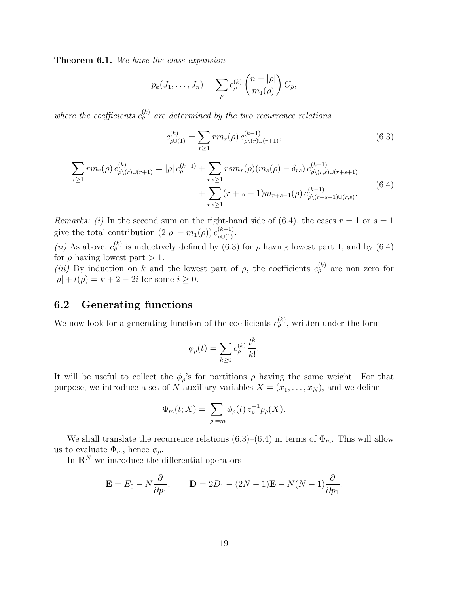Theorem 6.1. We have the class expansion

$$
p_k(J_1,\ldots,J_n)=\sum_{\rho}c_{\rho}^{(k)}\binom{n-|\overline{\rho}|}{m_1(\rho)}C_{\tilde{\rho}},
$$

where the coefficients  $c_{\rho}^{(k)}$  are determined by the two recurrence relations

$$
c_{\rho\cup(1)}^{(k)} = \sum_{r\geq 1} rm_r(\rho) c_{\rho\setminus(r)\cup(r+1)}^{(k-1)},
$$
\n(6.3)

$$
\sum_{r\geq 1} rm_r(\rho) c_{\rho \setminus (r) \cup (r+1)}^{(k)} = |\rho| c_{\rho}^{(k-1)} + \sum_{r,s\geq 1} r s m_r(\rho) (m_s(\rho) - \delta_{rs}) c_{\rho \setminus (r,s) \cup (r+s+1)}^{(k-1)} + \sum_{r,s\geq 1} (r+s-1) m_{r+s-1}(\rho) c_{\rho \setminus (r+s-1) \cup (r,s)}^{(k-1)}.
$$
\n(6.4)

*Remarks: (i)* In the second sum on the right-hand side of (6.4), the cases  $r = 1$  or  $s = 1$ give the total contribution  $(2|\rho|-m_1(\rho)) c_{\rho\cup(1)}^{(k-1)}$ .

(ii) As above,  $c_{\rho}^{(k)}$  is inductively defined by (6.3) for  $\rho$  having lowest part 1, and by (6.4) for  $\rho$  having lowest part  $> 1$ .

(iii) By induction on k and the lowest part of  $\rho$ , the coefficients  $c_{\rho}^{(k)}$  are non zero for  $|\rho| + l(\rho) = k + 2 - 2i$  for some  $i \ge 0$ .

### 6.2 Generating functions

We now look for a generating function of the coefficients  $c_{\rho}^{(k)}$ , written under the form

$$
\phi_{\rho}(t) = \sum_{k \geq 0} c_{\rho}^{(k)} \frac{t^k}{k!}.
$$

It will be useful to collect the  $\phi_{\rho}$ 's for partitions  $\rho$  having the same weight. For that purpose, we introduce a set of N auxiliary variables  $X = (x_1, \ldots, x_N)$ , and we define

$$
\Phi_m(t;X) = \sum_{|\rho|=m} \phi_\rho(t) z_\rho^{-1} p_\rho(X).
$$

We shall translate the recurrence relations (6.3)–(6.4) in terms of  $\Phi_m$ . This will allow us to evaluate  $\Phi_m$ , hence  $\phi_\rho$ .

In  $\mathbf{R}^N$  we introduce the differential operators

$$
\mathbf{E} = E_0 - N \frac{\partial}{\partial p_1}, \qquad \mathbf{D} = 2D_1 - (2N - 1)\mathbf{E} - N(N - 1)\frac{\partial}{\partial p_1}.
$$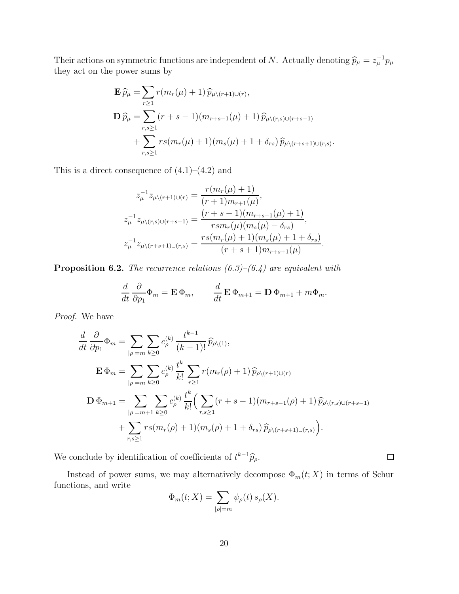Their actions on symmetric functions are independent of N. Actually denoting  $\hat{p}_{\mu} = z_{\mu}^{-1} p_{\mu}$ they act on the power sums by

$$
\mathbf{E}\,\widehat{p}_{\mu} = \sum_{r\geq 1} r(m_r(\mu) + 1)\,\widehat{p}_{\mu\backslash (r+1)\cup (r)},
$$
\n
$$
\mathbf{D}\,\widehat{p}_{\mu} = \sum_{r,s\geq 1} (r+s-1)(m_{r+s-1}(\mu) + 1)\,\widehat{p}_{\mu\backslash (r,s)\cup (r+s-1)} + \sum_{r,s\geq 1} rs(m_r(\mu) + 1)(m_s(\mu) + 1 + \delta_{rs})\,\widehat{p}_{\mu\backslash (r+s+1)\cup (r,s)}.
$$

This is a direct consequence of  $(4.1)–(4.2)$  and

$$
z_{\mu}^{-1}z_{\mu\setminus(r+1)\cup(r)} = \frac{r(m_r(\mu)+1)}{(r+1)m_{r+1}(\mu)},
$$
  
\n
$$
z_{\mu}^{-1}z_{\mu\setminus(r,s)\cup(r+s-1)} = \frac{(r+s-1)(m_{r+s-1}(\mu)+1)}{rsm_r(\mu)(m_s(\mu)-\delta_{rs})},
$$
  
\n
$$
z_{\mu}^{-1}z_{\mu\setminus(r+s+1)\cup(r,s)} = \frac{rs(m_r(\mu)+1)(m_s(\mu)+1+\delta_{rs})}{(r+s+1)m_{r+s+1}(\mu)}.
$$

**Proposition 6.2.** The recurrence relations  $(6.3)$ – $(6.4)$  are equivalent with

$$
\frac{d}{dt}\frac{\partial}{\partial p_1}\Phi_m = \mathbf{E}\,\Phi_m, \qquad \frac{d}{dt}\,\mathbf{E}\,\Phi_{m+1} = \mathbf{D}\,\Phi_{m+1} + m\Phi_m.
$$

Proof. We have

$$
\frac{d}{dt} \frac{\partial}{\partial p_1} \Phi_m = \sum_{|\rho|=m} \sum_{k\geq 0} c_{\rho}^{(k)} \frac{t^{k-1}}{(k-1)!} \widehat{p}_{\rho\backslash(1)},
$$
\n
$$
\mathbf{E} \Phi_m = \sum_{|\rho|=m} \sum_{k\geq 0} c_{\rho}^{(k)} \frac{t^k}{k!} \sum_{r\geq 1} r(m_r(\rho) + 1) \widehat{p}_{\rho\backslash(r+1)\cup(r)}
$$
\n
$$
\mathbf{D} \Phi_{m+1} = \sum_{|\rho|=m+1} \sum_{k\geq 0} c_{\rho}^{(k)} \frac{t^k}{k!} \Big( \sum_{r,s\geq 1} (r+s-1) (m_{r+s-1}(\rho) + 1) \widehat{p}_{\rho\backslash(r,s)\cup(r+s-1)}
$$
\n
$$
+ \sum_{r,s\geq 1} r s(m_r(\rho) + 1) (m_s(\rho) + 1 + \delta_{rs}) \widehat{p}_{\rho\backslash(r+s+1)\cup(r,s)} \Big).
$$

We conclude by identification of coefficients of  $t^{k-1}\widehat{p}_{\rho}$ .

Instead of power sums, we may alternatively decompose  $\Phi_m(t;X)$  in terms of Schur functions, and write

$$
\Phi_m(t;X) = \sum_{|\rho|=m} \psi_\rho(t) \, s_\rho(X).
$$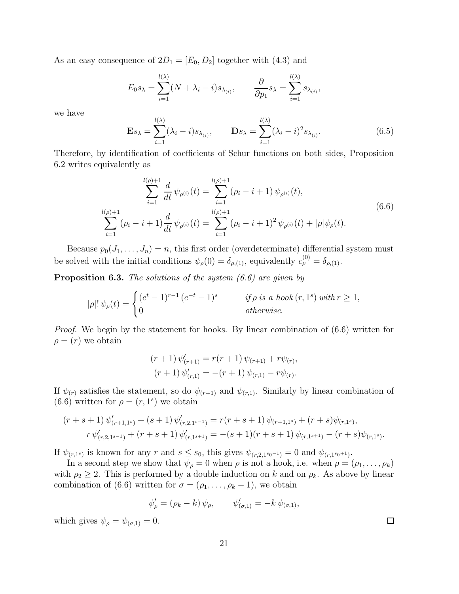As an easy consequence of  $2D_1 = [E_0, D_2]$  together with  $(4.3)$  and

$$
E_0 s_\lambda = \sum_{i=1}^{l(\lambda)} (N + \lambda_i - i) s_{\lambda_{(i)}}, \qquad \frac{\partial}{\partial p_1} s_\lambda = \sum_{i=1}^{l(\lambda)} s_{\lambda_{(i)}},
$$

we have

$$
\mathbf{E}s_{\lambda} = \sum_{i=1}^{l(\lambda)} (\lambda_i - i)s_{\lambda_{(i)}}, \qquad \mathbf{D}s_{\lambda} = \sum_{i=1}^{l(\lambda)} (\lambda_i - i)^2 s_{\lambda_{(i)}}.
$$
 (6.5)

Therefore, by identification of coefficients of Schur functions on both sides, Proposition 6.2 writes equivalently as

$$
\sum_{i=1}^{l(\rho)+1} \frac{d}{dt} \psi_{\rho^{(i)}}(t) = \sum_{i=1}^{l(\rho)+1} (\rho_i - i + 1) \psi_{\rho^{(i)}}(t),
$$
\n
$$
\sum_{i=1}^{l(\rho)+1} (\rho_i - i + 1) \frac{d}{dt} \psi_{\rho^{(i)}}(t) = \sum_{i=1}^{l(\rho)+1} (\rho_i - i + 1)^2 \psi_{\rho^{(i)}}(t) + |\rho| \psi_{\rho}(t).
$$
\n(6.6)

Because  $p_0(J_1, \ldots, J_n) = n$ , this first order (overdeterminate) differential system must be solved with the initial conditions  $\psi_{\rho}(0) = \delta_{\rho,(1)}$ , equivalently  $c_{\rho}^{(0)} = \delta_{\rho,(1)}$ .

**Proposition 6.3.** The solutions of the system  $(6.6)$  are given by

$$
|\rho|! \,\psi_{\rho}(t) = \begin{cases} (e^t - 1)^{r-1} \,(e^{-t} - 1)^s & \text{if } \rho \text{ is a hook}(r, 1^s) \text{ with } r \ge 1, \\ 0 & \text{otherwise.} \end{cases}
$$

*Proof.* We begin by the statement for hooks. By linear combination of  $(6.6)$  written for  $\rho = (r)$  we obtain

$$
(r+1) \psi'_{(r+1)} = r(r+1) \psi_{(r+1)} + r\psi_{(r)},
$$

$$
(r+1) \psi'_{(r,1)} = -(r+1) \psi_{(r,1)} - r\psi_{(r)}.
$$

If  $\psi_{(r)}$  satisfies the statement, so do  $\psi_{(r+1)}$  and  $\psi_{(r,1)}$ . Similarly by linear combination of  $(6.6)$  written for  $\rho = (r, 1^s)$  we obtain

$$
(r+s+1)\psi'_{(r+1,1^s)} + (s+1)\psi'_{(r,2,1^{s-1})} = r(r+s+1)\psi_{(r+1,1^s)} + (r+s)\psi_{(r,1^s)},
$$
  

$$
r\psi'_{(r,2,1^{s-1})} + (r+s+1)\psi'_{(r,1^{s+1})} = -(s+1)(r+s+1)\psi_{(r,1^{s+1})} - (r+s)\psi_{(r,1^s)}.
$$

If  $\psi_{(r,1^s)}$  is known for any r and  $s \leq s_0$ , this gives  $\psi_{(r,2,1^{s_0-1})} = 0$  and  $\psi_{(r,1^{s_0+1})}$ .

In a second step we show that  $\psi_{\rho} = 0$  when  $\rho$  is not a hook, i.e. when  $\rho = (\rho_1, \ldots, \rho_k)$ with  $\rho_2 \geq 2$ . This is performed by a double induction on k and on  $\rho_k$ . As above by linear combination of (6.6) written for  $\sigma = (\rho_1, \ldots, \rho_k - 1)$ , we obtain

$$
\psi'_{\rho} = (\rho_k - k) \psi_{\rho}, \qquad \psi'_{(\sigma,1)} = -k \psi_{(\sigma,1)},
$$

which gives  $\psi_{\rho} = \psi_{(\sigma,1)} = 0$ .

21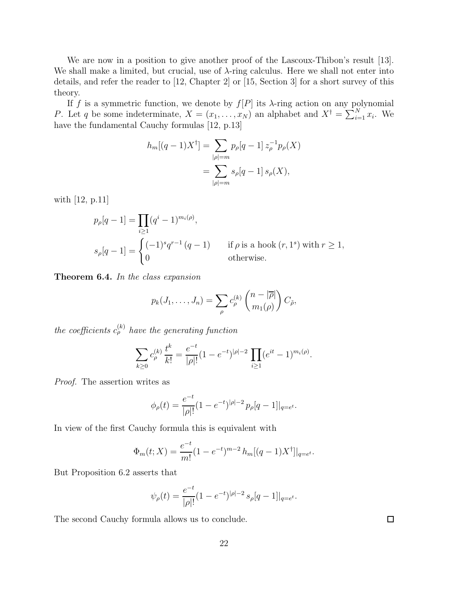We are now in a position to give another proof of the Lascoux-Thibon's result [13]. We shall make a limited, but crucial, use of  $\lambda$ -ring calculus. Here we shall not enter into details, and refer the reader to [12, Chapter 2] or [15, Section 3] for a short survey of this theory.

If f is a symmetric function, we denote by  $f[P]$  its  $\lambda$ -ring action on any polynomial P. Let q be some indeterminate,  $X = (x_1, \ldots, x_N)$  an alphabet and  $X^{\dagger} = \sum_{i=1}^{N} x_i$ . We have the fundamental Cauchy formulas [12, p.13]

$$
h_m[(q-1)X^{\dagger}] = \sum_{|\rho|=m} p_{\rho}[q-1] z_{\rho}^{-1} p_{\rho}(X)
$$
  
= 
$$
\sum_{|\rho|=m} s_{\rho}[q-1] s_{\rho}(X),
$$

with [12, p.11]

$$
p_{\rho}[q-1] = \prod_{i \ge 1} (q^{i} - 1)^{m_{i}(\rho)},
$$
  
\n
$$
s_{\rho}[q-1] = \begin{cases} (-1)^{s} q^{r-1} (q-1) & \text{if } \rho \text{ is a hook } (r, 1^{s}) \text{ with } r \ge 1, \\ 0 & \text{otherwise.} \end{cases}
$$

Theorem 6.4. In the class expansion

$$
p_k(J_1,\ldots,J_n)=\sum_{\rho}c_{\rho}^{(k)}\binom{n-|\overline{\rho}|}{m_1(\rho)}C_{\tilde{\rho}},
$$

the coefficients  $c_{\rho}^{(k)}$  have the generating function

$$
\sum_{k\geq 0} c_{\rho}^{(k)} \frac{t^k}{k!} = \frac{e^{-t}}{|\rho|!} (1 - e^{-t})^{|\rho|-2} \prod_{i\geq 1} (e^{it} - 1)^{m_i(\rho)}.
$$

Proof. The assertion writes as

$$
\phi_{\rho}(t) = \frac{e^{-t}}{|\rho|!} (1 - e^{-t})^{|\rho|-2} p_{\rho}[q-1]|_{q=e^t}.
$$

In view of the first Cauchy formula this is equivalent with

$$
\Phi_m(t;X) = \frac{e^{-t}}{m!} (1 - e^{-t})^{m-2} h_m[(q-1)X^{\dagger}]|_{q=e^t}.
$$

But Proposition 6.2 asserts that

$$
\psi_{\rho}(t) = \frac{e^{-t}}{|\rho|!} (1 - e^{-t})^{|\rho|-2} s_{\rho} [q-1]|_{q=e^t}.
$$

The second Cauchy formula allows us to conclude.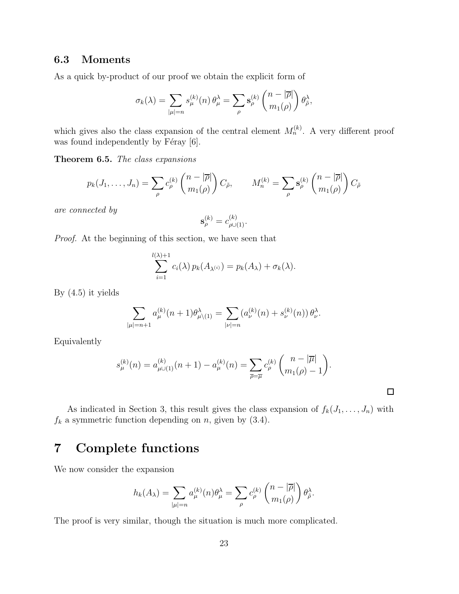### 6.3 Moments

As a quick by-product of our proof we obtain the explicit form of

$$
\sigma_k(\lambda) = \sum_{|\mu|=n} s_{\mu}^{(k)}(n) \theta_{\mu}^{\lambda} = \sum_{\rho} s_{\rho}^{(k)} \begin{pmatrix} n - |\overline{\rho}| \\ m_1(\rho) \end{pmatrix} \theta_{\tilde{\rho}}^{\lambda},
$$

which gives also the class expansion of the central element  $M_n^{(k)}$ . A very different proof was found independently by Féray  $[6].$ 

Theorem 6.5. The class expansions

$$
p_k(J_1,\ldots,J_n) = \sum_{\rho} c_{\rho}^{(k)} \binom{n-|\overline{\rho}|}{m_1(\rho)} C_{\tilde{\rho}}, \qquad M_n^{(k)} = \sum_{\rho} \mathbf{s}_{\rho}^{(k)} \binom{n-|\overline{\rho}|}{m_1(\rho)} C_{\tilde{\rho}}
$$

are connected by

$$
\mathbf{s}_{\rho}^{(k)} = c_{\rho \cup (1)}^{(k)}.
$$

Proof. At the beginning of this section, we have seen that

$$
\sum_{i=1}^{l(\lambda)+1} c_i(\lambda) p_k(A_{\lambda^{(i)}}) = p_k(A_{\lambda}) + \sigma_k(\lambda).
$$

By (4.5) it yields

$$
\sum_{|\mu|=n+1} a_{\mu}^{(k)}(n+1)\theta_{\mu\setminus(1)}^{\lambda} = \sum_{|\nu|=n} (a_{\nu}^{(k)}(n) + s_{\nu}^{(k)}(n)) \theta_{\nu}^{\lambda}.
$$

Equivalently

$$
s_{\mu}^{(k)}(n) = a_{\mu \cup (1)}^{(k)}(n+1) - a_{\mu}^{(k)}(n) = \sum_{\overline{\rho} = \overline{\mu}} c_{\rho}^{(k)} \binom{n-|\overline{\mu}|}{m_1(\rho) - 1}.
$$

 $\Box$ 

As indicated in Section 3, this result gives the class expansion of  $f_k(J_1, \ldots, J_n)$  with  $f_k$  a symmetric function depending on n, given by (3.4).

# 7 Complete functions

We now consider the expansion

$$
h_k(A_\lambda) = \sum_{|\mu|=n} a_\mu^{(k)}(n) \theta_\mu^\lambda = \sum_{\rho} c_\rho^{(k)} \begin{pmatrix} n - |\overline{\rho}| \\ m_1(\rho) \end{pmatrix} \theta_{\overline{\rho}}^\lambda.
$$

The proof is very similar, though the situation is much more complicated.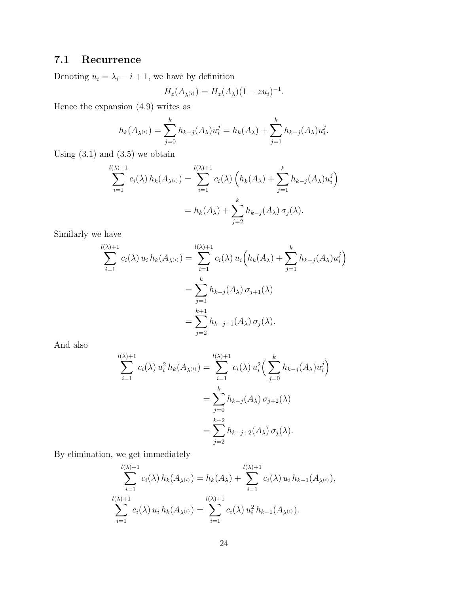# 7.1 Recurrence

Denoting  $u_i = \lambda_i - i + 1$ , we have by definition

$$
H_z(A_{\lambda^{(i)}}) = H_z(A_{\lambda})(1 - zu_i)^{-1}.
$$

Hence the expansion (4.9) writes as

$$
h_k(A_{\lambda^{(i)}}) = \sum_{j=0}^k h_{k-j}(A_{\lambda})u_i^j = h_k(A_{\lambda}) + \sum_{j=1}^k h_{k-j}(A_{\lambda})u_i^j.
$$

Using  $(3.1)$  and  $(3.5)$  we obtain

$$
\sum_{i=1}^{l(\lambda)+1} c_i(\lambda) h_k(A_{\lambda^{(i)}}) = \sum_{i=1}^{l(\lambda)+1} c_i(\lambda) \left( h_k(A_{\lambda}) + \sum_{j=1}^k h_{k-j}(A_{\lambda}) u_i^j \right)
$$
  
=  $h_k(A_{\lambda}) + \sum_{j=2}^k h_{k-j}(A_{\lambda}) \sigma_j(\lambda).$ 

Similarly we have

$$
\sum_{i=1}^{l(\lambda)+1} c_i(\lambda) u_i h_k(A_{\lambda^{(i)}}) = \sum_{i=1}^{l(\lambda)+1} c_i(\lambda) u_i \Big( h_k(A_{\lambda}) + \sum_{j=1}^k h_{k-j}(A_{\lambda}) u_i^j \Big)
$$
  
= 
$$
\sum_{j=1}^k h_{k-j}(A_{\lambda}) \sigma_{j+1}(\lambda)
$$
  
= 
$$
\sum_{j=2}^{k+1} h_{k-j+1}(A_{\lambda}) \sigma_j(\lambda).
$$

And also

$$
\sum_{i=1}^{l(\lambda)+1} c_i(\lambda) u_i^2 h_k(A_{\lambda^{(i)}}) = \sum_{i=1}^{l(\lambda)+1} c_i(\lambda) u_i^2 \left( \sum_{j=0}^k h_{k-j}(A_{\lambda}) u_i^j \right)
$$
  
= 
$$
\sum_{j=0}^k h_{k-j}(A_{\lambda}) \sigma_{j+2}(\lambda)
$$
  
= 
$$
\sum_{j=2}^{k+2} h_{k-j+2}(A_{\lambda}) \sigma_j(\lambda).
$$

By elimination, we get immediately

$$
\sum_{i=1}^{l(\lambda)+1} c_i(\lambda) h_k(A_{\lambda^{(i)}}) = h_k(A_{\lambda}) + \sum_{i=1}^{l(\lambda)+1} c_i(\lambda) u_i h_{k-1}(A_{\lambda^{(i)}}),
$$
  

$$
\sum_{i=1}^{l(\lambda)+1} c_i(\lambda) u_i h_k(A_{\lambda^{(i)}}) = \sum_{i=1}^{l(\lambda)+1} c_i(\lambda) u_i^2 h_{k-1}(A_{\lambda^{(i)}}).
$$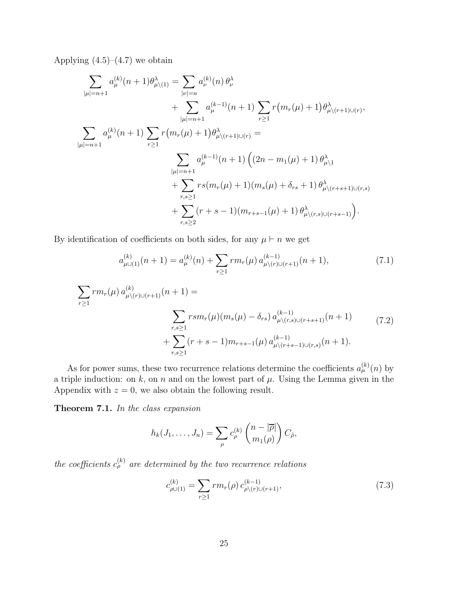Applying  $(4.5)$ – $(4.7)$  we obtain

$$
\sum_{|\mu|=n+1} a_{\mu}^{(k)}(n+1)\theta_{\mu\backslash(1)}^{\lambda} = \sum_{|\nu|=n} a_{\nu}^{(k)}(n)\theta_{\nu}^{\lambda} + \sum_{|\mu|=n+1} a_{\mu}^{(k-1)}(n+1)\sum_{r\geq 1} r(m_{r}(\mu)+1)\theta_{\mu\backslash(r+1)\cup(r)}^{\lambda},
$$
  

$$
\sum_{|\mu|=n+1} a_{\mu}^{(k)}(n+1)\sum_{r\geq 1} r(m_{r}(\mu)+1)\theta_{\mu\backslash(r+1)\cup(r)}^{\lambda} =
$$
  

$$
\sum_{|\mu|=n+1} a_{\mu}^{(k-1)}(n+1)\left((2n-m_{1}(\mu)+1)\theta_{\mu\backslash 1}^{\lambda} + \sum_{r,s\geq 1} rs(m_{r}(\mu)+1)(m_{s}(\mu)+\delta_{rs}+1)\theta_{\mu\backslash(r+s+1)\cup(r,s)}^{\lambda} + \sum_{r,s\geq 2} (r+s-1)(m_{r+s-1}(\mu)+1)\theta_{\mu\backslash(r,s)\cup(r+s-1)}^{\lambda}\right).
$$

By identification of coefficients on both sides, for any  $\mu \vdash n$  we get

$$
a_{\mu\cup(1)}^{(k)}(n+1) = a_{\mu}^{(k)}(n) + \sum_{r\geq 1} r m_r(\mu) a_{\mu\setminus(r)\cup(r+1)}^{(k-1)}(n+1),\tag{7.1}
$$

$$
\sum_{r\geq 1} rm_r(\mu) a_{\mu\setminus (r)\cup (r+1)}^{(k)}(n+1) =
$$
\n
$$
\sum_{r,s\geq 1} rsm_r(\mu)(m_s(\mu) - \delta_{rs}) a_{\mu\setminus (r,s)\cup (r+s+1)}^{(k-1)}(n+1)
$$
\n
$$
+ \sum_{r,s\geq 1} (r+s-1)m_{r+s-1}(\mu) a_{\mu\setminus (r+s-1)\cup (r,s)}^{(k-1)}(n+1).
$$
\n(7.2)

As for power sums, these two recurrence relations determine the coefficients  $a_{\mu}^{(k)}(n)$  by a triple induction: on k, on n and on the lowest part of  $\mu$ . Using the Lemma given in the Appendix with  $z = 0$ , we also obtain the following result.

Theorem 7.1. In the class expansion

$$
h_k(J_1,\ldots,J_n)=\sum_{\rho}c_{\rho}^{(k)}\binom{n-|\overline{\rho}|}{m_1(\rho)}C_{\tilde{\rho}},
$$

the coefficients  $c_{\rho}^{(k)}$  are determined by the two recurrence relations

$$
c_{\rho\cup(1)}^{(k)} = \sum_{r\geq 1} rm_r(\rho) c_{\rho\setminus(r)\cup(r+1)}^{(k-1)},\tag{7.3}
$$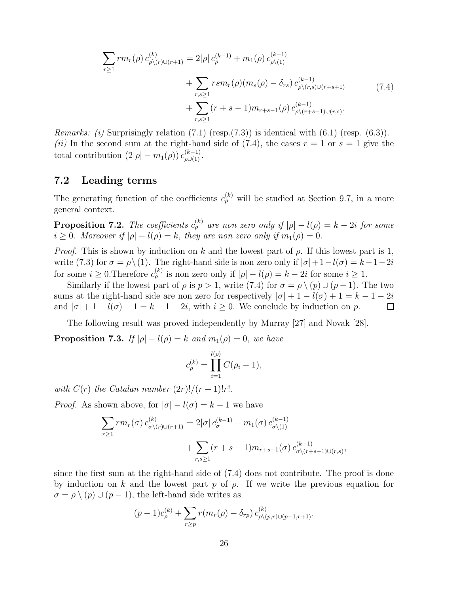$$
\sum_{r\geq 1} rm_r(\rho) c_{\rho\setminus(r)\cup(r+1)}^{(k)} = 2|\rho| c_{\rho}^{(k-1)} + m_1(\rho) c_{\rho\setminus(1)}^{(k-1)} + \sum_{r,s\geq 1} rsm_r(\rho)(m_s(\rho) - \delta_{rs}) c_{\rho\setminus(r,s)\cup(r+s+1)}^{(k-1)} + \sum_{r,s\geq 1} (r+s-1)m_{r+s-1}(\rho) c_{\rho\setminus(r+s-1)\cup(r,s)}^{(k-1)}.
$$
\n(7.4)

*Remarks: (i)* Surprisingly relation  $(7.1)$  (resp. $(7.3)$ ) is identical with  $(6.1)$  (resp.  $(6.3)$ ). (ii) In the second sum at the right-hand side of (7.4), the cases  $r = 1$  or  $s = 1$  give the total contribution  $(2|\rho|-m_1(\rho)) c_{\rho\cup(1)}^{(k-1)}$ .

### 7.2 Leading terms

The generating function of the coefficients  $c_{\rho}^{(k)}$  will be studied at Section 9.7, in a more general context.

**Proposition 7.2.** The coefficients  $c_{\rho}^{(k)}$  are non zero only if  $|\rho| - l(\rho) = k - 2i$  for some  $i \geq 0$ . Moreover if  $|\rho| - l(\rho) = k$ , they are non zero only if  $m_1(\rho) = 0$ .

*Proof.* This is shown by induction on k and the lowest part of  $\rho$ . If this lowest part is 1, write (7.3) for  $\sigma = \rho \setminus (1)$ . The right-hand side is non zero only if  $|\sigma| + 1 - l(\sigma) = k - 1 - 2i$ for some  $i \geq 0$ . Therefore  $c_{\rho}^{(k)}$  is non zero only if  $|\rho| - l(\rho) = k - 2i$  for some  $i \geq 1$ .

Similarly if the lowest part of  $\rho$  is  $p > 1$ , write (7.4) for  $\sigma = \rho \setminus (p) \cup (p-1)$ . The two sums at the right-hand side are non zero for respectively  $|\sigma| + 1 - l(\sigma) + 1 = k - 1 - 2i$ and  $|\sigma| + 1 - l(\sigma) - 1 = k - 1 - 2i$ , with  $i \geq 0$ . We conclude by induction on p.  $\Box$ 

The following result was proved independently by Murray [27] and Novak [28].

**Proposition 7.3.** If  $|\rho| - l(\rho) = k$  and  $m_1(\rho) = 0$ , we have

$$
c_{\rho}^{(k)} = \prod_{i=1}^{l(\rho)} C(\rho_i - 1),
$$

with  $C(r)$  the Catalan number  $(2r)!/(r+1)!r!$ .

*Proof.* As shown above, for  $|\sigma| - l(\sigma) = k - 1$  we have

$$
\sum_{r\geq 1} rm_r(\sigma) c^{(k)}_{\sigma\setminus(r)\cup(r+1)} = 2|\sigma| c^{(k-1)}_{\sigma} + m_1(\sigma) c^{(k-1)}_{\sigma\setminus(1)} + \sum_{r,s\geq 1} (r+s-1) m_{r+s-1}(\sigma) c^{(k-1)}_{\sigma\setminus(r+s-1)\cup(r,s)},
$$

since the first sum at the right-hand side of (7.4) does not contribute. The proof is done by induction on k and the lowest part p of  $\rho$ . If we write the previous equation for  $\sigma = \rho \setminus (p) \cup (p-1)$ , the left-hand side writes as

$$
(p-1)c_{\rho}^{(k)} + \sum_{r \ge p} r(m_r(\rho) - \delta_{rp}) c_{\rho \setminus (p,r) \cup (p-1,r+1)}^{(k)}.
$$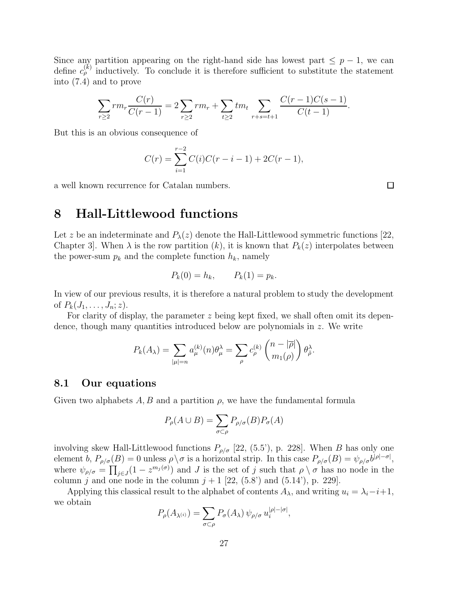Since any partition appearing on the right-hand side has lowest part  $\leq p-1$ , we can define  $c_{\rho}^{(k)}$  inductively. To conclude it is therefore sufficient to substitute the statement into (7.4) and to prove

$$
\sum_{r\geq 2} rm_r \frac{C(r)}{C(r-1)} = 2 \sum_{r\geq 2} rm_r + \sum_{t\geq 2} tm_t \sum_{r+s=t+1} \frac{C(r-1)C(s-1)}{C(t-1)}.
$$

But this is an obvious consequence of

$$
C(r) = \sum_{i=1}^{r-2} C(i)C(r-i-1) + 2C(r-1),
$$

a well known recurrence for Catalan numbers.

 $\Box$ 

# 8 Hall-Littlewood functions

Let z be an indeterminate and  $P_{\lambda}(z)$  denote the Hall-Littlewood symmetric functions [22, Chapter 3. When  $\lambda$  is the row partition  $(k)$ , it is known that  $P_k(z)$  interpolates between the power-sum  $p_k$  and the complete function  $h_k$ , namely

$$
P_k(0) = h_k, \qquad P_k(1) = p_k.
$$

In view of our previous results, it is therefore a natural problem to study the development of  $P_k(J_1, \ldots, J_n; z)$ .

For clarity of display, the parameter  $z$  being kept fixed, we shall often omit its dependence, though many quantities introduced below are polynomials in  $z$ . We write

$$
P_k(A_\lambda) = \sum_{|\mu|=n} a_{\mu}^{(k)}(n) \theta_{\mu}^{\lambda} = \sum_{\rho} c_{\rho}^{(k)} \binom{n-|\overline{\rho}|}{m_1(\rho)} \theta_{\tilde{\rho}}^{\lambda}.
$$

### 8.1 Our equations

Given two alphabets  $A, B$  and a partition  $\rho$ , we have the fundamental formula

$$
P_{\rho}(A \cup B) = \sum_{\sigma \subset \rho} P_{\rho/\sigma}(B) P_{\sigma}(A)
$$

involving skew Hall-Littlewood functions  $P_{\rho/\sigma}$  [22, (5.5'), p. 228]. When B has only one element b,  $P_{\rho/\sigma}(B) = 0$  unless  $\rho \setminus \sigma$  is a horizontal strip. In this case  $P_{\rho/\sigma}(B) = \psi_{\rho/\sigma} b^{|\rho|-\sigma|}$ , where  $\psi_{\rho/\sigma} = \prod_{j\in J} (1 - z^{m_j(\sigma)})$  and J is the set of j such that  $\rho \setminus \sigma$  has no node in the column j and one node in the column  $j + 1$  [22, (5.8') and (5.14'), p. 229].

Applying this classical result to the alphabet of contents  $A_{\lambda}$ , and writing  $u_i = \lambda_i - i + 1$ , we obtain

$$
P_{\rho}(A_{\lambda^{(i)}}) = \sum_{\sigma \subset \rho} P_{\sigma}(A_{\lambda}) \psi_{\rho/\sigma} u_i^{|\rho| - |\sigma|},
$$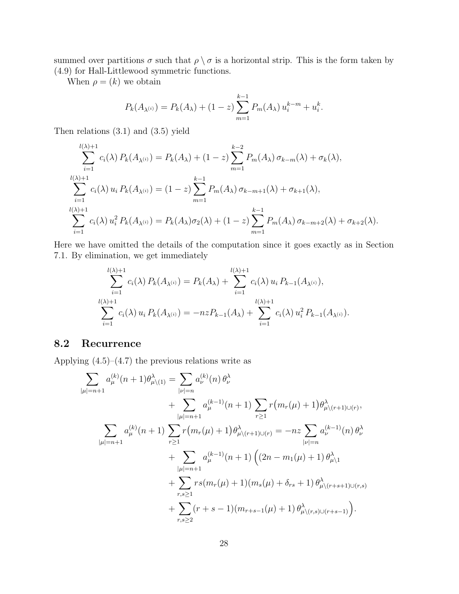summed over partitions  $\sigma$  such that  $\rho \setminus \sigma$  is a horizontal strip. This is the form taken by (4.9) for Hall-Littlewood symmetric functions.

When  $\rho = (k)$  we obtain

$$
P_k(A_{\lambda^{(i)}}) = P_k(A_{\lambda}) + (1 - z) \sum_{m=1}^{k-1} P_m(A_{\lambda}) u_i^{k-m} + u_i^k.
$$

Then relations (3.1) and (3.5) yield

$$
\sum_{i=1}^{l(\lambda)+1} c_i(\lambda) P_k(A_{\lambda^{(i)}}) = P_k(A_{\lambda}) + (1-z) \sum_{m=1}^{k-2} P_m(A_{\lambda}) \sigma_{k-m}(\lambda) + \sigma_k(\lambda),
$$
  

$$
\sum_{i=1}^{l(\lambda)+1} c_i(\lambda) u_i P_k(A_{\lambda^{(i)}}) = (1-z) \sum_{m=1}^{k-1} P_m(A_{\lambda}) \sigma_{k-m+1}(\lambda) + \sigma_{k+1}(\lambda),
$$
  

$$
\sum_{i=1}^{l(\lambda)+1} c_i(\lambda) u_i^2 P_k(A_{\lambda^{(i)}}) = P_k(A_{\lambda}) \sigma_2(\lambda) + (1-z) \sum_{m=1}^{k-1} P_m(A_{\lambda}) \sigma_{k-m+2}(\lambda) + \sigma_{k+2}(\lambda).
$$

Here we have omitted the details of the computation since it goes exactly as in Section 7.1. By elimination, we get immediately

$$
\sum_{i=1}^{l(\lambda)+1} c_i(\lambda) P_k(A_{\lambda^{(i)}}) = P_k(A_{\lambda}) + \sum_{i=1}^{l(\lambda)+1} c_i(\lambda) u_i P_{k-1}(A_{\lambda^{(i)}}),
$$
  

$$
\sum_{i=1}^{l(\lambda)+1} c_i(\lambda) u_i P_k(A_{\lambda^{(i)}}) = -nzP_{k-1}(A_{\lambda}) + \sum_{i=1}^{l(\lambda)+1} c_i(\lambda) u_i^2 P_{k-1}(A_{\lambda^{(i)}}).
$$

### 8.2 Recurrence

Applying  $(4.5)$ – $(4.7)$  the previous relations write as

$$
\sum_{|\mu|=n+1} a_{\mu}^{(k)}(n+1)\theta_{\mu\backslash(1)}^{\lambda} = \sum_{|\nu|=n} a_{\nu}^{(k)}(n)\theta_{\nu}^{\lambda} \n+ \sum_{|\mu|=n+1} a_{\mu}^{(k-1)}(n+1)\sum_{r\geq 1} r(m_{r}(\mu)+1)\theta_{\mu\backslash(r+1)\cup(r)}^{\lambda},
$$
\n
$$
\sum_{|\mu|=n+1} a_{\mu}^{(k)}(n+1)\sum_{r\geq 1} r(m_{r}(\mu)+1)\theta_{\mu\backslash(r+1)\cup(r)}^{\lambda} = -nz\sum_{|\nu|=n} a_{\nu}^{(k-1)}(n)\theta_{\nu}^{\lambda} \n+ \sum_{|\mu|=n+1} a_{\mu}^{(k-1)}(n+1)\left((2n-m_{1}(\mu)+1)\theta_{\mu\backslash 1}^{\lambda} + \sum_{r,s\geq 1} rs(m_{r}(\mu)+1)(m_{s}(\mu)+\delta_{rs}+1)\theta_{\mu\backslash(r+s+1)\cup(r,s)}^{\lambda} \right) \n+ \sum_{r,s\geq 2} (r+s-1)(m_{r+s-1}(\mu)+1)\theta_{\mu\backslash(r,s)\cup(r+s-1)}^{\lambda}).
$$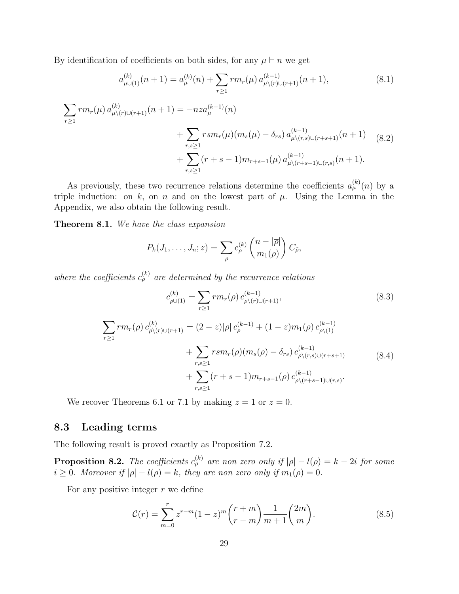By identification of coefficients on both sides, for any  $\mu \vdash n$  we get

$$
a_{\mu\cup(1)}^{(k)}(n+1) = a_{\mu}^{(k)}(n) + \sum_{r\geq 1} rm_r(\mu) a_{\mu\setminus(r)\cup(r+1)}^{(k-1)}(n+1),
$$
\n(8.1)

$$
\sum_{r\geq 1} rm_r(\mu) a_{\mu\setminus (r)\cup (r+1)}^{(k)}(n+1) = -nz a_{\mu}^{(k-1)}(n)
$$
  
+ 
$$
\sum_{r,s\geq 1} rsm_r(\mu) (m_s(\mu) - \delta_{rs}) a_{\mu\setminus (r,s)\cup (r+s+1)}^{(k-1)}(n+1)
$$
  
+ 
$$
\sum_{r,s\geq 1} (r+s-1)m_{r+s-1}(\mu) a_{\mu\setminus (r+s-1)\cup (r,s)}^{(k-1)}(n+1).
$$
 (8.2)

As previously, these two recurrence relations determine the coefficients  $a_{\mu}^{(k)}(n)$  by a triple induction: on k, on n and on the lowest part of  $\mu$ . Using the Lemma in the Appendix, we also obtain the following result.

Theorem 8.1. We have the class expansion

$$
P_k(J_1,\ldots,J_n;z)=\sum_{\rho}c_{\rho}^{(k)}\binom{n-|\overline{\rho}|}{m_1(\rho)}C_{\tilde{\rho}},
$$

where the coefficients  $c_{\rho}^{(k)}$  are determined by the recurrence relations

$$
c_{\rho\cup(1)}^{(k)} = \sum_{r\geq 1} rm_r(\rho) c_{\rho\setminus(r)\cup(r+1)}^{(k-1)},
$$
(8.3)  

$$
\sum_{r\geq 1} rm_r(\rho) c_{\rho\setminus(r)\cup(r+1)}^{(k)} = (2-z)|\rho| c_{\rho}^{(k-1)} + (1-z)m_1(\rho) c_{\rho\setminus(1)}^{(k-1)}
$$

$$
+ \sum_{r,s\geq 1} rsm_r(\rho)(m_s(\rho) - \delta_{rs}) c_{\rho\setminus(r,s)\cup(r+s+1)}^{(k-1)} \qquad (8.4)
$$

$$
+ \sum_{r,s\geq 1} (r+s-1)m_{r+s-1}(\rho) c_{\rho\setminus(r+s-1)\cup(r,s)}^{(k-1)}.
$$

We recover Theorems 6.1 or 7.1 by making  $z = 1$  or  $z = 0$ .

### 8.3 Leading terms

The following result is proved exactly as Proposition 7.2.

**Proposition 8.2.** The coefficients  $c_{\rho}^{(k)}$  are non zero only if  $|\rho| - l(\rho) = k - 2i$  for some  $i \geq 0$ . Moreover if  $|\rho| - l(\rho) = k$ , they are non zero only if  $m_1(\rho) = 0$ .

For any positive integer  $r$  we define

$$
\mathcal{C}(r) = \sum_{m=0}^{r} z^{r-m} (1-z)^m {r+m \choose r-m} \frac{1}{m+1} {2m \choose m}.
$$
 (8.5)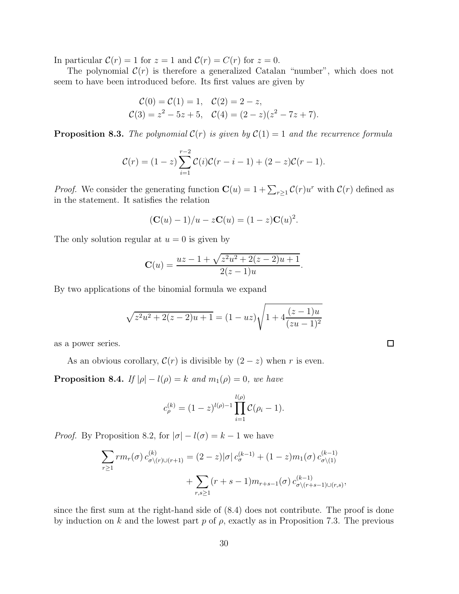In particular  $C(r) = 1$  for  $z = 1$  and  $C(r) = C(r)$  for  $z = 0$ .

The polynomial  $\mathcal{C}(r)$  is therefore a generalized Catalan "number", which does not seem to have been introduced before. Its first values are given by

$$
\mathcal{C}(0) = \mathcal{C}(1) = 1, \quad \mathcal{C}(2) = 2 - z,
$$
  

$$
\mathcal{C}(3) = z^2 - 5z + 5, \quad \mathcal{C}(4) = (2 - z)(z^2 - 7z + 7).
$$

**Proposition 8.3.** The polynomial  $C(r)$  is given by  $C(1) = 1$  and the recurrence formula

$$
C(r) = (1-z)\sum_{i=1}^{r-2} C(i)\mathcal{C}(r-i-1) + (2-z)\mathcal{C}(r-1).
$$

*Proof.* We consider the generating function  $\mathbf{C}(u) = 1 + \sum_{r \geq 1} C(r)u^r$  with  $C(r)$  defined as in the statement. It satisfies the relation

$$
(\mathbf{C}(u) - 1)/u - z\mathbf{C}(u) = (1 - z)\mathbf{C}(u)^2.
$$

The only solution regular at  $u = 0$  is given by

$$
\mathbf{C}(u) = \frac{uz - 1 + \sqrt{z^2u^2 + 2(z - 2)u + 1}}{2(z - 1)u}.
$$

By two applications of the binomial formula we expand

$$
\sqrt{z^2u^2 + 2(z-2)u + 1} = (1 - uz)\sqrt{1 + 4\frac{(z-1)u}{(zu-1)^2}}
$$

as a power series.

As an obvious corollary,  $C(r)$  is divisible by  $(2-z)$  when r is even.

**Proposition 8.4.** If  $|\rho| - l(\rho) = k$  and  $m_1(\rho) = 0$ , we have

$$
c_{\rho}^{(k)} = (1-z)^{l(\rho)-1} \prod_{i=1}^{l(\rho)} C(\rho_i - 1).
$$

*Proof.* By Proposition 8.2, for  $|\sigma| - l(\sigma) = k - 1$  we have

$$
\sum_{r\geq 1} rm_r(\sigma) c^{(k)}_{\sigma\setminus(r)\cup(r+1)} = (2-z)|\sigma| c^{(k-1)}_{\sigma} + (1-z)m_1(\sigma) c^{(k-1)}_{\sigma\setminus(1)} + \sum_{r,s\geq 1} (r+s-1)m_{r+s-1}(\sigma) c^{(k-1)}_{\sigma\setminus(r+s-1)\cup(r,s)},
$$

since the first sum at the right-hand side of (8.4) does not contribute. The proof is done by induction on k and the lowest part p of  $\rho$ , exactly as in Proposition 7.3. The previous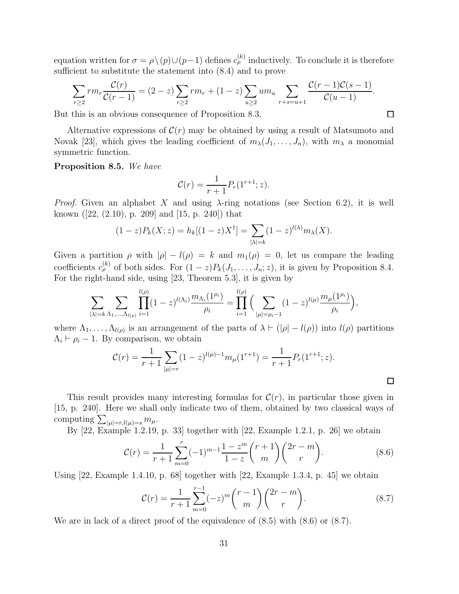equation written for  $\sigma = \rho \setminus (p) \cup (p-1)$  defines  $c_{\rho}^{(k)}$  inductively. To conclude it is therefore sufficient to substitute the statement into (8.4) and to prove

$$
\sum_{r\geq 2} rm_r \frac{\mathcal{C}(r)}{\mathcal{C}(r-1)} = (2-z) \sum_{r\geq 2} rm_r + (1-z) \sum_{u\geq 2} um_u \sum_{r+s=u+1} \frac{\mathcal{C}(r-1)\mathcal{C}(s-1)}{\mathcal{C}(u-1)}.
$$

But this is an obvious consequence of Proposition 8.3.

Alternative expressions of  $\mathcal{C}(r)$  may be obtained by using a result of Matsumoto and Novak [23], which gives the leading coefficient of  $m_{\lambda}(J_1, \ldots, J_n)$ , with  $m_{\lambda}$  a monomial symmetric function.

#### Proposition 8.5. We have

$$
\mathcal{C}(r) = \frac{1}{r+1} P_r(1^{r+1}; z).
$$

*Proof.* Given an alphabet X and using  $\lambda$ -ring notations (see Section 6.2), it is well known ([22, (2.10), p. 209] and [15, p. 240]) that

$$
(1-z)P_k(X; z) = h_k[(1-z)X^{\dagger}] = \sum_{|\lambda|=k} (1-z)^{l(\lambda)} m_{\lambda}(X).
$$

Given a partition  $\rho$  with  $|\rho| - l(\rho) = k$  and  $m_1(\rho) = 0$ , let us compare the leading coefficients  $c_{\rho}^{(k)}$  of both sides. For  $(1-z)P_k(J_1,\ldots,J_n;z)$ , it is given by Proposition 8.4. For the right-hand side, using [23, Theorem 5.3], it is given by

$$
\sum_{|\lambda|=k} \sum_{\Lambda_1,\dots,\Lambda_{l(\rho)}} \prod_{i=1}^{l(\rho)} (1-z)^{l(\Lambda_i)} \frac{m_{\Lambda_i}(1^{\rho_i})}{\rho_i} = \prod_{i=1}^{l(\rho)} \Big( \sum_{|\mu|=\rho_i-1} (1-z)^{l(\mu)} \frac{m_{\mu}(1^{\rho_i})}{\rho_i} \Big),
$$

where  $\Lambda_1, \ldots, \Lambda_{l(\rho)}$  is an arrangement of the parts of  $\lambda \vdash (|\rho| - l(\rho))$  into  $l(\rho)$  partitions  $\Lambda_i \vdash \rho_i - 1$ . By comparison, we obtain

$$
\mathcal{C}(r) = \frac{1}{r+1} \sum_{|\mu|=r} (1-z)^{l(\mu)-1} m_{\mu}(1^{r+1}) = \frac{1}{r+1} P_r(1^{r+1}; z).
$$

This result provides many interesting formulas for  $\mathcal{C}(r)$ , in particular those given in [15, p. 240]. Here we shall only indicate two of them, obtained by two classical ways of computing  $\sum_{|\mu|=r, l(\mu)=s} m_{\mu}$ .

By [22, Example 1.2.19, p. 33] together with [22, Example 1.2.1, p. 26] we obtain

$$
\mathcal{C}(r) = \frac{1}{r+1} \sum_{m=0}^{r} (-1)^{m-1} \frac{1-z^m}{1-z} {r+1 \choose m} {2r-m \choose r}.
$$
 (8.6)

Using  $[22, \text{Example 1.4.10}, p. 68]$  together with  $[22, \text{Example 1.3.4}, p. 45]$  we obtain

$$
\mathcal{C}(r) = \frac{1}{r+1} \sum_{m=0}^{r-1} (-z)^m {r-1 \choose m} {2r-m \choose r}.
$$
 (8.7)

We are in lack of a direct proof of the equivalence of  $(8.5)$  with  $(8.6)$  or  $(8.7)$ .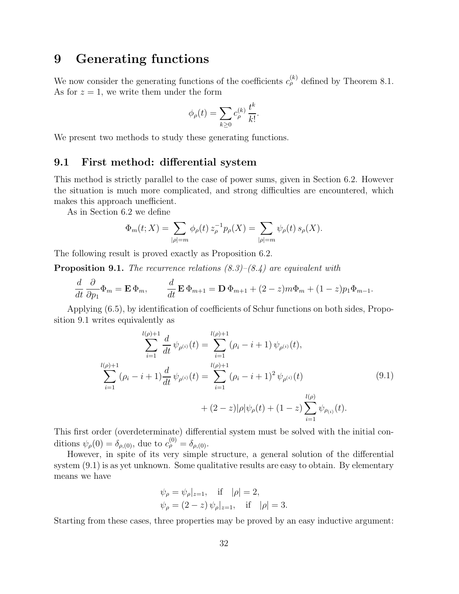# 9 Generating functions

We now consider the generating functions of the coefficients  $c_{\rho}^{(k)}$  defined by Theorem 8.1. As for  $z = 1$ , we write them under the form

$$
\phi_{\rho}(t) = \sum_{k \geq 0} c_{\rho}^{(k)} \frac{t^k}{k!}.
$$

We present two methods to study these generating functions.

### 9.1 First method: differential system

This method is strictly parallel to the case of power sums, given in Section 6.2. However the situation is much more complicated, and strong difficulties are encountered, which makes this approach unefficient.

As in Section 6.2 we define

$$
\Phi_m(t;X) = \sum_{|\rho|=m} \phi_{\rho}(t) z_{\rho}^{-1} p_{\rho}(X) = \sum_{|\rho|=m} \psi_{\rho}(t) s_{\rho}(X).
$$

The following result is proved exactly as Proposition 6.2.

**Proposition 9.1.** The recurrence relations  $(8.3)$ – $(8.4)$  are equivalent with

$$
\frac{d}{dt}\frac{\partial}{\partial p_1}\Phi_m = \mathbf{E}\,\Phi_m, \qquad \frac{d}{dt}\mathbf{E}\,\Phi_{m+1} = \mathbf{D}\,\Phi_{m+1} + (2-z)m\Phi_m + (1-z)p_1\Phi_{m-1}.
$$

Applying (6.5), by identification of coefficients of Schur functions on both sides, Proposition 9.1 writes equivalently as

$$
\sum_{i=1}^{l(\rho)+1} \frac{d}{dt} \psi_{\rho^{(i)}}(t) = \sum_{i=1}^{l(\rho)+1} (\rho_i - i + 1) \psi_{\rho^{(i)}}(t),
$$
  

$$
\sum_{i=1}^{l(\rho)+1} (\rho_i - i + 1) \frac{d}{dt} \psi_{\rho^{(i)}}(t) = \sum_{i=1}^{l(\rho)+1} (\rho_i - i + 1)^2 \psi_{\rho^{(i)}}(t)
$$
  

$$
+ (2 - z)|\rho|\psi_{\rho}(t) + (1 - z) \sum_{i=1}^{l(\rho)} \psi_{\rho_{(i)}}(t).
$$
 (9.1)

This first order (overdeterminate) differential system must be solved with the initial conditions  $\psi_{\rho}(0) = \delta_{\rho,(0)}$ , due to  $c_{\rho}^{(0)} = \delta_{\rho,(0)}$ .

However, in spite of its very simple structure, a general solution of the differential system (9.1) is as yet unknown. Some qualitative results are easy to obtain. By elementary means we have

$$
\psi_{\rho} = \psi_{\rho}|_{z=1}
$$
, if  $|\rho| = 2$ ,  
\n $\psi_{\rho} = (2 - z) \psi_{\rho}|_{z=1}$ , if  $|\rho| = 3$ .

Starting from these cases, three properties may be proved by an easy inductive argument: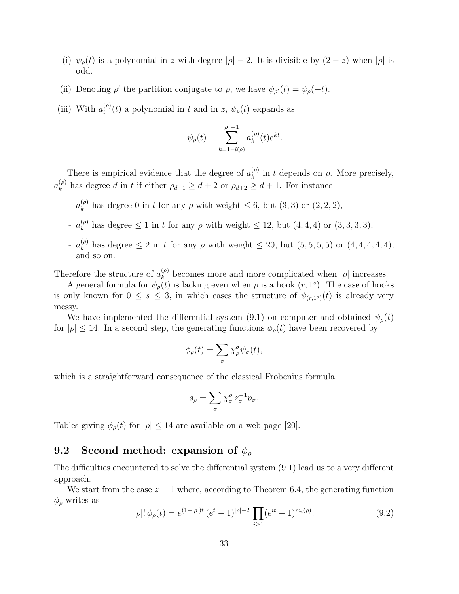- (i)  $\psi_{\rho}(t)$  is a polynomial in z with degree  $|\rho|-2$ . It is divisible by  $(2-z)$  when  $|\rho|$  is odd.
- (ii) Denoting  $\rho'$  the partition conjugate to  $\rho$ , we have  $\psi_{\rho'}(t) = \psi_{\rho}(-t)$ .
- (iii) With  $a_i^{(\rho)}$  $\psi_i^{(\rho)}(t)$  a polynomial in t and in z,  $\psi_{\rho}(t)$  expands as

$$
\psi_{\rho}(t) = \sum_{k=1-l(\rho)}^{\rho_1-1} a_k^{(\rho)}(t) e^{kt}.
$$

There is empirical evidence that the degree of  $a_k^{(\rho)}$  $\binom{\varphi}{k}$  in t depends on  $\rho$ . More precisely,  $a_k^{(\rho)}$  $\int_{k}^{(\rho)}$  has degree d in t if either  $\rho_{d+1} \geq d+2$  or  $\rho_{d+2} \geq d+1$ . For instance

- $a_k^{(\rho)}$  $\binom{\varphi}{k}$  has degree 0 in t for any  $\rho$  with weight  $\leq 6$ , but  $(3,3)$  or  $(2,2,2)$ ,
- $a_k^{(\rho)}$  $\binom{\varphi}{k}$  has degree  $\leq 1$  in t for any  $\rho$  with weight  $\leq 12$ , but  $(4, 4, 4)$  or  $(3, 3, 3, 3)$ ,
- $a_k^{(\rho)}$  $_{k}^{(\rho)}$  has degree  $\leq 2$  in t for any  $\rho$  with weight  $\leq 20$ , but  $(5,5,5,5)$  or  $(4,4,4,4,4)$ , and so on.

Therefore the structure of  $a_k^{(\rho)}$  $\kappa$ <sup>(*p*</sup>) becomes more and more complicated when  $|\rho|$  increases.

A general formula for  $\psi_{\rho}(t)$  is lacking even when  $\rho$  is a hook  $(r, 1^s)$ . The case of hooks is only known for  $0 \leq s \leq 3$ , in which cases the structure of  $\psi_{(r,1^s)}(t)$  is already very messy.

We have implemented the differential system (9.1) on computer and obtained  $\psi_{\rho}(t)$ for  $|\rho| \leq 14$ . In a second step, the generating functions  $\phi_{\rho}(t)$  have been recovered by

$$
\phi_{\rho}(t) = \sum_{\sigma} \chi_{\rho}^{\sigma} \psi_{\sigma}(t),
$$

which is a straightforward consequence of the classical Frobenius formula

$$
s_{\rho} = \sum_{\sigma} \chi^{\rho}_{\sigma} z_{\sigma}^{-1} p_{\sigma}.
$$

Tables giving  $\phi_{\rho}(t)$  for  $|\rho| \leq 14$  are available on a web page [20].

### 9.2 Second method: expansion of  $\phi_{\rho}$

The difficulties encountered to solve the differential system (9.1) lead us to a very different approach.

We start from the case  $z = 1$  where, according to Theorem 6.4, the generating function  $\phi_{\rho}$  writes as

$$
|\rho|! \phi_{\rho}(t) = e^{(1-|\rho|)t} (e^t - 1)^{|\rho|-2} \prod_{i \ge 1} (e^{it} - 1)^{m_i(\rho)}.
$$
 (9.2)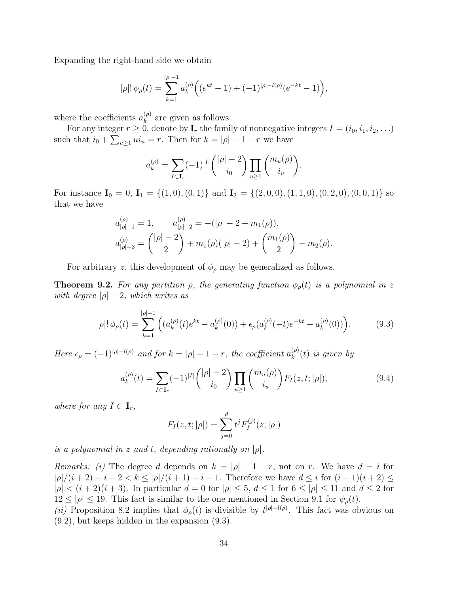Expanding the right-hand side we obtain

$$
|\rho|! \phi_{\rho}(t) = \sum_{k=1}^{|\rho|-1} a_k^{(\rho)} \Big( (e^{kt} - 1) + (-1)^{|\rho|-l(\rho)} (e^{-kt} - 1) \Big),
$$

where the coefficients  $a_k^{(\rho)}$  $k^{(\rho)}$  are given as follows.

For any integer  $r \geq 0$ , denote by  $\mathbf{I}_r$  the family of nonnegative integers  $I = (i_0, i_1, i_2, \ldots)$ such that  $i_0 + \sum_{u \ge 1} u i_u = r$ . Then for  $k = |\rho| - 1 - r$  we have

$$
a_k^{(\rho)} = \sum_{I \subset \mathbf{I}_r} (-1)^{|I|} \binom{|\rho| - 2}{i_0} \prod_{u \ge 1} \binom{m_u(\rho)}{i_u}.
$$

For instance  $I_0 = 0$ ,  $I_1 = \{(1,0), (0,1)\}\$  and  $I_2 = \{(2,0,0), (1,1,0), (0,2,0), (0,0,1)\}\$  so that we have

$$
a_{|\rho|-1}^{(\rho)} = 1, \qquad a_{|\rho|-2}^{(\rho)} = -(|\rho| - 2 + m_1(\rho)),
$$
  

$$
a_{|\rho|-3}^{(\rho)} = {\binom{|\rho|-2}{2}} + m_1(\rho)(|\rho|-2) + {\binom{m_1(\rho)}{2}} - m_2(\rho).
$$

For arbitrary z, this development of  $\phi_{\rho}$  may be generalized as follows.

**Theorem 9.2.** For any partition  $\rho$ , the generating function  $\phi_{\rho}(t)$  is a polynomial in z with degree  $|\rho| - 2$ , which writes as

$$
|\rho|! \phi_{\rho}(t) = \sum_{k=1}^{|\rho|-1} \left( (a_k^{(\rho)}(t)e^{kt} - a_k^{(\rho)}(0)) + \epsilon_{\rho}(a_k^{(\rho)}(-t)e^{-kt} - a_k^{(\rho)}(0)) \right).
$$
 (9.3)

Here  $\epsilon_{\rho} = (-1)^{|\rho| - l(\rho)}$  and for  $k = |\rho| - 1 - r$ , the coefficient  $a_k^{(\rho)}$  $\binom{(\rho)}{k}(t)$  is given by

$$
a_k^{(\rho)}(t) = \sum_{I \subset \mathbf{I}_r} (-1)^{|I|} \binom{|\rho| - 2}{i_0} \prod_{u \ge 1} \binom{m_u(\rho)}{i_u} F_I(z, t; |\rho|), \tag{9.4}
$$

where for any  $I \subset \mathbf{I}_r$ ,

$$
F_I(z, t; |\rho|) = \sum_{j=0}^d t^j F_I^{(j)}(z; |\rho|)
$$

is a polynomial in z and t, depending rationally on  $|\rho|$ .

Remarks: (i) The degree d depends on  $k = |\rho| - 1 - r$ , not on r. We have  $d = i$  for  $|\rho|/(i+2) - i - 2 < k \leq |\rho|/(i+1) - i - 1$ . Therefore we have  $d \leq i$  for  $(i+1)(i+2) \leq i$  $|\rho| < (i+2)(i+3)$ . In particular  $d = 0$  for  $|\rho| \leq 5$ ,  $d \leq 1$  for  $6 \leq |\rho| \leq 11$  and  $d \leq 2$  for  $12 \le |\rho| \le 19$ . This fact is similar to the one mentioned in Section 9.1 for  $\psi_{\rho}(t)$ .

(ii) Proposition 8.2 implies that  $\phi_{\rho}(t)$  is divisible by  $t^{|\rho|-l(\rho)}$ . This fact was obvious on (9.2), but keeps hidden in the expansion (9.3).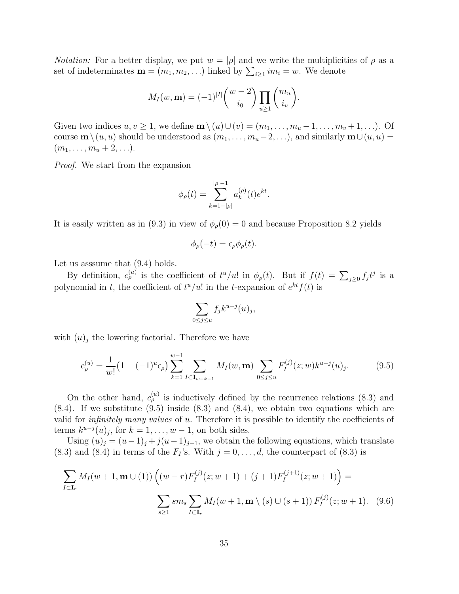*Notation:* For a better display, we put  $w = |\rho|$  and we write the multiplicities of  $\rho$  as a set of indeterminates  $\mathbf{m} = (m_1, m_2, \ldots)$  linked by  $\sum_{i \geq 1} i m_i = w$ . We denote

$$
M_I(w, \mathbf{m}) = (-1)^{|I|} {w-2 \choose i_0} \prod_{u \ge 1} {m_u \choose i_u}.
$$

Given two indices  $u, v \geq 1$ , we define  $\mathbf{m} \setminus (u) \cup (v) = (m_1, \ldots, m_u - 1, \ldots, m_v + 1, \ldots)$ . Of course  $\mathbf{m}\setminus(u, u)$  should be understood as  $(m_1, \ldots, m_u-2, \ldots)$ , and similarly  $\mathbf{m}\cup(u, u) =$  $(m_1, \ldots, m_u + 2, \ldots).$ 

Proof. We start from the expansion

$$
\phi_{\rho}(t) = \sum_{k=1-|\rho|}^{|{\rho}|-1} a_k^{({\rho})}(t) e^{kt}.
$$

It is easily written as in (9.3) in view of  $\phi_{\rho}(0) = 0$  and because Proposition 8.2 yields

$$
\phi_{\rho}(-t) = \epsilon_{\rho} \phi_{\rho}(t).
$$

Let us asssume that (9.4) holds.

By definition,  $c_{\rho}^{(u)}$  is the coefficient of  $t^u/u!$  in  $\phi_{\rho}(t)$ . But if  $f(t) = \sum_{j\geq 0} f_j t^j$  is a polynomial in t, the coefficient of  $t^u/u!$  in the t-expansion of  $e^{kt}f(t)$  is

$$
\sum_{0\leq j\leq u}f_jk^{u-j}(u)_j,
$$

with  $(u)_j$  the lowering factorial. Therefore we have

$$
c_{\rho}^{(u)} = \frac{1}{w!} \left( 1 + (-1)^u \epsilon_{\rho} \right) \sum_{k=1}^{w-1} \sum_{I \subset \mathbf{I}_{w-k-1}} M_I(w, \mathbf{m}) \sum_{0 \le j \le u} F_I^{(j)}(z; w) k^{u-j}(u)_j.
$$
 (9.5)

On the other hand,  $c_{\rho}^{(u)}$  is inductively defined by the recurrence relations (8.3) and  $(8.4)$ . If we substitute  $(9.5)$  inside  $(8.3)$  and  $(8.4)$ , we obtain two equations which are valid for *infinitely many values* of  $u$ . Therefore it is possible to identify the coefficients of terms  $k^{u-j}(u)_j$ , for  $k = 1, \ldots, w-1$ , on both sides.

Using  $(u)_j = (u-1)_j + j(u-1)_{j-1}$ , we obtain the following equations, which translate (8.3) and (8.4) in terms of the  $F_I$ 's. With  $j = 0, \ldots, d$ , the counterpart of (8.3) is

$$
\sum_{I \subset \mathbf{I}_r} M_I(w+1, \mathbf{m} \cup (1)) \left( (w-r) F_I^{(j)}(z; w+1) + (j+1) F_I^{(j+1)}(z; w+1) \right) =
$$
\n
$$
\sum_{s \ge 1} s m_s \sum_{I \subset \mathbf{I}_r} M_I(w+1, \mathbf{m} \setminus (s) \cup (s+1)) F_I^{(j)}(z; w+1). \quad (9.6)
$$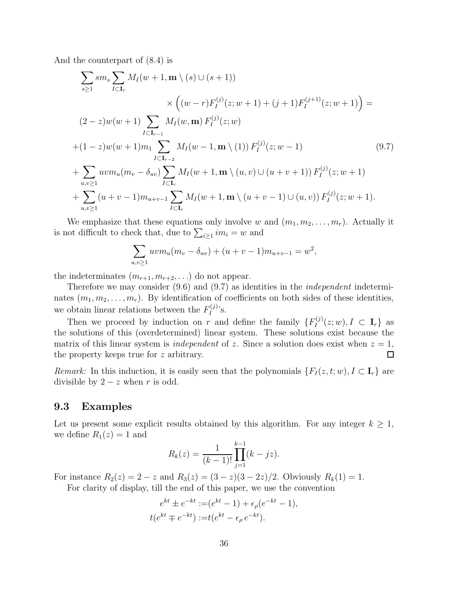And the counterpart of (8.4) is

$$
\sum_{s\geq 1} sm_s \sum_{I\subset \mathbf{I}_r} M_I(w+1, \mathbf{m}\setminus (s) \cup (s+1))
$$
  
\n
$$
\times \left((w-r)F_I^{(j)}(z; w+1) + (j+1)F_I^{(j+1)}(z; w+1)\right) =
$$
  
\n
$$
(2-z)w(w+1) \sum_{I\subset \mathbf{I}_{r-1}} M_I(w, \mathbf{m}) F_I^{(j)}(z; w)
$$
  
\n
$$
+(1-z)w(w+1)m_1 \sum_{I\subset \mathbf{I}_{r-2}} M_I(w-1, \mathbf{m}\setminus (1)) F_I^{(j)}(z; w-1)
$$
  
\n
$$
+ \sum_{u,v\geq 1} w v m_u(m_v - \delta_{uv}) \sum_{I\subset \mathbf{I}_r} M_I(w+1, \mathbf{m}\setminus (u, v) \cup (u+v+1)) F_I^{(j)}(z; w+1)
$$
  
\n
$$
+ \sum_{u,v\geq 1} (u+v-1) m_{u+v-1} \sum_{I\subset \mathbf{I}_r} M_I(w+1, \mathbf{m}\setminus (u+v-1) \cup (u, v)) F_I^{(j)}(z; w+1).
$$
  
\n(9.7)

We emphasize that these equations only involve w and  $(m_1, m_2, \ldots, m_r)$ . Actually it is not difficult to check that, due to  $\sum_{i\geq 1} im_i = w$  and

$$
\sum_{u,v\geq 1} uvm_u(m_v - \delta_{uv}) + (u+v-1)m_{u+v-1} = w^2,
$$

the indeterminates  $(m_{r+1}, m_{r+2}, \ldots)$  do not appear.

Therefore we may consider (9.6) and (9.7) as identities in the *independent* indeterminates  $(m_1, m_2, \ldots, m_r)$ . By identification of coefficients on both sides of these identities, we obtain linear relations between the  $F_I^{(j)}$  $I^{(J)}$ 's.

Then we proceed by induction on r and define the family  $\{F_I^{(j)}\}$  $I_I^{(J)}(z; w), I \subset \mathbf{I}_r\}$  as the solutions of this (overdetermined) linear system. These solutions exist because the matrix of this linear system is *independent* of z. Since a solution does exist when  $z = 1$ , the property keeps true for z arbitrary.  $\Box$ 

Remark: In this induction, it is easily seen that the polynomials  $\{F_I(z,t;w), I \subset \mathbf{I}_r\}$  are divisible by  $2 - z$  when r is odd.

#### 9.3 Examples

Let us present some explicit results obtained by this algorithm. For any integer  $k \geq 1$ , we define  $R_1(z) = 1$  and

$$
R_k(z) = \frac{1}{(k-1)!} \prod_{j=1}^{k-1} (k - jz).
$$

For instance  $R_2(z) = 2 - z$  and  $R_3(z) = (3 - z)(3 - 2z)/2$ . Obviously  $R_k(1) = 1$ .

For clarity of display, till the end of this paper, we use the convention

$$
e^{kt} \pm e^{-kt} := (e^{kt} - 1) + \epsilon_{\rho}(e^{-kt} - 1),
$$
  

$$
t(e^{kt} \mp e^{-kt}) := t(e^{kt} - \epsilon_{\rho} e^{-kt}).
$$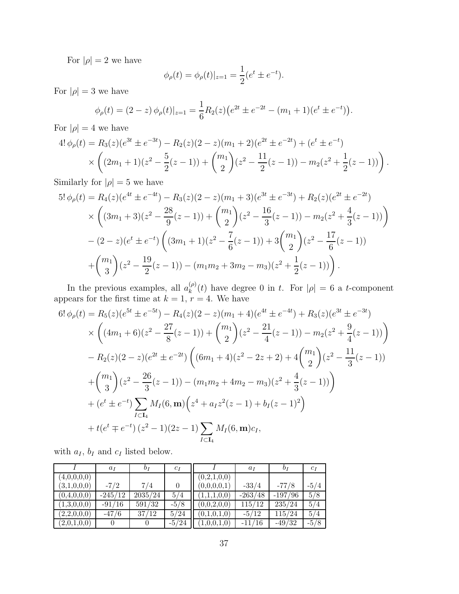For  $|\rho|=2$  we have

$$
\phi_{\rho}(t) = \phi_{\rho}(t)|_{z=1} = \frac{1}{2}(e^t \pm e^{-t}).
$$

For  $|\rho| = 3$  we have

$$
\phi_{\rho}(t) = (2-z) \phi_{\rho}(t)|_{z=1} = \frac{1}{6} R_2(z) \big( e^{2t} \pm e^{-2t} - (m_1 + 1)(e^t \pm e^{-t}) \big).
$$

For  $|\rho| = 4$  we have

$$
4! \phi_{\rho}(t) = R_3(z)(e^{3t} \pm e^{-3t}) - R_2(z)(2 - z)(m_1 + 2)(e^{2t} \pm e^{-2t}) + (e^t \pm e^{-t})
$$
  
\$\times \left( (2m\_1 + 1)(z^2 - \frac{5}{2}(z - 1)) + {m\_1 \choose 2} (z^2 - \frac{11}{2}(z - 1)) - m\_2(z^2 + \frac{1}{2}(z - 1)) \right).

Similarly for  $|\rho|=5$  we have

$$
5!\,\phi_{\rho}(t) = R_4(z)(e^{4t} \pm e^{-4t}) - R_3(z)(2-z)(m_1+3)(e^{3t} \pm e^{-3t}) + R_2(z)(e^{2t} \pm e^{-2t})
$$
  
\$\times \left( (3m\_1+3)(z^2 - \frac{28}{9}(z-1)) + {m\_1 \choose 2}(z^2 - \frac{16}{3}(z-1)) - m\_2(z^2 + \frac{4}{3}(z-1)) \right) - (2-z)(e^t \pm e^{-t}) \left( (3m\_1+1)(z^2 - \frac{7}{6}(z-1)) + 3{m\_1 \choose 2}(z^2 - \frac{17}{6}(z-1)) + {m\_1 \choose 3}(z^2 - \frac{19}{2}(z-1)) - (m\_1m\_2 + 3m\_2 - m\_3)(z^2 + \frac{1}{2}(z-1)) \right).

In the previous examples, all  $a_k^{(\rho)}$  $\binom{\varphi}{k}(t)$  have degree 0 in t. For  $|\rho| = 6$  a t-component appears for the first time at  $k = 1, r = 4$ . We have

$$
6!\,\phi_{\rho}(t) = R_5(z)(e^{5t} \pm e^{-5t}) - R_4(z)(2-z)(m_1+4)(e^{4t} \pm e^{-4t}) + R_3(z)(e^{3t} \pm e^{-3t})
$$
  
\n
$$
\times \left( (4m_1+6)(z^2 - \frac{27}{8}(z-1)) + {m_1 \choose 2}(z^2 - \frac{21}{4}(z-1)) - m_2(z^2 + \frac{9}{4}(z-1)) \right)
$$
  
\n
$$
- R_2(z)(2-z)(e^{2t} \pm e^{-2t}) \left( (6m_1+4)(z^2 - 2z + 2) + 4 {m_1 \choose 2}(z^2 - \frac{11}{3}(z-1)) + {m_1 \choose 3}(z^2 - \frac{26}{3}(z-1)) - (m_1m_2 + 4m_2 - m_3)(z^2 + \frac{4}{3}(z-1)) \right)
$$
  
\n
$$
+ (e^t \pm e^{-t}) \sum_{I \subset \mathbf{I}_4} M_I(6, \mathbf{m}) \left( z^4 + a_I z^2(z-1) + b_I(z-1)^2 \right)
$$
  
\n
$$
+ t(e^t \mp e^{-t}) (z^2 - 1)(2z - 1) \sum_{I \subset \mathbf{I}_4} M_I(6, \mathbf{m}) c_I,
$$

with  $a_I$ ,  $b_I$  and  $c_I$  listed below.

|             | $a_I$     | $b_I$   | $c_I$   |             | $a_I$     | $b_I$     | $c_I$  |
|-------------|-----------|---------|---------|-------------|-----------|-----------|--------|
| (4,0,0,0,0) |           |         |         | (0,2,1,0,0) |           |           |        |
| (3,1,0,0,0) | $-7/2$    | 7/4     |         | (0,0,0,0,1) | $-33/4$   | -77/8     | $-5/4$ |
| (0,4,0,0,0) | $-245/12$ | 2035/24 | 5/4     | (1,1,1,0,0) | $-263/48$ | $-197/96$ | 5/8    |
| (1,3,0,0,0) | $-91/16$  | 591/32  | $-5/8$  | (0,0,2,0,0) | 115/12    | 235/24    | 5/4    |
| (2,2,0,0,0) | $-47/6$   | 37/12   | 5/24    | (0,1,0,1,0) | $-5/12$   | 115/24    | 5/4    |
| (2,0,1,0,0) |           |         | $-5/24$ | (1,0,0,1,0) | $-11/16$  | $-49/32$  | $-5/8$ |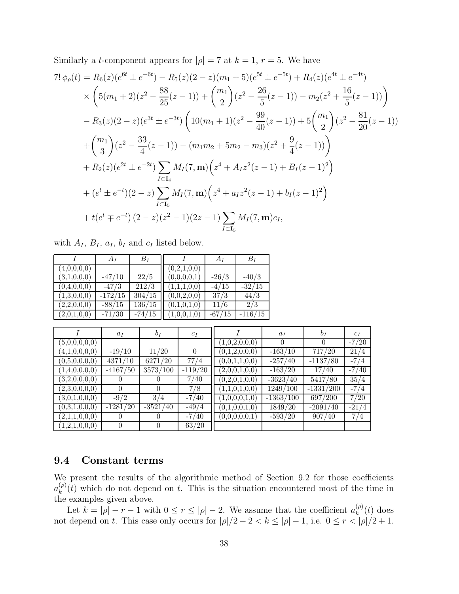Similarly a *t*-component appears for 
$$
|\rho| = 7
$$
 at  $k = 1$ ,  $r = 5$ . We have  
\n
$$
7! \phi_{\rho}(t) = R_6(z)(e^{6t} \pm e^{-6t}) - R_5(z)(2 - z)(m_1 + 5)(e^{5t} \pm e^{-5t}) + R_4(z)(e^{4t} \pm e^{-4t})
$$
\n
$$
\times \left(5(m_1 + 2)(z^2 - \frac{88}{25}(z - 1)) + {m_1 \choose 2}(z^2 - \frac{26}{5}(z - 1)) - m_2(z^2 + \frac{16}{5}(z - 1))\right)
$$
\n
$$
- R_3(z)(2 - z)(e^{3t} \pm e^{-3t}) \left(10(m_1 + 1)(z^2 - \frac{99}{40}(z - 1)) + 5{m_1 \choose 2}(z^2 - \frac{81}{20}(z - 1))\right)
$$
\n
$$
+ {m_1 \choose 3}(z^2 - \frac{33}{4}(z - 1)) - (m_1m_2 + 5m_2 - m_3)(z^2 + \frac{9}{4}(z - 1))
$$
\n
$$
+ R_2(z)(e^{2t} \pm e^{-2t}) \sum_{I \subset \mathbf{I}_4} M_I(7, \mathbf{m}) \left(z^4 + A_I z^2(z - 1) + B_I(z - 1)^2\right)
$$
\n
$$
+ (e^t \pm e^{-t})(2 - z) \sum_{I \subset \mathbf{I}_5} M_I(7, \mathbf{m}) \left(z^4 + a_I z^2(z - 1) + b_I(z - 1)^2\right)
$$
\n
$$
+ t(e^t \mp e^{-t}) (2 - z)(z^2 - 1)(2z - 1) \sum_{I \subset \mathbf{I}_5} M_I(7, \mathbf{m}) c_I,
$$

|  |  |  |  | with $A_I$ , $B_I$ , $a_I$ , $b_I$ and $c_I$ listed below. |  |
|--|--|--|--|------------------------------------------------------------|--|
|  |  |  |  |                                                            |  |

|             | $A_I$               | $B_I$    |             | $A_I$    | $B_I$     |
|-------------|---------------------|----------|-------------|----------|-----------|
| (4,0,0,0,0) |                     |          | (0,2,1,0,0) |          |           |
| (3,1,0,0,0) | $-47/10$            | 22/5     | (0,0,0,0,1) | $-26/3$  | $-40/3$   |
| (0,4,0,0,0) | $-47/3$             | 212/3    | (1,1,1,0,0) | $-4/15$  | $-32/15$  |
| (1,3,0,0,0) | $-172/15$           | 304/15   | (0,0,2,0,0) | 37/3     | 44/3      |
| (2,2,0,0,0) | $-88/15$            | 136/15   | (0,1,0,1,0) | 11/6     | 2/3       |
| (2,0,1,0,0) | $-71\overline{730}$ | $-74/15$ | (1,0,0,1,0) | $-67/15$ | $-116/15$ |

|               | $a_I$      | $b_I$      | $c_I$     |               | $a_I$       | $b_I$       | $c_I$   |
|---------------|------------|------------|-----------|---------------|-------------|-------------|---------|
| (5,0,0,0,0,0) |            |            |           | (1,0,2,0,0,0) | 0           | $\theta$    | $-7/20$ |
| (4,1,0,0,0,0) | $-19/10$   | 11/20      | $\theta$  | (0,1,2,0,0,0) | $-163/10$   | 717/20      | 21/4    |
| (0,5,0,0,0,0) | 4371/10    | 6271/20    | 77/4      | (0,0,1,1,0,0) | $-257/40$   | $-1137/80$  | $-7/4$  |
| (1,4,0,0,0,0) | $-4167/50$ | 3573/100   | $-119/20$ | (2,0,0,1,0,0) | $-163/20$   | 17/40       | $-7/40$ |
| (3,2,0,0,0,0) | $\theta$   | $\Omega$   | 7/40      | (0,2,0,1,0,0) | $-3623/40$  | 5417/80     | 35/4    |
| (2,3,0,0,0,0) | $\theta$   | $\Omega$   | 7/8       | (1,1,0,1,0,0) | 1249/100    | $-1331/200$ | $-7/4$  |
| (3,0,1,0,0,0) | $-9/2$     | 3/4        | $-7/40$   | (1,0,0,0,1,0) | $-1363/100$ | 697/200     | 7/20    |
| (0,3,1,0,0,0) | $-1281/20$ | $-3521/40$ | $-49/4$   | (0,1,0,0,1,0) | 1849/20     | $-2091/40$  | $-21/4$ |
| (2,1,1,0,0,0) | $\theta$   |            | $-7/40$   | (0,0,0,0,0,1) | $-593/20$   | 907/40      | 7/4     |
| (1,2,1,0,0,0) | 0          | $\theta$   | 63/20     |               |             |             |         |

### 9.4 Constant terms

We present the results of the algorithmic method of Section 9.2 for those coefficients  $a_k^{(\rho)}$  $\binom{(\rho)}{k}(t)$  which do not depend on t. This is the situation encountered most of the time in the examples given above.

Let  $k = |\rho| - r - 1$  with  $0 \le r \le |\rho| - 2$ . We assume that the coefficient  $a_k^{(\rho)}$  $_{k}^{(\rho)}(t)$  does not depend on t. This case only occurs for  $|\rho|/2 - 2 < k \leq |\rho| - 1$ , i.e.  $0 \leq r < |\rho|/2 + 1$ .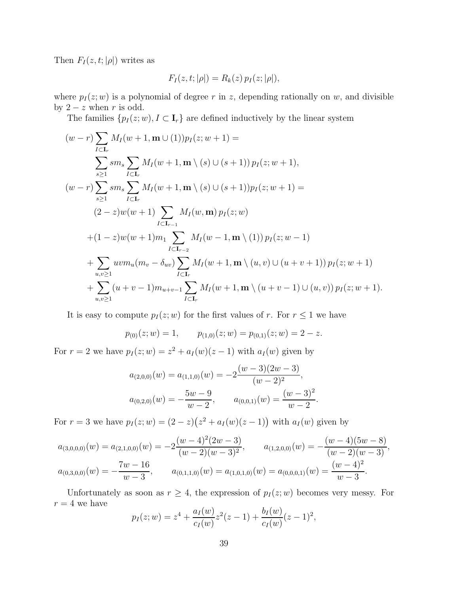Then  $F_I(z, t; |\rho|)$  writes as

$$
F_I(z, t; |\rho|) = R_k(z) p_I(z; |\rho|),
$$

where  $p_1(z;w)$  is a polynomial of degree r in z, depending rationally on w, and divisible by  $2 - z$  when r is odd.

The families  $\{p_I(z;w), I \subset \mathbf{I}_r\}$  are defined inductively by the linear system

$$
(w-r)\sum_{I\subset \mathbf{I}_r} M_I(w+1, \mathbf{m}\cup (1))p_I(z; w+1) =
$$
\n
$$
\sum_{s\geq 1} sm_s \sum_{I\subset \mathbf{I}_r} M_I(w+1, \mathbf{m}\setminus (s)\cup (s+1))p_I(z; w+1),
$$
\n
$$
(w-r)\sum_{s\geq 1} sm_s \sum_{I\subset \mathbf{I}_r} M_I(w+1, \mathbf{m}\setminus (s)\cup (s+1))p_I(z; w+1) =
$$
\n
$$
(2-z)w(w+1)\sum_{I\subset \mathbf{I}_{r-1}} M_I(w, \mathbf{m})p_I(z; w)
$$
\n
$$
+(1-z)w(w+1)m_1 \sum_{I\subset \mathbf{I}_{r-2}} M_I(w-1, \mathbf{m}\setminus (1))p_I(z; w-1)
$$
\n
$$
+\sum_{u,v\geq 1} w v m_u(m_v - \delta_{uv}) \sum_{I\subset \mathbf{I}_r} M_I(w+1, \mathbf{m}\setminus (u, v)\cup (u+v+1))p_I(z; w+1)
$$
\n
$$
+\sum_{u,v\geq 1} (u+v-1)m_{u+v-1} \sum_{I\subset \mathbf{I}_r} M_I(w+1, \mathbf{m}\setminus (u+v-1)\cup (u, v))p_I(z; w+1).
$$

It is easy to compute  $p_I(z;w)$  for the first values of r. For  $r \leq 1$  we have

$$
p_{(0)}(z; w) = 1,
$$
  $p_{(1,0)}(z; w) = p_{(0,1)}(z; w) = 2 - z.$ 

For  $r = 2$  we have  $p_I(z; w) = z^2 + a_I(w)(z - 1)$  with  $a_I(w)$  given by

$$
a_{(2,0,0)}(w) = a_{(1,1,0)}(w) = -2\frac{(w-3)(2w-3)}{(w-2)^2},
$$
  

$$
a_{(0,2,0)}(w) = -\frac{5w-9}{w-2}, \qquad a_{(0,0,1)}(w) = \frac{(w-3)^2}{w-2}.
$$

For  $r = 3$  we have  $p_1(z; w) = (2 - z)(z^2 + a_1(w)(z - 1))$  with  $a_1(w)$  given by

$$
a_{(3,0,0,0)}(w) = a_{(2,1,0,0)}(w) = -2\frac{(w-4)^2(2w-3)}{(w-2)(w-3)^2}, \qquad a_{(1,2,0,0)}(w) = -\frac{(w-4)(5w-8)}{(w-2)(w-3)},
$$
  

$$
a_{(0,3,0,0)}(w) = -\frac{7w-16}{w-3}, \qquad a_{(0,1,1,0)}(w) = a_{(1,0,1,0)}(w) = a_{(0,0,0,1)}(w) = \frac{(w-4)^2}{w-3}.
$$

Unfortunately as soon as  $r \geq 4$ , the expression of  $p_I(z; w)$  becomes very messy. For  $r = 4$  we have  $\sqrt{2}$ 

$$
p_I(z; w) = z^4 + \frac{a_I(w)}{c_I(w)} z^2 (z - 1) + \frac{b_I(w)}{c_I(w)} (z - 1)^2,
$$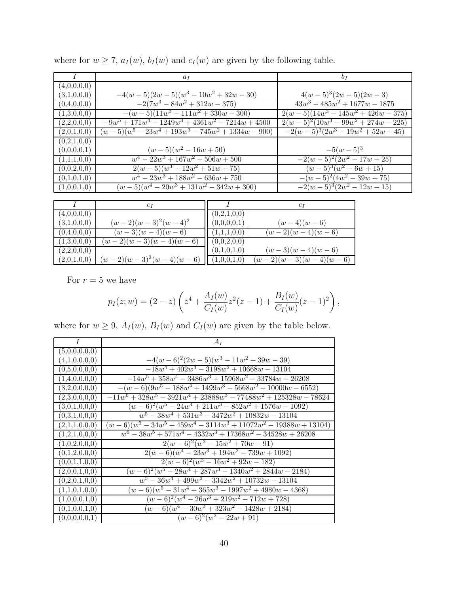|             | $a_I$                                               | b <sub>I</sub>                             |
|-------------|-----------------------------------------------------|--------------------------------------------|
| (4,0,0,0,0) |                                                     |                                            |
| (3,1,0,0,0) | $-4(w-5)(2w-5)(w^3-10w^2+32w-30)$                   | $4(w-5)^3(2w-5)(2w-3)$                     |
| (0,4,0,0,0) | $-2(7w^3 - 84w^2 + 312w - 375)$                     | $43w^3 - 485w^2 + 1677w - 1875$            |
| (1,3,0,0,0) | $-(w-5)(11w^3 - 111w^2 + 330w - 300)$               | $2(w-5)(\overline{14w^3-145w^2+426w-375})$ |
| (2,2,0,0,0) | $-9w^5 + 171w^4 - 1249w^3 + 4361w^2 - 7214w + 4500$ | $2(w-5)^2(10w^3-99w^2+274w-225)$           |
| (2,0,1,0,0) | $(w-5)(w^5-23w^4+193w^3-745w^2+1334w-900)$          | $-2(w-5)^3(2w^3 - 19w^2 + 52w - 45)$       |
| (0,2,1,0,0) |                                                     |                                            |
| (0,0,0,0,1) | $(w-5)(w^2-16w+50)$                                 | $-5(w-5)^3$                                |
| (1,1,1,0,0) | $w^4 - 22w^3 + 167w^2 - 506w + 500$                 | $-2(w-5)^2(2w^2-17w+25)$                   |
| (0,0,2,0,0) | $2(w-5)(w^3-12w^2+51w-75)$                          | $(w-5)^3(w^2-6w+15)$                       |
| (0,1,0,1,0) | $w^4 - 23w^3 + 188w^2 - 636w + 750$                 | $-(w-5)^2(4w^2-39w+75)$                    |
| (1,0,0,1,0) | $(w-5)(w^4-20w^3+131w^2-342w+300)$                  | $-2(w-5)^3(2w^2-12w+15)$                   |

where for  $w \ge 7$ ,  $a_I(w)$ ,  $b_I(w)$  and  $c_I(w)$  are given by the following table.

|             | C 1                      |             | $c_i$                  |
|-------------|--------------------------|-------------|------------------------|
| (4,0,0,0,0) |                          | (0,2,1,0,0) |                        |
| (3,1,0,0,0) | $(w-2)(w-3)^2(w-4)^2$    | (0,0,0,0,1) | $(w-4)(w-6)$           |
| (0,4,0,0,0) | $(w-3)(w-4)(w-6)$        | (1,1,1,0,0) | $(w-2)(w-4)(w-6)$      |
| (1,3,0,0,0) | $(w-2)(w-3)(w-4)(w-6)$   | (0,0,2,0,0) |                        |
| (2,2,0,0,0) |                          | (0,1,0,1,0) | $(w-3)(w-4)(w-6)$      |
| (2,0,1,0,0) | $(w-2)(w-3)^2(w-4)(w-6)$ | (1,0,0,1,0) | $(w-2)(w-3)(w-4)(w-6)$ |

For  $r = 5$  we have

$$
p_I(z; w) = (2 - z) \left( z^4 + \frac{A_I(w)}{C_I(w)} z^2 (z - 1) + \frac{B_I(w)}{C_I(w)} (z - 1)^2 \right),
$$

where for  $w \ge 9$ ,  $A_I(w)$ ,  $B_I(w)$  and  $C_I(w)$  are given by the table below.

| $\overline{I}$             | $A_I$                                                               |
|----------------------------|---------------------------------------------------------------------|
| (5,0,0,0,0,0)              |                                                                     |
| (4,1,0,0,0,0)              | $-4(w-6)^{2}(2w-5)(w^{3}-11w^{2}+39w-39)$                           |
| (0,5,0,0,0,0)              | $-18w^4 + 402w^3 - 3198w^2 + 10668w - 13104$                        |
| (1,4,0,0,0,0)              | $-14w^5 + 358w^4 - 3486w^3 + 15968w^2 - 33784w + 26208$             |
| (3,2,0,0,0,0)              | $-(w-6)(9w^5-188w^4+1499w^3-5668w^2+10000w-6552)$                   |
| (2,3,0,0,0,0)              | $-11w^6 + 328w^5 - 3921w^4 + 23888w^3 - 77488w^2 + 125328w - 78624$ |
| (3,0,1,0,0,0)              | $(w-6)^2(w^5-24w^4+211w^3-852w^2+1576w-1092)$                       |
| (0,3,1,0,0,0)              | $w^5 - 38w^4 + 531w^3 - 3472w^2 + 10832w - 13104$                   |
| (2,1,1,0,0,0)              | $(w-6)(w^6-34w^5+459w^4-3114w^3+11072w^2-19388w+13104)$             |
| (1,2,1,0,0,0)              | $w^6 - 38w^5 + 571w^4 - 4332w^3 + 17368w^2 - 34528w + 26208$        |
| (1,0,2,0,0,0)              | $2(w-6)^2(w^3-15w^2+70w-91)$                                        |
| (0,1,2,0,0,0)              | $2(w-6)(w^4-23w^3+194w^2-739w+1092)$                                |
| (0,0,1,1,0,0)              | $2(w-6)^2(w^3-16w^2+92w-182)$                                       |
| (2,0,0,1,0,0)              | $(w-6)^2(w^5-28w^4+287w^3-1340w^2+2844w-2184)$                      |
| $\overline{(0,2,0,1,0,0)}$ | $w^5 - 36w^4 + 499w^3 - 3342w^2 + 10732w - 13104$                   |
| (1,1,0,1,0,0)              | $(w-6)(w^5-31w^4+365w^3-1997w^2+4980w-4368)$                        |
| (1,0,0,0,1,0)              | $(w-6)^2(w^4-26w^3+219w^2-712w+728)$                                |
| (0,1,0,0,1,0)              | $(w-6)(w^4-30w^3+323w^2-1428w+2184)$                                |
| (0,0,0,0,0,1)              | $(w-6)^2(w^2-22w+91)$                                               |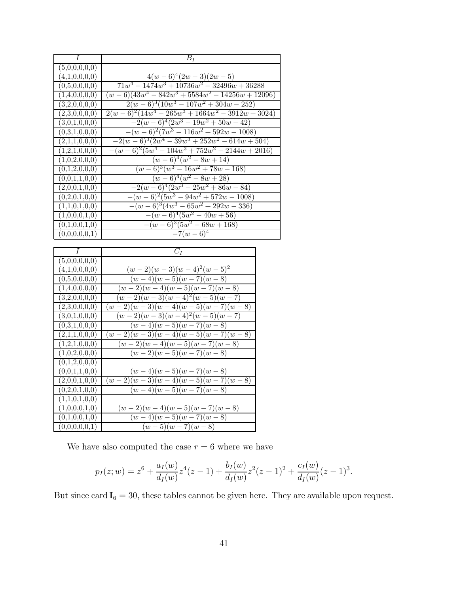| $\boldsymbol{I}$                                         | $B_I$                                                                                         |  |
|----------------------------------------------------------|-----------------------------------------------------------------------------------------------|--|
| (5,0,0,0,0,0)                                            |                                                                                               |  |
| (4,1,0,0,0,0)                                            | $\frac{4(w-6)^4(2w-3)(2w-5)}{71w^4-1474w^3+10736w^2-32496w+36288}$                            |  |
| (0,5,0,0,0,0)                                            |                                                                                               |  |
| (1,4,0,0,0,0)                                            | $(w-6)(43w^4 - 842w^3 + 5584w^2 - 14256w + 12096)$                                            |  |
| (3,2,0,0,0,0)                                            | $2(w-6)^3(10w^3-107w^2+304w-252)$                                                             |  |
| $\overline{(2,3,0,0,0,0)}$                               | $\frac{2(w-6)^2(14w^4-265w^3+1664w^2-3912w+3024)}{2(w-6)^2(14w^4-265w^3+1664w^2-3912w+3024)}$ |  |
| (3,0,1,0,0,0)                                            | $-2(w-6)^4(2w^3-19w^2+50w-42)$                                                                |  |
| (0,3,1,0,0,0)                                            | $-(w-6)^2(7w^3-116w^2+592w-1008)$                                                             |  |
| (2,1,1,0,0,0)                                            | $-2(w-6)^3(2w^4-39w^3+252w^2-614w+504)$                                                       |  |
| (1,2,1,0,0,0)                                            | $-(w-6)^2(5w^4 - 104w^3 + 752w^2 - 2144w + 2016)$                                             |  |
| $\overline{(1,0,2,0,0,0)}$                               | $(w-6)^4(w^2-8w+14)$                                                                          |  |
| (0,1,2,0,0,0)                                            | $\sqrt{(w-6)^3(w^3-16w^2+78w-168)}$                                                           |  |
| (0,0,1,1,0,0)                                            | $(w-6)^4(w^2-8w+28)$                                                                          |  |
| (2,0,0,1,0,0)                                            | $-2(w-6)^4(2w^3-25w^2+86w-84)$                                                                |  |
| (0,2,0,1,0,0)                                            | $-(w-6)^2(5w^3-94w^2+572w-1008)$                                                              |  |
| (1,1,0,1,0,0)                                            | $-(w-6)^3(4w^3-65w^2+292w-336)$                                                               |  |
| (1,0,0,0,1,0)                                            | $-(w-6)^4(5w^2-40w+56)$                                                                       |  |
| (0,1,0,0,1,0)                                            | $-(w-6)^3(5w^2-68w+168)$                                                                      |  |
| (0,0,0,0,0,1)                                            | $-7(w-6)^4$                                                                                   |  |
|                                                          |                                                                                               |  |
|                                                          |                                                                                               |  |
| I                                                        | $C_I$                                                                                         |  |
| (5,0,0,0,0,0)                                            |                                                                                               |  |
| (4,1,0,0,0,0)                                            |                                                                                               |  |
| (0,5,0,0,0,0)                                            | $\frac{(w-2)(w-3)(w-4)^2(w-5)^2}{(w-4)(w-5)(w-7)(w-8)}$                                       |  |
| $\overline{(1,4,0,0,0,0)}$                               |                                                                                               |  |
| (3,2,0,0,0,0)                                            | $\frac{(w-2)(w-4)(w-5)(w-7)(w-8)}{(w-2)(w-3)(w-4)^2(w-5)(w-7)}$                               |  |
| (2,3,0,0,0,0)                                            | $\frac{(w-2)(w-3)(w-4)(w-5)(w-7)(w-8)}{w}$                                                    |  |
| (3,0,1,0,0,0)<br>(0,3,1,0,0,0)                           | $(w-2)(w-3)(w-4)^2(w-5)(w-7)$                                                                 |  |
| (2,1,1,0,0,0)                                            | $(w-4)(w-5)(w-7)(w-8)$                                                                        |  |
| (1,2,1,0,0,0)                                            | $(w-2)(w-3)(w-4)(w-5)(w-7)(w-8)$<br>$(w-2)(w-4)(w-5)(w-7)(w-8)$                               |  |
| (1,0,2,0,0,0)                                            |                                                                                               |  |
| (0,1,2,0,0,0)                                            | $(w-2)(w-5)\overline{(w-7)(w-8)}$                                                             |  |
| (0,0,1,1,0,0)                                            |                                                                                               |  |
| $(2,0,0,\overline{1,0,0})$                               | $(w-4)(w-5)(w-7)(w-8)$<br>$(w-2)(w-3)(w-4)(w-5)(w-7)(w-8)$                                    |  |
| (0,2,0,1,0,0)                                            | $(w-4)(w-5)(w-7)(w-8)$                                                                        |  |
| (1,1,0,1,0,0)                                            |                                                                                               |  |
| (1,0,0,0,1,0)                                            |                                                                                               |  |
| $(0,1,0,0,\overline{1,0})$<br>$(0,0,0,0,0,\overline{1})$ | $\frac{(w-2)(w-4)(w-5)(w-7)(w-8)}{(w-4)(w-5)(w-7)(w-8)}$<br>$(w-5)(w-7)(w-8)$                 |  |

We have also computed the case  $r=6$  where we have

$$
p_I(z; w) = z^6 + \frac{a_I(w)}{d_I(w)} z^4 (z - 1) + \frac{b_I(w)}{d_I(w)} z^2 (z - 1)^2 + \frac{c_I(w)}{d_I(w)} (z - 1)^3.
$$

But since card  $I_6 = 30$ , these tables cannot be given here. They are available upon request.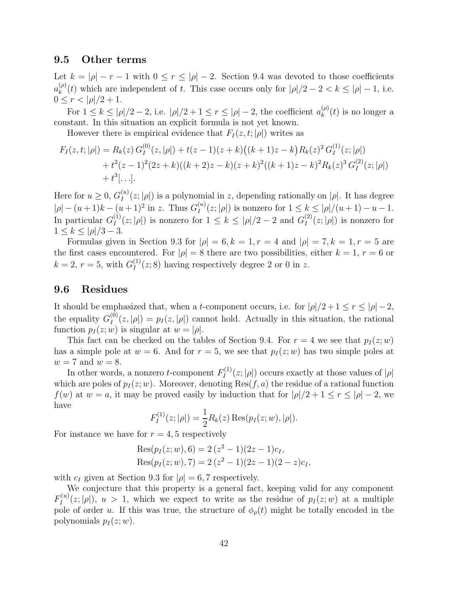#### 9.5 Other terms

Let  $k = |\rho| - r - 1$  with  $0 \le r \le |\rho| - 2$ . Section 9.4 was devoted to those coefficients  $a_k^{(\rho)}$  $\binom{\varphi}{k}(t)$  which are independent of t. This case occurs only for  $|\rho|/2 - 2 < k \leq |\rho| - 1$ , i.e.  $0 \leq r < |\rho|/2 + 1.$ 

For  $1 \leq k \leq |\rho|/2 - 2$ , i.e.  $|\rho|/2 + 1 \leq r \leq |\rho| - 2$ , the coefficient  $a_k^{(\rho)}$  $\binom{(\rho)}{k}(t)$  is no longer a constant. In this situation an explicit formula is not yet known.

However there is empirical evidence that  $F_I(z,t; |\rho|)$  writes as

$$
F_I(z, t; |\rho|) = R_k(z) G_I^{(0)}(z, |\rho|) + t(z - 1)(z + k) ((k + 1)z - k) R_k(z)^2 G_I^{(1)}(z; |\rho|)
$$
  
+  $t^2(z - 1)^2 (2z + k) ((k + 2)z - k) (z + k)^2 ((k + 1)z - k)^2 R_k(z)^3 G_I^{(2)}(z; |\rho|)$   
+  $t^3[...].$ 

Here for  $u \geq 0$ ,  $G_I^{(u)}$  $\prod_{I}^{(u)}(z; |\rho|)$  is a polynomial in z, depending rationally on  $|\rho|$ . It has degree  $|\rho| - (u+1)k - (u+1)^2$  in z. Thus  $G_I^{(u)}$  $\sum_{I}^{(u)}(z; |\rho|)$  is nonzero for  $1 \leq k \leq |\rho|/(u+1)-u-1$ . In particular  $G_I^{(1)}$  $I_I^{(1)}(z;|\rho|)$  is nonzero for  $1 \leq k \leq |\rho|/2 - 2$  and  $G_I^{(2)}$  $I_I^{(2)}(z;|\rho|)$  is nonzero for  $1 \leq k \leq |\rho|/3 - 3.$ 

Formulas given in Section 9.3 for  $|\rho| = 6, k = 1, r = 4$  and  $|\rho| = 7, k = 1, r = 5$  are the first cases encountered. For  $|\rho| = 8$  there are two possibilities, either  $k = 1, r = 6$  or  $k = 2, r = 5$ , with  $G_I^{(1)}$  $I_I^{(1)}(z; 8)$  having respectively degree 2 or 0 in z.

### 9.6 Residues

It should be emphasized that, when a t-component occurs, i.e. for  $|\rho|/2 + 1 \le r \le |\rho| - 2$ , the equality  $G_I^{(0)}$  $I_I^{(0)}(z,|\rho|) = p_I(z,|\rho|)$  cannot hold. Actually in this situation, the rational function  $p_1(z;w)$  is singular at  $w = |\rho|$ .

This fact can be checked on the tables of Section 9.4. For  $r = 4$  we see that  $p_I(z;w)$ has a simple pole at  $w = 6$ . And for  $r = 5$ , we see that  $p_I(z; w)$  has two simple poles at  $w = 7$  and  $w = 8$ .

In other words, a nonzero *t*-component  $F_I^{(1)}$  $\prod_{I}^{(1)}(z;|\rho|)$  occurs exactly at those values of  $|\rho|$ which are poles of  $p_I(z;w)$ . Moreover, denoting Res $(f, a)$  the residue of a rational function  $f(w)$  at  $w = a$ , it may be proved easily by induction that for  $|\rho|/2 + 1 \le r \le |\rho| - 2$ , we have

$$
F_I^{(1)}(z; |\rho|) = \frac{1}{2} R_k(z) \operatorname{Res}(p_I(z; w), |\rho|).
$$

For instance we have for  $r = 4, 5$  respectively

Res
$$
(p_I(z; w), 6) = 2(z^2 - 1)(2z - 1)c_I
$$
,  
Res $(p_I(z; w), 7) = 2(z^2 - 1)(2z - 1)(2 - z)c_I$ ,

with  $c_I$  given at Section 9.3 for  $|\rho| = 6, 7$  respectively.

We conjecture that this property is a general fact, keeping valid for any component  $F_I^{(u)}$  $I_I^{(u)}(z;|\rho|)$ ,  $u > 1$ , which we expect to write as the residue of  $p_I(z;w)$  at a multiple pole of order u. If this was true, the structure of  $\phi_{\rho}(t)$  might be totally encoded in the polynomials  $p_I(z;w)$ .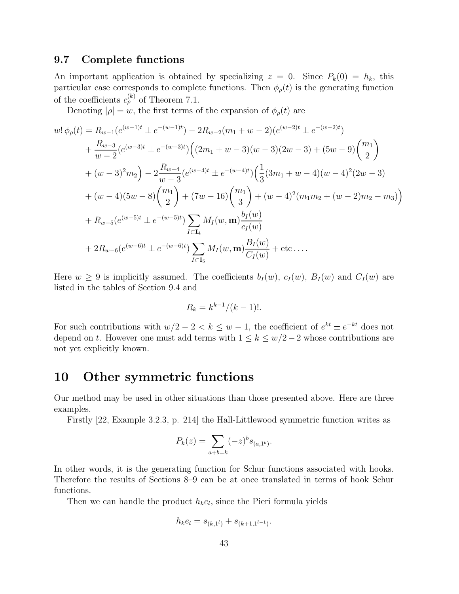### 9.7 Complete functions

An important application is obtained by specializing  $z = 0$ . Since  $P_k(0) = h_k$ , this particular case corresponds to complete functions. Then  $\phi_{\rho}(t)$  is the generating function of the coefficients  $c_{\rho}^{(k)}$  of Theorem 7.1.

Denoting  $|\rho| = w$ , the first terms of the expansion of  $\phi_{\rho}(t)$  are

$$
w! \phi_{\rho}(t) = R_{w-1}(e^{(w-1)t} \pm e^{-(w-1)t}) - 2R_{w-2}(m_1 + w - 2)(e^{(w-2)t} \pm e^{-(w-2)t})
$$
  
+ 
$$
\frac{R_{w-3}}{w-2}(e^{(w-3)t} \pm e^{-(w-3)t}) ((2m_1 + w - 3)(w - 3)(2w - 3) + (5w - 9)(\frac{m_1}{2})
$$
  
+ 
$$
(w - 3)^2 m_2) - 2\frac{R_{w-4}}{w-3}(e^{(w-4)t} \pm e^{-(w-4)t}) (\frac{1}{3}(3m_1 + w - 4)(w - 4)^2(2w - 3)
$$
  
+ 
$$
(w - 4)(5w - 8)(\frac{m_1}{2}) + (7w - 16)(\frac{m_1}{3}) + (w - 4)^2(m_1m_2 + (w - 2)m_2 - m_3))
$$
  
+ 
$$
R_{w-5}(e^{(w-5)t} \pm e^{-(w-5)t}) \sum_{I \subset I_4} M_I(w, \mathbf{m}) \frac{b_I(w)}{c_I(w)}
$$
  
+ 
$$
2R_{w-6}(e^{(w-6)t} \pm e^{-(w-6)t}) \sum_{I \subset I_5} M_I(w, \mathbf{m}) \frac{B_I(w)}{C_I(w)} + \text{etc.} \dots
$$

Here  $w \ge 9$  is implicitly assumed. The coefficients  $b_I(w)$ ,  $c_I(w)$ ,  $B_I(w)$  and  $C_I(w)$  are listed in the tables of Section 9.4 and

$$
R_k = k^{k-1}/(k-1)!
$$

For such contributions with  $w/2 - 2 < k \leq w - 1$ , the coefficient of  $e^{kt} \pm e^{-kt}$  does not depend on t. However one must add terms with  $1 \leq k \leq w/2 - 2$  whose contributions are not yet explicitly known.

### 10 Other symmetric functions

Our method may be used in other situations than those presented above. Here are three examples.

Firstly [22, Example 3.2.3, p. 214] the Hall-Littlewood symmetric function writes as

$$
P_k(z) = \sum_{a+b=k} (-z)^b s_{(a,1^b)}.
$$

In other words, it is the generating function for Schur functions associated with hooks. Therefore the results of Sections 8–9 can be at once translated in terms of hook Schur functions.

Then we can handle the product  $h_k e_l$ , since the Pieri formula yields

$$
h_k e_l = s_{(k,1^l)} + s_{(k+1,1^{l-1})}.
$$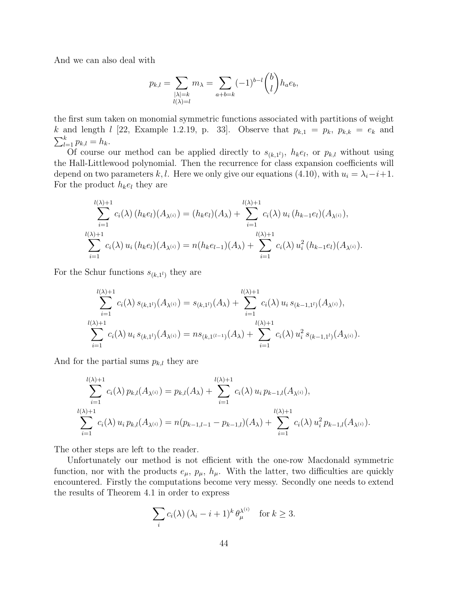And we can also deal with

$$
p_{k,l} = \sum_{\substack{|\lambda|=k \ l(\lambda)=l}} m_{\lambda} = \sum_{a+b=k} (-1)^{b-l} \binom{b}{l} h_a e_b,
$$

the first sum taken on monomial symmetric functions associated with partitions of weight k and length l [22, Example 1.2.19, p. 33]. Observe that  $p_{k,1} = p_k$ ,  $p_{k,k} = e_k$  and  $\sum_{l=1}^{k} p_{k,l} = h_k.$ 

Of course our method can be applied directly to  $s_{(k,1^l)}$ ,  $h_k e_l$ , or  $p_{k,l}$  without using the Hall-Littlewood polynomial. Then the recurrence for class expansion coefficients will depend on two parameters k, l. Here we only give our equations (4.10), with  $u_i = \lambda_i - i + 1$ . For the product  $h_k e_l$  they are

$$
\sum_{i=1}^{l(\lambda)+1} c_i(\lambda) (h_k e_l)(A_{\lambda^{(i)}}) = (h_k e_l)(A_{\lambda}) + \sum_{i=1}^{l(\lambda)+1} c_i(\lambda) u_i (h_{k-1} e_l)(A_{\lambda^{(i)}}),
$$
  

$$
\sum_{i=1}^{l(\lambda)+1} c_i(\lambda) u_i (h_k e_l)(A_{\lambda^{(i)}}) = n(h_k e_{l-1})(A_{\lambda}) + \sum_{i=1}^{l(\lambda)+1} c_i(\lambda) u_i^2 (h_{k-1} e_l)(A_{\lambda^{(i)}}).
$$

For the Schur functions  $s_{(k,1^l)}$  they are

$$
\sum_{i=1}^{l(\lambda)+1} c_i(\lambda) s_{(k,1^l)}(A_{\lambda^{(i)}}) = s_{(k,1^l)}(A_{\lambda}) + \sum_{i=1}^{l(\lambda)+1} c_i(\lambda) u_i s_{(k-1,1^l)}(A_{\lambda^{(i)}}),
$$
  

$$
\sum_{i=1}^{l(\lambda)+1} c_i(\lambda) u_i s_{(k,1^l)}(A_{\lambda^{(i)}}) = n s_{(k,1^{(l-1)}}(A_{\lambda}) + \sum_{i=1}^{l(\lambda)+1} c_i(\lambda) u_i^2 s_{(k-1,1^l)}(A_{\lambda^{(i)}}).
$$

And for the partial sums  $p_{k,l}$  they are

$$
\sum_{i=1}^{l(\lambda)+1} c_i(\lambda) p_{k,l}(A_{\lambda^{(i)}}) = p_{k,l}(A_{\lambda}) + \sum_{i=1}^{l(\lambda)+1} c_i(\lambda) u_i p_{k-1,l}(A_{\lambda^{(i)}}),
$$
  

$$
\sum_{i=1}^{l(\lambda)+1} c_i(\lambda) u_i p_{k,l}(A_{\lambda^{(i)}}) = n(p_{k-1,l-1} - p_{k-1,l})(A_{\lambda}) + \sum_{i=1}^{l(\lambda)+1} c_i(\lambda) u_i^2 p_{k-1,l}(A_{\lambda^{(i)}}).
$$

The other steps are left to the reader.

Unfortunately our method is not efficient with the one-row Macdonald symmetric function, nor with the products  $e_{\mu}$ ,  $p_{\mu}$ ,  $h_{\mu}$ . With the latter, two difficulties are quickly encountered. Firstly the computations become very messy. Secondly one needs to extend the results of Theorem 4.1 in order to express

$$
\sum_{i} c_i(\lambda) (\lambda_i - i + 1)^k \theta_{\mu}^{\lambda^{(i)}} \quad \text{for } k \ge 3.
$$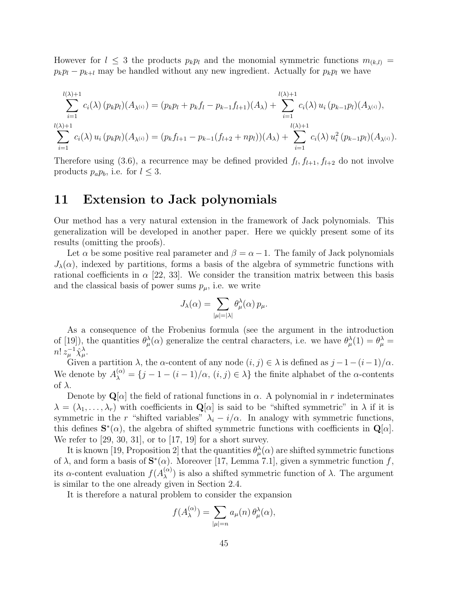However for  $l \leq 3$  the products  $p_k p_l$  and the monomial symmetric functions  $m_{(k,l)} =$  $p_k p_l - p_{k+l}$  may be handled without any new ingredient. Actually for  $p_k p_l$  we have

$$
\sum_{i=1}^{l(\lambda)+1} c_i(\lambda) (p_k p_l)(A_{\lambda^{(i)}}) = (p_k p_l + p_k f_l - p_{k-1} f_{l+1})(A_{\lambda}) + \sum_{i=1}^{l(\lambda)+1} c_i(\lambda) u_i (p_{k-1} p_l)(A_{\lambda^{(i)}}),
$$
  

$$
\sum_{i=1}^{l(\lambda)+1} c_i(\lambda) u_i (p_k p_l)(A_{\lambda^{(i)}}) = (p_k f_{l+1} - p_{k-1}(f_{l+2} + np_l))(A_{\lambda}) + \sum_{i=1}^{l(\lambda)+1} c_i(\lambda) u_i^2 (p_{k-1} p_l)(A_{\lambda^{(i)}}).
$$

Therefore using (3.6), a recurrence may be defined provided  $f_l, f_{l+1}, f_{l+2}$  do not involve products  $p_a p_b$ , i.e. for  $l \leq 3$ .

### 11 Extension to Jack polynomials

Our method has a very natural extension in the framework of Jack polynomials. This generalization will be developed in another paper. Here we quickly present some of its results (omitting the proofs).

Let  $\alpha$  be some positive real parameter and  $\beta = \alpha - 1$ . The family of Jack polynomials  $J_{\lambda}(\alpha)$ , indexed by partitions, forms a basis of the algebra of symmetric functions with rational coefficients in  $\alpha$  [22, 33]. We consider the transition matrix between this basis and the classical basis of power sums  $p_{\mu}$ , i.e. we write

$$
J_\lambda(\alpha) = \sum_{|\mu|=|\lambda|} \theta^\lambda_\mu(\alpha)\, p_\mu.
$$

As a consequence of the Frobenius formula (see the argument in the introduction of [19]), the quantities  $\theta_{\mu}^{\lambda}(\alpha)$  generalize the central characters, i.e. we have  $\theta_{\mu}^{\lambda}(1) = \theta_{\mu}^{\lambda} =$  $n! z_\mu^{-1} \hat \chi^\lambda_\mu.$ 

Given a partition  $\lambda$ , the  $\alpha$ -content of any node  $(i, j) \in \lambda$  is defined as  $j - 1 - (i - 1)/\alpha$ . We denote by  $A_{\lambda}^{(\alpha)} = \{j-1-(i-1)/\alpha, (i,j) \in \lambda\}$  the finite alphabet of the  $\alpha$ -contents of  $\lambda$ .

Denote by  $\mathbf{Q}[\alpha]$  the field of rational functions in  $\alpha$ . A polynomial in r indeterminates  $\lambda = (\lambda_1, \ldots, \lambda_r)$  with coefficients in  $\mathbf{Q}[\alpha]$  is said to be "shifted symmetric" in  $\lambda$  if it is symmetric in the r "shifted variables"  $\lambda_i - i/\alpha$ . In analogy with symmetric functions, this defines  $\mathbf{S}^*(\alpha)$ , the algebra of shifted symmetric functions with coefficients in  $\mathbf{Q}[\alpha]$ . We refer to  $[29, 30, 31]$ , or to  $[17, 19]$  for a short survey.

It is known [19, Proposition 2] that the quantities  $\theta_{\mu}^{\lambda}(\alpha)$  are shifted symmetric functions of  $\lambda$ , and form a basis of  $\mathbf{S}^*(\alpha)$ . Moreover [17, Lemma 7.1], given a symmetric function f, its  $\alpha$ -content evaluation  $f(A_{\lambda}^{(\alpha)})$  $\lambda^{(\alpha)}$ ) is also a shifted symmetric function of  $\lambda$ . The argument is similar to the one already given in Section 2.4.

It is therefore a natural problem to consider the expansion

$$
f(A_\lambda^{(\alpha)})=\sum_{|\mu|=n}a_\mu(n)\,\theta_\mu^\lambda(\alpha),
$$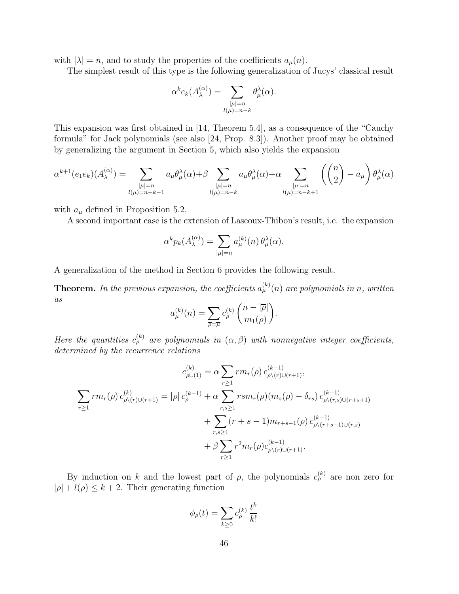with  $|\lambda| = n$ , and to study the properties of the coefficients  $a_{\mu}(n)$ .

The simplest result of this type is the following generalization of Jucys' classical result

$$
\alpha^k e_k(A_\lambda^{(\alpha)}) = \sum_{\substack{|\mu|=n\\ l(\mu)=n-k}} \theta_\mu^\lambda(\alpha).
$$

This expansion was first obtained in [14, Theorem 5.4], as a consequence of the "Cauchy formula" for Jack polynomials (see also [24, Prop. 8.3]). Another proof may be obtained by generalizing the argument in Section 5, which also yields the expansion

$$
\alpha^{k+1}(e_1e_k)(A_\lambda^{(\alpha)}) = \sum_{\substack{|\mu|=n\\l(\mu)=n-k-1}} a_\mu \theta_\mu^\lambda(\alpha) + \beta \sum_{\substack{|\mu|=n\\l(\mu)=n-k}} a_\mu \theta_\mu^\lambda(\alpha) + \alpha \sum_{\substack{|\mu|=n\\l(\mu)=n-k+1}} \left( \binom{n}{2} - a_\mu \right) \theta_\mu^\lambda(\alpha)
$$

with  $a_{\mu}$  defined in Proposition 5.2.

A second important case is the extension of Lascoux-Thibon's result, i.e. the expansion

$$
\alpha^k p_k(A_{\lambda}^{(\alpha)}) = \sum_{|\mu|=n} a_{\mu}^{(k)}(n) \theta_{\mu}^{\lambda}(\alpha).
$$

A generalization of the method in Section 6 provides the following result.

**Theorem.** In the previous expansion, the coefficients  $a_{\mu}^{(k)}(n)$  are polynomials in n, written  $\mathfrak{a}s$ 

$$
a_{\mu}^{(k)}(n) = \sum_{\overline{\rho} = \overline{\mu}} c_{\rho}^{(k)} \binom{n - |\overline{\rho}|}{m_1(\rho)}.
$$

Here the quantities  $c_{\rho}^{(k)}$  are polynomials in  $(\alpha, \beta)$  with nonnegative integer coefficients, determined by the recurrence relations

$$
c_{\rho\cup(1)}^{(k)} = \alpha \sum_{r\geq 1} r m_r(\rho) c_{\rho\setminus(r)\cup(r+1)}^{(k-1)},
$$
  

$$
\sum_{r\geq 1} r m_r(\rho) c_{\rho\setminus(r)\cup(r+1)}^{(k)} = |\rho| c_{\rho}^{(k-1)} + \alpha \sum_{r,s\geq 1} r s m_r(\rho) (m_s(\rho) - \delta_{rs}) c_{\rho\setminus(r,s)\cup(r+s+1)}^{(k-1)} + \sum_{r,s\geq 1} (r+s-1) m_{r+s-1}(\rho) c_{\rho\setminus(r+s-1)\cup(r,s)}^{(k-1)} + \beta \sum_{r\geq 1} r^2 m_r(\rho) c_{\rho\setminus(r)\cup(r+1)}^{(k-1)}.
$$

By induction on k and the lowest part of  $\rho$ , the polynomials  $c_{\rho}^{(k)}$  are non zero for  $|\rho| + l(\rho) \leq k + 2$ . Their generating function

$$
\phi_{\rho}(t) = \sum_{k \geq 0} c_{\rho}^{(k)} \frac{t^k}{k!}
$$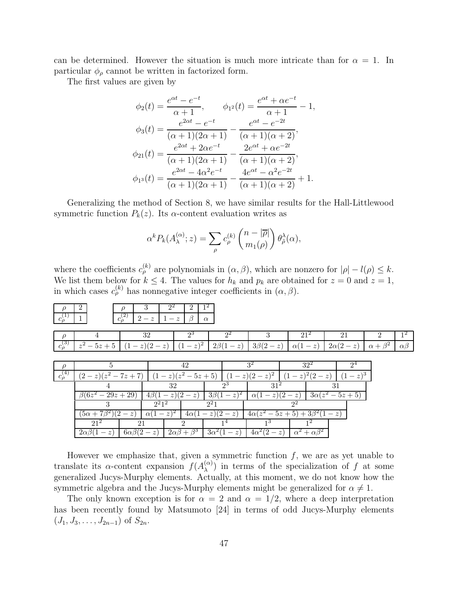can be determined. However the situation is much more intricate than for  $\alpha = 1$ . In particular  $\phi_{\rho}$  cannot be written in factorized form.

The first values are given by

$$
\phi_2(t) = \frac{e^{\alpha t} - e^{-t}}{\alpha + 1}, \qquad \phi_{1^2}(t) = \frac{e^{\alpha t} + \alpha e^{-t}}{\alpha + 1} - 1,
$$
  

$$
\phi_3(t) = \frac{e^{2\alpha t} - e^{-t}}{(\alpha + 1)(2\alpha + 1)} - \frac{e^{\alpha t} - e^{-2t}}{(\alpha + 1)(\alpha + 2)},
$$
  

$$
\phi_{21}(t) = \frac{e^{2\alpha t} + 2\alpha e^{-t}}{(\alpha + 1)(2\alpha + 1)} - \frac{2e^{\alpha t} + \alpha e^{-2t}}{(\alpha + 1)(\alpha + 2)},
$$
  

$$
\phi_{1^3}(t) = \frac{e^{2\alpha t} - 4\alpha^2 e^{-t}}{(\alpha + 1)(2\alpha + 1)} - \frac{4e^{\alpha t} - \alpha^2 e^{-2t}}{(\alpha + 1)(\alpha + 2)} + 1.
$$

Generalizing the method of Section 8, we have similar results for the Hall-Littlewood symmetric function  $P_k(z)$ . Its  $\alpha$ -content evaluation writes as

$$
\alpha^k P_k(A_{\lambda}^{(\alpha)}; z) = \sum_{\rho} c_{\rho}^{(k)} \binom{n - |\overline{\rho}|}{m_1(\rho)} \theta_{\tilde{\rho}}^{\lambda}(\alpha),
$$

where the coefficients  $c_{\rho}^{(k)}$  are polynomials in  $(\alpha, \beta)$ , which are nonzero for  $|\rho| - l(\rho) \leq k$ . We list them below for  $k \leq 4$ . The values for  $h_k$  and  $p_k$  are obtained for  $z = 0$  and  $z = 1$ , in which cases  $c_{\rho}^{(k)}$  has nonnegative integer coefficients in  $(\alpha, \beta)$ .

| $\rho$<br>$c_{\rho}^{(1)}$ | $\overline{2}$            | 3<br>$\rho$<br>$c_{\rho}^{(2)}$<br>$2-z$ | $2^2$                    | $\overline{2}$<br>$\beta$<br>$1-z$ | $1^2$<br>$\alpha$       |                           |                             |                     |                  |               |
|----------------------------|---------------------------|------------------------------------------|--------------------------|------------------------------------|-------------------------|---------------------------|-----------------------------|---------------------|------------------|---------------|
| $\rho$                     |                           |                                          | 32                       | $2^3$                              | $2^2$                   | 3                         | $21^{2}$                    | 21                  | $\mathfrak{D}$   | $1^2$         |
| $c_{\rho}^{(3)}$           | $z^2 - 5z + 5$            | $(1-z)(2-z)$                             |                          | $(1-z)^2$                          | $2\beta(1-z)$           | $3\beta(2-z)$             | $\alpha(1-z)$               | $2\alpha(2-z)$      | $\alpha+\beta^2$ | $\alpha\beta$ |
|                            |                           |                                          |                          |                                    |                         |                           |                             |                     |                  |               |
| $\rho$                     | 5                         |                                          |                          | 42                                 |                         | 3 <sup>2</sup>            | $32^2$                      | $2^4$               |                  |               |
| $c_{\rho}^{(4)}$           | $(2-z)(z^2-7z+7)$         |                                          |                          | $(1-z)(z^2-5z+5)$                  |                         | $(z)^2$<br>$(1-z)(2-$     | $(z-z)^{2}(2-z)$            | $(-z)^3$ .          |                  |               |
|                            | 4                         |                                          |                          | 32                                 | $2^3$                   | $31^{2}$                  |                             | 31                  |                  |               |
|                            | $\sqrt{6}6z^2 - 29z + 29$ |                                          | $4\beta$                 | $(z-z)(2)$<br>$- z$                | $(-z)^2$<br>$3\beta(1)$ | $(z-z)(2)$<br>$\alpha$ (1 | $- z$                       | $3\alpha(z^2-5z+5)$ |                  |               |
|                            | 3                         |                                          | $2^2$ 1 <sup>2</sup>     |                                    | $2^21$                  |                           | $2^2$                       |                     |                  |               |
|                            | $(5\alpha +$              | $(2 - z)$                                | $(z-z)^2$<br>$\alpha$ (1 | $4\alpha$                          | $(z-z)(2)$<br>$- z$     | $4\alpha(z^2)$            | $-5z+5+3\beta^2$            | $1-z$               |                  |               |
|                            | $21^2$                    | 21                                       |                          | 2                                  | 14                      | 1 <sup>3</sup>            | 12                          |                     |                  |               |
|                            | $2\alpha\beta(1-z)$       | $6\alpha\beta(2-z)$                      |                          | $2\alpha\beta+\beta^3$             | $3\alpha^2(1-z)$        | $4\alpha^2(2-z)$          | $\alpha^2 + \alpha \beta^2$ |                     |                  |               |

However we emphasize that, given a symmetric function  $f$ , we are as yet unable to translate its  $\alpha$ -content expansion  $f(A_{\lambda}^{(\alpha)})$  $\binom{\alpha}{\lambda}$  in terms of the specialization of f at some generalized Jucys-Murphy elements. Actually, at this moment, we do not know how the symmetric algebra and the Jucys-Murphy elements might be generalized for  $\alpha \neq 1$ .

The only known exception is for  $\alpha = 2$  and  $\alpha = 1/2$ , where a deep interpretation has been recently found by Matsumoto [24] in terms of odd Jucys-Murphy elements  $(J_1, J_3, \ldots, J_{2n-1})$  of  $S_{2n}$ .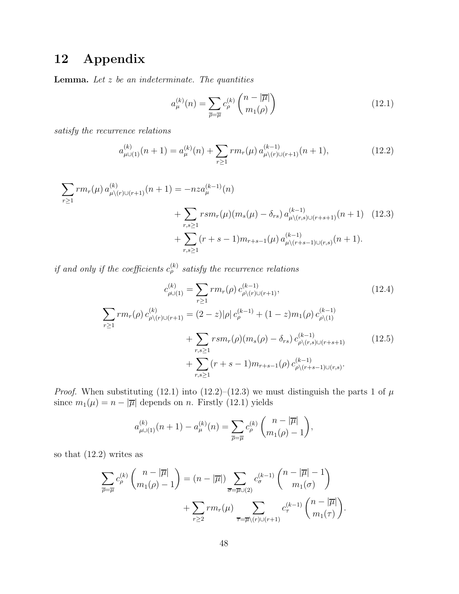# 12 Appendix

**Lemma.** Let  $z$  be an indeterminate. The quantities

$$
a_{\mu}^{(k)}(n) = \sum_{\overline{\rho} = \overline{\mu}} c_{\rho}^{(k)} \binom{n - |\overline{\mu}|}{m_1(\rho)}
$$
(12.1)

satisfy the recurrence relations

$$
a_{\mu\cup(1)}^{(k)}(n+1) = a_{\mu}^{(k)}(n) + \sum_{r\geq 1} rm_r(\mu) a_{\mu\setminus(r)\cup(r+1)}^{(k-1)}(n+1), \qquad (12.2)
$$

$$
\sum_{r\geq 1} rm_r(\mu) a_{\mu\setminus (r)\cup (r+1)}^{(k)}(n+1) = -nz a_{\mu}^{(k-1)}(n)
$$
  
+ 
$$
\sum_{r,s\geq 1} rsm_r(\mu) (m_s(\mu) - \delta_{rs}) a_{\mu\setminus (r,s)\cup (r+s+1)}^{(k-1)}(n+1)
$$
(12.3)  
+ 
$$
\sum_{r,s\geq 1} (r+s-1)m_{r+s-1}(\mu) a_{\mu\setminus (r+s-1)\cup (r,s)}^{(k-1)}(n+1).
$$

if and only if the coefficients  $c_{\rho}^{(k)}$  satisfy the recurrence relations

$$
c_{\rho\cup(1)}^{(k)} = \sum_{r\geq 1} rm_r(\rho) c_{\rho\setminus(r)\cup(r+1)}^{(k-1)},
$$
(12.4)  

$$
\sum_{r\geq 1} rm_r(\rho) c_{\rho\setminus(r)\cup(r+1)}^{(k)} = (2-z)|\rho| c_{\rho}^{(k-1)} + (1-z)m_1(\rho) c_{\rho\setminus(1)}^{(k-1)}
$$

$$
+ \sum_{r,s\geq 1} rsm_r(\rho)(m_s(\rho) - \delta_{rs}) c_{\rho\setminus(r,s)\cup(r+s+1)}^{(k-1)} \qquad (12.5)
$$

$$
+ \sum_{r,s\geq 1} (r+s-1)m_{r+s-1}(\rho) c_{\rho\setminus(r+s-1)\cup(r,s)}^{(k-1)}.
$$

*Proof.* When substituting (12.1) into (12.2)–(12.3) we must distinguish the parts 1 of  $\mu$ since  $m_1(\mu) = n - |\overline{\mu}|$  depends on *n*. Firstly (12.1) yields

$$
a_{\mu\cup(1)}^{(k)}(n+1) - a_{\mu}^{(k)}(n) = \sum_{\overline{\rho}=\overline{\mu}} c_{\rho}^{(k)} \binom{n-|\overline{\mu}|}{m_1(\rho)-1},
$$

so that (12.2) writes as

$$
\sum_{\overline{\rho}=\overline{\mu}} c_{\rho}^{(k)} \binom{n-|\overline{\mu}|}{m_1(\rho)-1} = (n-|\overline{\mu}|) \sum_{\overline{\sigma}=\overline{\mu}\cup(2)} c_{\sigma}^{(k-1)} \binom{n-|\overline{\mu}|-1}{m_1(\sigma)} + \sum_{r\geq 2} rm_r(\mu) \sum_{\overline{\tau}=\overline{\mu}\setminus(r)\cup(r+1)} c_{\tau}^{(k-1)} \binom{n-|\overline{\mu}|}{m_1(\tau)}.
$$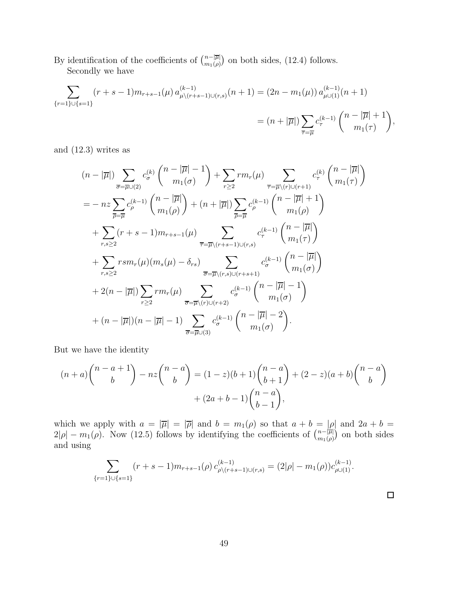By identification of the coefficients of  $\binom{n-|\overline{\mu}|}{m_1(\rho)}$  $\binom{n-|\overline{\mu}|}{m_1(\rho)}$  on both sides, (12.4) follows. Secondly we have

$$
\sum_{\{r=1\}\cup\{s=1\}} (r+s-1)m_{r+s-1}(\mu) a_{\mu\backslash(r+s-1)\cup(r,s)}^{(k-1)}(n+1) = (2n-m_1(\mu)) a_{\mu\cup(1)}^{(k-1)}(n+1)
$$

$$
= (n+|\overline{\mu}|) \sum_{\overline{\tau}=\overline{\mu}} c_{\tau}^{(k-1)} {n-|\overline{\mu}|+1 \choose m_1(\tau)},
$$

and (12.3) writes as

$$
(n - |\overline{\mu}|) \sum_{\overline{\sigma} = \overline{\mu} \cup (2)} c_{\sigma}^{(k)} \binom{n - |\overline{\mu}| - 1}{m_1(\sigma)} + \sum_{r \ge 2} r m_r(\mu) \sum_{\overline{\tau} = \overline{\mu} \setminus (r) \cup (r+1)} c_{\tau}^{(k)} \binom{n - |\overline{\mu}|}{m_1(\tau)}
$$
  
\n
$$
= -nz \sum_{\overline{\rho} = \overline{\mu}} c_{\rho}^{(k-1)} \binom{n - |\overline{\mu}|}{m_1(\rho)} + (n + |\overline{\mu}|) \sum_{\overline{\rho} = \overline{\mu}} c_{\rho}^{(k-1)} \binom{n - |\overline{\mu}| + 1}{m_1(\rho)}
$$
  
\n
$$
+ \sum_{r,s \ge 2} (r + s - 1) m_{r+s-1}(\mu) \sum_{\overline{\tau} = \overline{\mu} \setminus (r+s-1) \cup (r,s)} c_{\tau}^{(k-1)} \binom{n - |\overline{\mu}|}{m_1(\tau)}
$$
  
\n
$$
+ \sum_{r,s \ge 2} r s m_r(\mu) (m_s(\mu) - \delta_{rs}) \sum_{\overline{\sigma} = \overline{\mu} \setminus (r,s) \cup (r+s+1)} c_{\sigma}^{(k-1)} \binom{n - |\overline{\mu}|}{m_1(\sigma)}
$$
  
\n
$$
+ 2(n - |\overline{\mu}|) \sum_{r \ge 2} r m_r(\mu) \sum_{\overline{\sigma} = \overline{\mu} \setminus (r) \cup (r+2)} c_{\sigma}^{(k-1)} \binom{n - |\overline{\mu}| - 1}{m_1(\sigma)}
$$
  
\n
$$
+ (n - |\overline{\mu}|)(n - |\overline{\mu}| - 1) \sum_{\overline{\sigma} = \overline{\mu} \cup (3)} c_{\sigma}^{(k-1)} \binom{n - |\overline{\mu}| - 2}{m_1(\sigma)}.
$$

But we have the identity

$$
(n+a)\binom{n-a+1}{b} - nz\binom{n-a}{b} = (1-z)(b+1)\binom{n-a}{b+1} + (2-z)(a+b)\binom{n-a}{b} + (2a+b-1)\binom{n-a}{b-1},
$$

which we apply with  $a = |\overline{\mu}| = |\overline{\rho}|$  and  $b = m_1(\rho)$  so that  $a + b = |\rho|$  and  $2a + b =$  $2|\rho| - m_1(\rho)$ . Now (12.5) follows by identifying the coefficients of  $\binom{n-|\overline{\mu}|}{m_1(\rho)}$  $\binom{n-|\overline{\mu}|}{m_1(\rho)}$  on both sides and using

$$
\sum_{\{r=1\}\cup\{s=1\}} (r+s-1)m_{r+s-1}(\rho) c_{\rho\setminus(r+s-1)\cup(r,s)}^{(k-1)} = (2|\rho|-m_1(\rho))c_{\rho\cup(1)}^{(k-1)}.
$$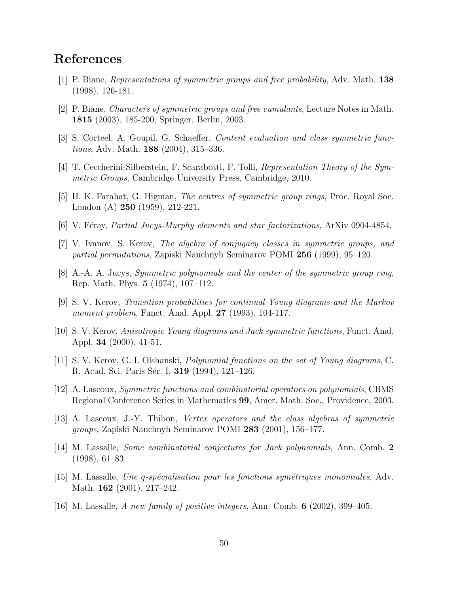# References

- [1] P. Biane, Representations of symmetric groups and free probability, Adv. Math. 138 (1998), 126-181.
- [2] P. Biane, Characters of symmetric groups and free cumulants, Lecture Notes in Math. 1815 (2003), 185-200, Springer, Berlin, 2003.
- [3] S. Corteel, A. Goupil, G. Schaeffer, Content evaluation and class symmetric functions, Adv. Math. 188 (2004), 315–336.
- [4] T. Ceccherini-Silberstein, F. Scarabotti, F. Tolli, Representation Theory of the Symmetric Groups, Cambridge University Press, Cambridge, 2010.
- [5] H. K. Farahat, G. Higman, The centres of symmetric group rings, Proc. Royal Soc. London (A) 250 (1959), 212-221.
- $[6]$  V. Féray, *Partial Jucys-Murphy elements and star factorizations*, ArXiv 0904-4854.
- [7] V. Ivanov, S. Kerov, The algebra of conjugacy classes in symmetric groups, and partial permutations, Zapiski Nauchnyh Seminarov POMI 256 (1999), 95–120.
- [8] A.-A. A. Jucys, Symmetric polynomials and the center of the symmetric group ring, Rep. Math. Phys. 5 (1974), 107–112.
- [9] S. V. Kerov, Transition probabilities for continual Young diagrams and the Markov moment problem, Funct. Anal. Appl. **27** (1993), 104-117.
- [10] S. V. Kerov, Anisotropic Young diagrams and Jack symmetric functions, Funct. Anal. Appl. 34 (2000), 41-51.
- [11] S. V. Kerov, G. I. Olshanski, Polynomial functions on the set of Young diagrams, C. R. Acad. Sci. Paris Sér. I, **319** (1994), 121–126.
- [12] A. Lascoux, Symmetric functions and combinatorial operators on polynomials, CBMS Regional Conference Series in Mathematics 99, Amer. Math. Soc., Providence, 2003.
- [13] A. Lascoux, J.-Y. Thibon, Vertex operators and the class algebras of symmetric groups, Zapiski Nauchnyh Seminarov POMI 283 (2001), 156–177.
- [14] M. Lassalle, Some combinatorial conjectures for Jack polynomials, Ann. Comb. 2 (1998), 61–83.
- $[15]$  M. Lassalle, Une q-spécialisation pour les fonctions symétriques monomiales, Adv. Math. **162** (2001), 217-242.
- [16] M. Lassalle, A new family of positive integers, Ann. Comb. 6 (2002), 399–405.